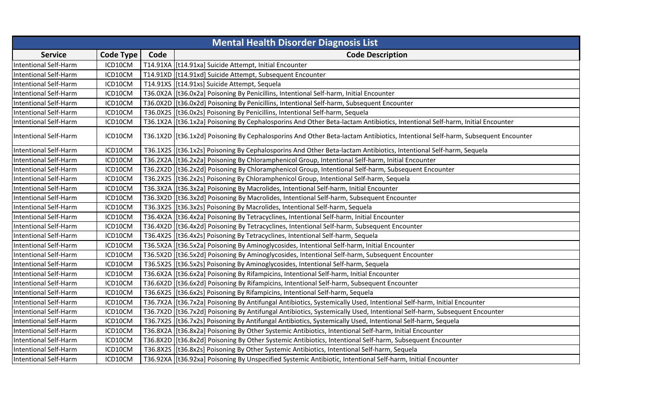|                              | <b>Mental Health Disorder Diagnosis List</b> |      |                                                                                                                                 |  |
|------------------------------|----------------------------------------------|------|---------------------------------------------------------------------------------------------------------------------------------|--|
| <b>Service</b>               | Code Type                                    | Code | <b>Code Description</b>                                                                                                         |  |
| <b>Intentional Self-Harm</b> | ICD10CM                                      |      | T14.91XA   [t14.91xa] Suicide Attempt, Initial Encounter                                                                        |  |
| <b>Intentional Self-Harm</b> | ICD10CM                                      |      | T14.91XD   [t14.91xd] Suicide Attempt, Subsequent Encounter                                                                     |  |
| <b>Intentional Self-Harm</b> | ICD10CM                                      |      | T14.91XS   [t14.91xs] Suicide Attempt, Sequela                                                                                  |  |
| <b>Intentional Self-Harm</b> | ICD10CM                                      |      | T36.0X2A   [t36.0x2a] Poisoning By Penicillins, Intentional Self-harm, Initial Encounter                                        |  |
| <b>Intentional Self-Harm</b> | ICD10CM                                      |      | T36.0X2D [[t36.0x2d] Poisoning By Penicillins, Intentional Self-harm, Subsequent Encounter                                      |  |
| <b>Intentional Self-Harm</b> | ICD10CM                                      |      | T36.0X2S [[t36.0x2s] Poisoning By Penicillins, Intentional Self-harm, Sequela                                                   |  |
| <b>Intentional Self-Harm</b> | ICD10CM                                      |      | T36.1X2A   [t36.1x2a] Poisoning By Cephalosporins And Other Beta-lactam Antibiotics, Intentional Self-harm, Initial Encounter   |  |
| <b>Intentional Self-Harm</b> | ICD10CM                                      |      | T36.1X2D  [t36.1x2d] Poisoning By Cephalosporins And Other Beta-lactam Antibiotics, Intentional Self-harm, Subsequent Encounter |  |
| <b>Intentional Self-Harm</b> | ICD10CM                                      |      | T36.1X2S   [t36.1x2s] Poisoning By Cephalosporins And Other Beta-lactam Antibiotics, Intentional Self-harm, Sequela             |  |
| <b>Intentional Self-Harm</b> | ICD10CM                                      |      | T36.2X2A   [t36.2x2a] Poisoning By Chloramphenicol Group, Intentional Self-harm, Initial Encounter                              |  |
| <b>Intentional Self-Harm</b> | ICD10CM                                      |      | T36.2X2D [[t36.2x2d] Poisoning By Chloramphenicol Group, Intentional Self-harm, Subsequent Encounter                            |  |
| <b>Intentional Self-Harm</b> | ICD10CM                                      |      | T36.2X2S   [t36.2x2s] Poisoning By Chloramphenicol Group, Intentional Self-harm, Sequela                                        |  |
| <b>Intentional Self-Harm</b> | ICD10CM                                      |      | T36.3X2A   [t36.3x2a] Poisoning By Macrolides, Intentional Self-harm, Initial Encounter                                         |  |
| <b>Intentional Self-Harm</b> | ICD10CM                                      |      | T36.3X2D   [t36.3x2d] Poisoning By Macrolides, Intentional Self-harm, Subsequent Encounter                                      |  |
| <b>Intentional Self-Harm</b> | ICD10CM                                      |      | T36.3X2S [[t36.3x2s] Poisoning By Macrolides, Intentional Self-harm, Sequela                                                    |  |
| <b>Intentional Self-Harm</b> | ICD10CM                                      |      | T36.4X2A   [t36.4x2a] Poisoning By Tetracyclines, Intentional Self-harm, Initial Encounter                                      |  |
| Intentional Self-Harm        | ICD10CM                                      |      | T36.4X2D [[t36.4x2d] Poisoning By Tetracyclines, Intentional Self-harm, Subsequent Encounter                                    |  |
| <b>Intentional Self-Harm</b> | ICD10CM                                      |      | T36.4X2S [[t36.4x2s] Poisoning By Tetracyclines, Intentional Self-harm, Sequela                                                 |  |
| <b>Intentional Self-Harm</b> | ICD10CM                                      |      | T36.5X2A [[t36.5x2a] Poisoning By Aminoglycosides, Intentional Self-harm, Initial Encounter                                     |  |
| <b>Intentional Self-Harm</b> | ICD10CM                                      |      | T36.5X2D [[t36.5x2d] Poisoning By Aminoglycosides, Intentional Self-harm, Subsequent Encounter                                  |  |
| <b>Intentional Self-Harm</b> | ICD10CM                                      |      | T36.5X2S   [t36.5x2s] Poisoning By Aminoglycosides, Intentional Self-harm, Sequela                                              |  |
| <b>Intentional Self-Harm</b> | ICD10CM                                      |      | T36.6X2A [[t36.6x2a] Poisoning By Rifampicins, Intentional Self-harm, Initial Encounter                                         |  |
| <b>Intentional Self-Harm</b> | ICD10CM                                      |      | T36.6X2D [[t36.6x2d] Poisoning By Rifampicins, Intentional Self-harm, Subsequent Encounter                                      |  |
| Intentional Self-Harm        | ICD10CM                                      |      | T36.6X2S [[t36.6x2s] Poisoning By Rifampicins, Intentional Self-harm, Sequela                                                   |  |
| <b>Intentional Self-Harm</b> | ICD10CM                                      |      | T36.7X2A   [t36.7x2a] Poisoning By Antifungal Antibiotics, Systemically Used, Intentional Self-harm, Initial Encounter          |  |
| Intentional Self-Harm        | ICD10CM                                      |      | T36.7X2D  [t36.7x2d] Poisoning By Antifungal Antibiotics, Systemically Used, Intentional Self-harm, Subsequent Encounter        |  |
| <b>Intentional Self-Harm</b> | ICD10CM                                      |      | T36.7X2S [[t36.7x2s] Poisoning By Antifungal Antibiotics, Systemically Used, Intentional Self-harm, Sequela                     |  |
| <b>Intentional Self-Harm</b> | ICD10CM                                      |      | T36.8X2A   [t36.8x2a] Poisoning By Other Systemic Antibiotics, Intentional Self-harm, Initial Encounter                         |  |
| Intentional Self-Harm        | ICD10CM                                      |      | T36.8X2D [[t36.8x2d] Poisoning By Other Systemic Antibiotics, Intentional Self-harm, Subsequent Encounter                       |  |
| Intentional Self-Harm        | ICD10CM                                      |      | T36.8X2S   [t36.8x2s] Poisoning By Other Systemic Antibiotics, Intentional Self-harm, Sequela                                   |  |
| <b>Intentional Self-Harm</b> | ICD10CM                                      |      | T36.92XA   [t36.92xa] Poisoning By Unspecified Systemic Antibiotic, Intentional Self-harm, Initial Encounter                    |  |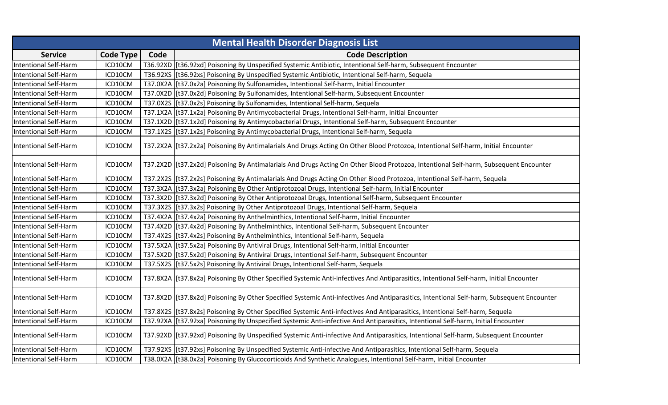| <b>Mental Health Disorder Diagnosis List</b> |                  |      |                                                                                                                                            |  |
|----------------------------------------------|------------------|------|--------------------------------------------------------------------------------------------------------------------------------------------|--|
| <b>Service</b>                               | <b>Code Type</b> | Code | <b>Code Description</b>                                                                                                                    |  |
| <b>Intentional Self-Harm</b>                 | ICD10CM          |      | T36.92XD [[t36.92xd] Poisoning By Unspecified Systemic Antibiotic, Intentional Self-harm, Subsequent Encounter                             |  |
| <b>Intentional Self-Harm</b>                 | ICD10CM          |      | T36.92XS [[t36.92xs] Poisoning By Unspecified Systemic Antibiotic, Intentional Self-harm, Sequela                                          |  |
| <b>Intentional Self-Harm</b>                 | ICD10CM          |      | T37.0X2A   [t37.0x2a] Poisoning By Sulfonamides, Intentional Self-harm, Initial Encounter                                                  |  |
| <b>Intentional Self-Harm</b>                 | ICD10CM          |      | T37.0X2D  [t37.0x2d] Poisoning By Sulfonamides, Intentional Self-harm, Subsequent Encounter                                                |  |
| <b>Intentional Self-Harm</b>                 | ICD10CM          |      | T37.0X2S   [t37.0x2s] Poisoning By Sulfonamides, Intentional Self-harm, Sequela                                                            |  |
| <b>Intentional Self-Harm</b>                 | ICD10CM          |      | T37.1X2A [[t37.1x2a] Poisoning By Antimycobacterial Drugs, Intentional Self-harm, Initial Encounter                                        |  |
| <b>Intentional Self-Harm</b>                 | ICD10CM          |      | T37.1X2D [[t37.1x2d] Poisoning By Antimycobacterial Drugs, Intentional Self-harm, Subsequent Encounter                                     |  |
| <b>Intentional Self-Harm</b>                 | ICD10CM          |      | T37.1X2S [t37.1x2s] Poisoning By Antimycobacterial Drugs, Intentional Self-harm, Sequela                                                   |  |
| Intentional Self-Harm                        | ICD10CM          |      | T37.2X2A   [t37.2x2a] Poisoning By Antimalarials And Drugs Acting On Other Blood Protozoa, Intentional Self-harm, Initial Encounter        |  |
| <b>Intentional Self-Harm</b>                 | ICD10CM          |      | T37.2X2D  [t37.2x2d] Poisoning By Antimalarials And Drugs Acting On Other Blood Protozoa, Intentional Self-harm, Subsequent Encounter      |  |
| <b>Intentional Self-Harm</b>                 | ICD10CM          |      | T37.2X2S [[t37.2x2s] Poisoning By Antimalarials And Drugs Acting On Other Blood Protozoa, Intentional Self-harm, Sequela                   |  |
| <b>Intentional Self-Harm</b>                 | ICD10CM          |      | T37.3X2A [[t37.3x2a] Poisoning By Other Antiprotozoal Drugs, Intentional Self-harm, Initial Encounter                                      |  |
| <b>Intentional Self-Harm</b>                 | ICD10CM          |      | T37.3X2D [[t37.3x2d] Poisoning By Other Antiprotozoal Drugs, Intentional Self-harm, Subsequent Encounter                                   |  |
| <b>Intentional Self-Harm</b>                 | ICD10CM          |      | T37.3X2S [t37.3x2s] Poisoning By Other Antiprotozoal Drugs, Intentional Self-harm, Sequela                                                 |  |
| <b>Intentional Self-Harm</b>                 | ICD10CM          |      | T37.4X2A   [t37.4x2a] Poisoning By Anthelminthics, Intentional Self-harm, Initial Encounter                                                |  |
| <b>Intentional Self-Harm</b>                 | ICD10CM          |      | T37.4X2D [[t37.4x2d] Poisoning By Anthelminthics, Intentional Self-harm, Subsequent Encounter                                              |  |
| <b>Intentional Self-Harm</b>                 | ICD10CM          |      | T37.4X2S [[t37.4x2s] Poisoning By Anthelminthics, Intentional Self-harm, Sequela                                                           |  |
| <b>Intentional Self-Harm</b>                 | ICD10CM          |      | T37.5X2A   [t37.5x2a] Poisoning By Antiviral Drugs, Intentional Self-harm, Initial Encounter                                               |  |
| <b>Intentional Self-Harm</b>                 | ICD10CM          |      | T37.5X2D [[t37.5x2d] Poisoning By Antiviral Drugs, Intentional Self-harm, Subsequent Encounter                                             |  |
| Intentional Self-Harm                        | ICD10CM          |      | T37.5X2S [[t37.5x2s] Poisoning By Antiviral Drugs, Intentional Self-harm, Sequela                                                          |  |
| <b>Intentional Self-Harm</b>                 | ICD10CM          |      | T37.8X2A   [t37.8x2a] Poisoning By Other Specified Systemic Anti-infectives And Antiparasitics, Intentional Self-harm, Initial Encounter   |  |
| <b>Intentional Self-Harm</b>                 | ICD10CM          |      | T37.8X2D  [t37.8x2d] Poisoning By Other Specified Systemic Anti-infectives And Antiparasitics, Intentional Self-harm, Subsequent Encounter |  |
| Intentional Self-Harm                        | ICD10CM          |      | T37.8X2S [[t37.8x2s] Poisoning By Other Specified Systemic Anti-infectives And Antiparasitics, Intentional Self-harm, Sequela              |  |
| <b>Intentional Self-Harm</b>                 | ICD10CM          |      | T37.92XA [[t37.92xa] Poisoning By Unspecified Systemic Anti-infective And Antiparasitics, Intentional Self-harm, Initial Encounter         |  |
| <b>Intentional Self-Harm</b>                 | ICD10CM          |      | T37.92XD  [t37.92xd] Poisoning By Unspecified Systemic Anti-infective And Antiparasitics, Intentional Self-harm, Subsequent Encounter      |  |
| <b>Intentional Self-Harm</b>                 | ICD10CM          |      | T37.92XS   [t37.92xs] Poisoning By Unspecified Systemic Anti-infective And Antiparasitics, Intentional Self-harm, Sequela                  |  |
| <b>Intentional Self-Harm</b>                 | ICD10CM          |      | T38.0X2A   [t38.0x2a] Poisoning By Glucocorticoids And Synthetic Analogues, Intentional Self-harm, Initial Encounter                       |  |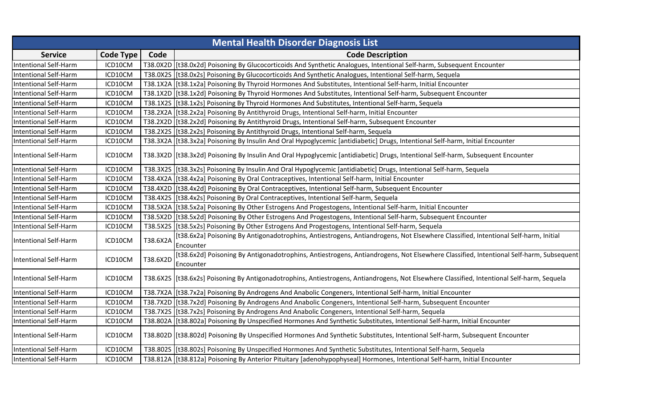| <b>Mental Health Disorder Diagnosis List</b> |                  |          |                                                                                                                                                    |  |
|----------------------------------------------|------------------|----------|----------------------------------------------------------------------------------------------------------------------------------------------------|--|
| <b>Service</b>                               | <b>Code Type</b> | Code     | <b>Code Description</b>                                                                                                                            |  |
| <b>Intentional Self-Harm</b>                 | ICD10CM          |          | T38.0X2D [[t38.0x2d] Poisoning By Glucocorticoids And Synthetic Analogues, Intentional Self-harm, Subsequent Encounter                             |  |
| <b>Intentional Self-Harm</b>                 | ICD10CM          |          | T38.0X2S [t38.0x2s] Poisoning By Glucocorticoids And Synthetic Analogues, Intentional Self-harm, Sequela                                           |  |
| <b>Intentional Self-Harm</b>                 | ICD10CM          |          | T38.1X2A   [t38.1x2a] Poisoning By Thyroid Hormones And Substitutes, Intentional Self-harm, Initial Encounter                                      |  |
| <b>Intentional Self-Harm</b>                 | ICD10CM          |          | T38.1X2D   [t38.1x2d] Poisoning By Thyroid Hormones And Substitutes, Intentional Self-harm, Subsequent Encounter                                   |  |
| <b>Intentional Self-Harm</b>                 | ICD10CM          |          | T38.1X2S [[t38.1x2s] Poisoning By Thyroid Hormones And Substitutes, Intentional Self-harm, Sequela                                                 |  |
| <b>Intentional Self-Harm</b>                 | ICD10CM          |          | T38.2X2A   [t38.2x2a] Poisoning By Antithyroid Drugs, Intentional Self-harm, Initial Encounter                                                     |  |
| <b>Intentional Self-Harm</b>                 | ICD10CM          |          | T38.2X2D   [t38.2x2d] Poisoning By Antithyroid Drugs, Intentional Self-harm, Subsequent Encounter                                                  |  |
| <b>Intentional Self-Harm</b>                 | ICD10CM          |          | T38.2X2S [[t38.2x2s] Poisoning By Antithyroid Drugs, Intentional Self-harm, Sequela                                                                |  |
| <b>Intentional Self-Harm</b>                 | ICD10CM          |          | T38.3X2A   [t38.3x2a] Poisoning By Insulin And Oral Hypoglycemic [antidiabetic] Drugs, Intentional Self-harm, Initial Encounter                    |  |
| Intentional Self-Harm                        | ICD10CM          |          | T38.3X2D [[t38.3x2d] Poisoning By Insulin And Oral Hypoglycemic [antidiabetic] Drugs, Intentional Self-harm, Subsequent Encounter                  |  |
| <b>Intentional Self-Harm</b>                 | ICD10CM          |          | T38.3X2S [[t38.3x2s] Poisoning By Insulin And Oral Hypoglycemic [antidiabetic] Drugs, Intentional Self-harm, Sequela                               |  |
| <b>Intentional Self-Harm</b>                 | ICD10CM          |          | T38.4X2A   [t38.4x2a] Poisoning By Oral Contraceptives, Intentional Self-harm, Initial Encounter                                                   |  |
| <b>Intentional Self-Harm</b>                 | ICD10CM          |          | T38.4X2D [[t38.4x2d] Poisoning By Oral Contraceptives, Intentional Self-harm, Subsequent Encounter                                                 |  |
| <b>Intentional Self-Harm</b>                 | ICD10CM          |          | T38.4X2S [[t38.4x2s] Poisoning By Oral Contraceptives, Intentional Self-harm, Sequela                                                              |  |
| <b>Intentional Self-Harm</b>                 | ICD10CM          |          | T38.5X2A   [t38.5x2a] Poisoning By Other Estrogens And Progestogens, Intentional Self-harm, Initial Encounter                                      |  |
| <b>Intentional Self-Harm</b>                 | ICD10CM          |          | T38.5X2D   [t38.5x2d] Poisoning By Other Estrogens And Progestogens, Intentional Self-harm, Subsequent Encounter                                   |  |
| <b>Intentional Self-Harm</b>                 | ICD10CM          |          | T38.5X2S   [t38.5x2s] Poisoning By Other Estrogens And Progestogens, Intentional Self-harm, Sequela                                                |  |
| <b>Intentional Self-Harm</b>                 | ICD10CM          | T38.6X2A | [t38.6x2a] Poisoning By Antigonadotrophins, Antiestrogens, Antiandrogens, Not Elsewhere Classified, Intentional Self-harm, Initial<br>Encounter    |  |
| <b>Intentional Self-Harm</b>                 | ICD10CM          | T38.6X2D | [t38.6x2d] Poisoning By Antigonadotrophins, Antiestrogens, Antiandrogens, Not Elsewhere Classified, Intentional Self-harm, Subsequent<br>Encounter |  |
| <b>Intentional Self-Harm</b>                 | ICD10CM          |          | T38.6X2S   [t38.6x2s] Poisoning By Antigonadotrophins, Antiestrogens, Antiandrogens, Not Elsewhere Classified, Intentional Self-harm, Sequela      |  |
| <b>Intentional Self-Harm</b>                 | ICD10CM          |          | T38.7X2A   [t38.7x2a] Poisoning By Androgens And Anabolic Congeners, Intentional Self-harm, Initial Encounter                                      |  |
| <b>Intentional Self-Harm</b>                 | ICD10CM          |          | T38.7X2D [[t38.7x2d] Poisoning By Androgens And Anabolic Congeners, Intentional Self-harm, Subsequent Encounter                                    |  |
| Intentional Self-Harm                        | ICD10CM          |          | T38.7X2S [[t38.7x2s] Poisoning By Androgens And Anabolic Congeners, Intentional Self-harm, Sequela                                                 |  |
| <b>Intentional Self-Harm</b>                 | ICD10CM          |          | T38.802A   [t38.802a] Poisoning By Unspecified Hormones And Synthetic Substitutes, Intentional Self-harm, Initial Encounter                        |  |
| <b>Intentional Self-Harm</b>                 | ICD10CM          |          | T38.802D   [t38.802d] Poisoning By Unspecified Hormones And Synthetic Substitutes, Intentional Self-harm, Subsequent Encounter                     |  |
| <b>Intentional Self-Harm</b>                 | ICD10CM          |          | T38.802S   [t38.802s] Poisoning By Unspecified Hormones And Synthetic Substitutes, Intentional Self-harm, Sequela                                  |  |
| <b>Intentional Self-Harm</b>                 | ICD10CM          |          | T38.812A [[t38.812a] Poisoning By Anterior Pituitary [adenohypophyseal] Hormones, Intentional Self-harm, Initial Encounter                         |  |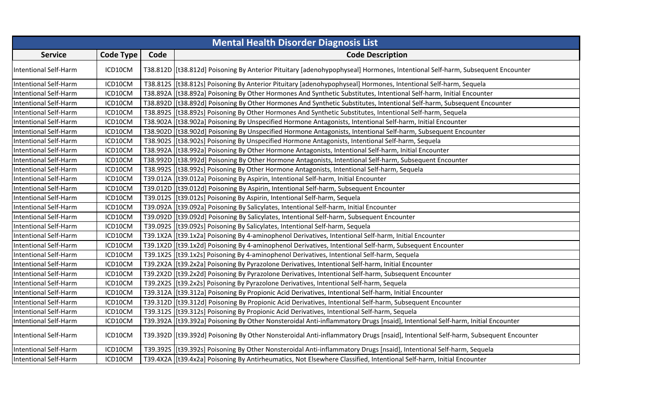| <b>Mental Health Disorder Diagnosis List</b> |                  |      |                                                                                                                                    |  |
|----------------------------------------------|------------------|------|------------------------------------------------------------------------------------------------------------------------------------|--|
| <b>Service</b>                               | <b>Code Type</b> | Code | <b>Code Description</b>                                                                                                            |  |
| <b>Intentional Self-Harm</b>                 | ICD10CM          |      | T38.812D  [t38.812d] Poisoning By Anterior Pituitary [adenohypophyseal] Hormones, Intentional Self-harm, Subsequent Encounter      |  |
| <b>Intentional Self-Harm</b>                 | ICD10CM          |      | T38.812S   [t38.812s] Poisoning By Anterior Pituitary [adenohypophyseal] Hormones, Intentional Self-harm, Sequela                  |  |
| <b>Intentional Self-Harm</b>                 | ICD10CM          |      | T38.892A   [t38.892a] Poisoning By Other Hormones And Synthetic Substitutes, Intentional Self-harm, Initial Encounter              |  |
| <b>Intentional Self-Harm</b>                 | ICD10CM          |      | T38.892D [[t38.892d] Poisoning By Other Hormones And Synthetic Substitutes, Intentional Self-harm, Subsequent Encounter            |  |
| <b>Intentional Self-Harm</b>                 | ICD10CM          |      | T38.892S   [t38.892s] Poisoning By Other Hormones And Synthetic Substitutes, Intentional Self-harm, Sequela                        |  |
| <b>Intentional Self-Harm</b>                 | ICD10CM          |      | T38.902A   [t38.902a] Poisoning By Unspecified Hormone Antagonists, Intentional Self-harm, Initial Encounter                       |  |
| <b>Intentional Self-Harm</b>                 | ICD10CM          |      | T38.902D [[t38.902d] Poisoning By Unspecified Hormone Antagonists, Intentional Self-harm, Subsequent Encounter                     |  |
| <b>Intentional Self-Harm</b>                 | ICD10CM          |      | T38.902S [t38.902s] Poisoning By Unspecified Hormone Antagonists, Intentional Self-harm, Sequela                                   |  |
| <b>Intentional Self-Harm</b>                 | ICD10CM          |      | T38.992A  [t38.992a] Poisoning By Other Hormone Antagonists, Intentional Self-harm, Initial Encounter                              |  |
| <b>Intentional Self-Harm</b>                 | ICD10CM          |      | T38.992D [[t38.992d] Poisoning By Other Hormone Antagonists, Intentional Self-harm, Subsequent Encounter                           |  |
| <b>Intentional Self-Harm</b>                 | ICD10CM          |      | T38.992S [t38.992s] Poisoning By Other Hormone Antagonists, Intentional Self-harm, Sequela                                         |  |
| <b>Intentional Self-Harm</b>                 | ICD10CM          |      | T39.012A   [t39.012a] Poisoning By Aspirin, Intentional Self-harm, Initial Encounter                                               |  |
| <b>Intentional Self-Harm</b>                 | ICD10CM          |      | T39.012D   [t39.012d] Poisoning By Aspirin, Intentional Self-harm, Subsequent Encounter                                            |  |
| <b>Intentional Self-Harm</b>                 | ICD10CM          |      | T39.012S   [t39.012s] Poisoning By Aspirin, Intentional Self-harm, Sequela                                                         |  |
| <b>Intentional Self-Harm</b>                 | ICD10CM          |      | T39.092A   [t39.092a] Poisoning By Salicylates, Intentional Self-harm, Initial Encounter                                           |  |
| <b>Intentional Self-Harm</b>                 | ICD10CM          |      | T39.092D [[t39.092d] Poisoning By Salicylates, Intentional Self-harm, Subsequent Encounter                                         |  |
| <b>Intentional Self-Harm</b>                 | ICD10CM          |      | T39.092S [[t39.092s] Poisoning By Salicylates, Intentional Self-harm, Sequela                                                      |  |
| <b>Intentional Self-Harm</b>                 | ICD10CM          |      | T39.1X2A   [t39.1x2a] Poisoning By 4-aminophenol Derivatives, Intentional Self-harm, Initial Encounter                             |  |
| <b>Intentional Self-Harm</b>                 | ICD10CM          |      | T39.1X2D [[t39.1x2d] Poisoning By 4-aminophenol Derivatives, Intentional Self-harm, Subsequent Encounter                           |  |
| <b>Intentional Self-Harm</b>                 | ICD10CM          |      | T39.1X2S   [t39.1x2s] Poisoning By 4-aminophenol Derivatives, Intentional Self-harm, Sequela                                       |  |
| <b>Intentional Self-Harm</b>                 | ICD10CM          |      | T39.2X2A   [t39.2x2a] Poisoning By Pyrazolone Derivatives, Intentional Self-harm, Initial Encounter                                |  |
| <b>Intentional Self-Harm</b>                 | ICD10CM          |      | T39.2X2D [[t39.2x2d] Poisoning By Pyrazolone Derivatives, Intentional Self-harm, Subsequent Encounter                              |  |
| <b>Intentional Self-Harm</b>                 | ICD10CM          |      | T39.2X2S [[t39.2x2s] Poisoning By Pyrazolone Derivatives, Intentional Self-harm, Sequela                                           |  |
| <b>Intentional Self-Harm</b>                 | ICD10CM          |      | T39.312A [[t39.312a] Poisoning By Propionic Acid Derivatives, Intentional Self-harm, Initial Encounter                             |  |
| <b>Intentional Self-Harm</b>                 | ICD10CM          |      | T39.312D [[t39.312d] Poisoning By Propionic Acid Derivatives, Intentional Self-harm, Subsequent Encounter                          |  |
| <b>Intentional Self-Harm</b>                 | ICD10CM          |      | T39.312S [[t39.312s] Poisoning By Propionic Acid Derivatives, Intentional Self-harm, Sequela                                       |  |
| <b>Intentional Self-Harm</b>                 | ICD10CM          |      | T39.392A   [t39.392a] Poisoning By Other Nonsteroidal Anti-inflammatory Drugs [nsaid], Intentional Self-harm, Initial Encounter    |  |
| <b>Intentional Self-Harm</b>                 | ICD10CM          |      | T39.392D   [t39.392d] Poisoning By Other Nonsteroidal Anti-inflammatory Drugs [nsaid], Intentional Self-harm, Subsequent Encounter |  |
| <b>Intentional Self-Harm</b>                 | ICD10CM          |      | T39.3925 [[t39.392s] Poisoning By Other Nonsteroidal Anti-inflammatory Drugs [nsaid], Intentional Self-harm, Sequela               |  |
| <b>Intentional Self-Harm</b>                 | ICD10CM          |      | T39.4X2A   [t39.4x2a] Poisoning By Antirheumatics, Not Elsewhere Classified, Intentional Self-harm, Initial Encounter              |  |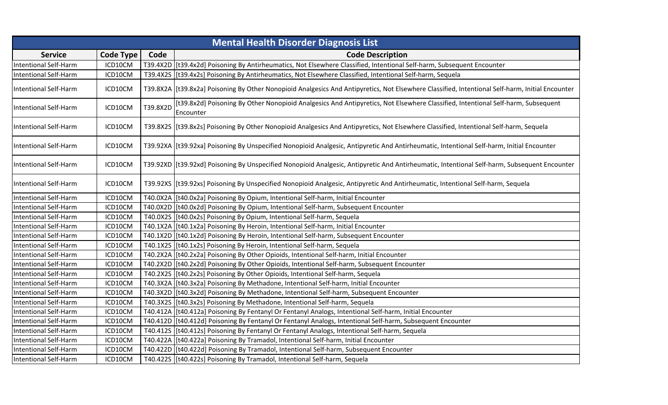|                              | <b>Mental Health Disorder Diagnosis List</b> |          |                                                                                                                                                    |  |
|------------------------------|----------------------------------------------|----------|----------------------------------------------------------------------------------------------------------------------------------------------------|--|
| <b>Service</b>               | <b>Code Type</b>                             | Code     | <b>Code Description</b>                                                                                                                            |  |
| Intentional Self-Harm        | ICD10CM                                      |          | T39.4X2D  [t39.4x2d] Poisoning By Antirheumatics, Not Elsewhere Classified, Intentional Self-harm, Subsequent Encounter                            |  |
| <b>Intentional Self-Harm</b> | ICD10CM                                      |          | T39.4X2S [t39.4x2s] Poisoning By Antirheumatics, Not Elsewhere Classified, Intentional Self-harm, Sequela                                          |  |
| Intentional Self-Harm        | ICD10CM                                      |          | T39.8X2A   [t39.8x2a] Poisoning By Other Nonopioid Analgesics And Antipyretics, Not Elsewhere Classified, Intentional Self-harm, Initial Encounter |  |
| Intentional Self-Harm        | ICD10CM                                      | T39.8X2D | [t39.8x2d] Poisoning By Other Nonopioid Analgesics And Antipyretics, Not Elsewhere Classified, Intentional Self-harm, Subsequent<br>Encounter      |  |
| <b>Intentional Self-Harm</b> | ICD10CM                                      |          | T39.8X2S [[t39.8x2s] Poisoning By Other Nonopioid Analgesics And Antipyretics, Not Elsewhere Classified, Intentional Self-harm, Sequela            |  |
| Intentional Self-Harm        | ICD10CM                                      |          | T39.92XA   [t39.92xa] Poisoning By Unspecified Nonopioid Analgesic, Antipyretic And Antirheumatic, Intentional Self-harm, Initial Encounter        |  |
| <b>Intentional Self-Harm</b> | ICD10CM                                      |          | T39.92XD  [t39.92xd] Poisoning By Unspecified Nonopioid Analgesic, Antipyretic And Antirheumatic, Intentional Self-harm, Subsequent Encounter      |  |
| <b>Intentional Self-Harm</b> | ICD10CM                                      |          | T39.92XS   [t39.92xs] Poisoning By Unspecified Nonopioid Analgesic, Antipyretic And Antirheumatic, Intentional Self-harm, Sequela                  |  |
| <b>Intentional Self-Harm</b> | ICD10CM                                      |          | T40.0X2A   [t40.0x2a] Poisoning By Opium, Intentional Self-harm, Initial Encounter                                                                 |  |
| <b>Intentional Self-Harm</b> | ICD10CM                                      |          | T40.0X2D   [t40.0x2d] Poisoning By Opium, Intentional Self-harm, Subsequent Encounter                                                              |  |
| Intentional Self-Harm        | ICD10CM                                      |          | T40.0X2S [[t40.0x2s] Poisoning By Opium, Intentional Self-harm, Sequela                                                                            |  |
| <b>Intentional Self-Harm</b> | ICD10CM                                      |          | T40.1X2A   [t40.1x2a] Poisoning By Heroin, Intentional Self-harm, Initial Encounter                                                                |  |
| Intentional Self-Harm        | ICD10CM                                      |          | T40.1X2D [[t40.1x2d] Poisoning By Heroin, Intentional Self-harm, Subsequent Encounter                                                              |  |
| <b>Intentional Self-Harm</b> | ICD10CM                                      |          | T40.1X2S   [t40.1x2s] Poisoning By Heroin, Intentional Self-harm, Sequela                                                                          |  |
| Intentional Self-Harm        | ICD10CM                                      |          | T40.2X2A   [t40.2x2a] Poisoning By Other Opioids, Intentional Self-harm, Initial Encounter                                                         |  |
| <b>Intentional Self-Harm</b> | ICD10CM                                      |          | T40.2X2D   [t40.2x2d] Poisoning By Other Opioids, Intentional Self-harm, Subsequent Encounter                                                      |  |
| <b>Intentional Self-Harm</b> | ICD10CM                                      |          | T40.2X2S [[t40.2x2s] Poisoning By Other Opioids, Intentional Self-harm, Sequela                                                                    |  |
| <b>Intentional Self-Harm</b> | ICD10CM                                      |          | T40.3X2A   [t40.3x2a] Poisoning By Methadone, Intentional Self-harm, Initial Encounter                                                             |  |
| <b>Intentional Self-Harm</b> | ICD10CM                                      |          | T40.3X2D   [t40.3x2d] Poisoning By Methadone, Intentional Self-harm, Subsequent Encounter                                                          |  |
| Intentional Self-Harm        | ICD10CM                                      |          | T40.3X2S [[t40.3x2s] Poisoning By Methadone, Intentional Self-harm, Sequela                                                                        |  |
| <b>Intentional Self-Harm</b> | ICD10CM                                      |          | T40.412A   [t40.412a] Poisoning By Fentanyl Or Fentanyl Analogs, Intentional Self-harm, Initial Encounter                                          |  |
| Intentional Self-Harm        | ICD10CM                                      |          | T40.412D   [t40.412d] Poisoning By Fentanyl Or Fentanyl Analogs, Intentional Self-harm, Subsequent Encounter                                       |  |
| <b>Intentional Self-Harm</b> | ICD10CM                                      |          | T40.412S   [t40.412s] Poisoning By Fentanyl Or Fentanyl Analogs, Intentional Self-harm, Sequela                                                    |  |
| Intentional Self-Harm        | ICD10CM                                      |          | T40.422A [t40.422a] Poisoning By Tramadol, Intentional Self-harm, Initial Encounter                                                                |  |
| <b>Intentional Self-Harm</b> | ICD10CM                                      |          | T40.422D  [t40.422d] Poisoning By Tramadol, Intentional Self-harm, Subsequent Encounter                                                            |  |
| <b>Intentional Self-Harm</b> | ICD10CM                                      |          | T40.422S   [t40.422s] Poisoning By Tramadol, Intentional Self-harm, Sequela                                                                        |  |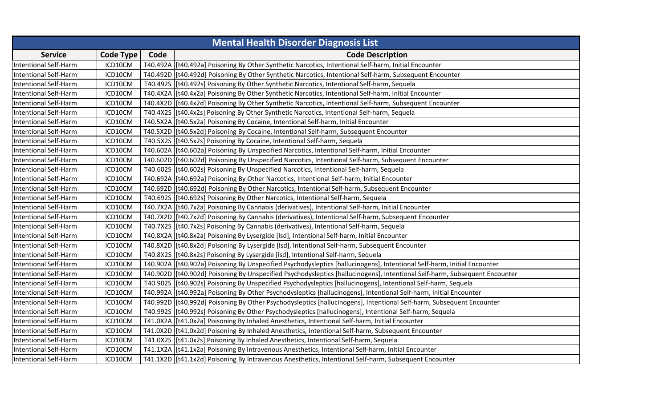| <b>Mental Health Disorder Diagnosis List</b> |                  |      |                                                                                                                             |
|----------------------------------------------|------------------|------|-----------------------------------------------------------------------------------------------------------------------------|
| <b>Service</b>                               | <b>Code Type</b> | Code | <b>Code Description</b>                                                                                                     |
| <b>Intentional Self-Harm</b>                 | ICD10CM          |      | T40.492A   [t40.492a] Poisoning By Other Synthetic Narcotics, Intentional Self-harm, Initial Encounter                      |
| <b>Intentional Self-Harm</b>                 | ICD10CM          |      | T40.492D   [t40.492d] Poisoning By Other Synthetic Narcotics, Intentional Self-harm, Subsequent Encounter                   |
| <b>Intentional Self-Harm</b>                 | ICD10CM          |      | T40.4925 [t40.492s] Poisoning By Other Synthetic Narcotics, Intentional Self-harm, Sequela                                  |
| <b>Intentional Self-Harm</b>                 | ICD10CM          |      | T40.4X2A   [t40.4x2a] Poisoning By Other Synthetic Narcotics, Intentional Self-harm, Initial Encounter                      |
| Intentional Self-Harm                        | ICD10CM          |      | T40.4X2D   [t40.4x2d] Poisoning By Other Synthetic Narcotics, Intentional Self-harm, Subsequent Encounter                   |
| <b>Intentional Self-Harm</b>                 | ICD10CM          |      | T40.4X2S   [t40.4x2s] Poisoning By Other Synthetic Narcotics, Intentional Self-harm, Sequela                                |
| <b>Intentional Self-Harm</b>                 | ICD10CM          |      | T40.5X2A   [t40.5x2a] Poisoning By Cocaine, Intentional Self-harm, Initial Encounter                                        |
| <b>Intentional Self-Harm</b>                 | ICD10CM          |      | T40.5X2D   [t40.5x2d] Poisoning By Cocaine, Intentional Self-harm, Subsequent Encounter                                     |
| Intentional Self-Harm                        | ICD10CM          |      | T40.5X2S   [t40.5x2s] Poisoning By Cocaine, Intentional Self-harm, Sequela                                                  |
| <b>Intentional Self-Harm</b>                 | ICD10CM          |      | T40.602A   [t40.602a] Poisoning By Unspecified Narcotics, Intentional Self-harm, Initial Encounter                          |
| <b>Intentional Self-Harm</b>                 | ICD10CM          |      | T40.602D [[t40.602d] Poisoning By Unspecified Narcotics, Intentional Self-harm, Subsequent Encounter                        |
| <b>Intentional Self-Harm</b>                 | ICD10CM          |      | T40.602S   [t40.602s] Poisoning By Unspecified Narcotics, Intentional Self-harm, Sequela                                    |
| <b>Intentional Self-Harm</b>                 | ICD10CM          |      | T40.692A   [t40.692a] Poisoning By Other Narcotics, Intentional Self-harm, Initial Encounter                                |
| Intentional Self-Harm                        | ICD10CM          |      | T40.692D   [t40.692d] Poisoning By Other Narcotics, Intentional Self-harm, Subsequent Encounter                             |
| <b>Intentional Self-Harm</b>                 | ICD10CM          |      | T40.692S [t40.692s] Poisoning By Other Narcotics, Intentional Self-harm, Sequela                                            |
| <b>Intentional Self-Harm</b>                 | ICD10CM          |      | T40.7X2A   [t40.7x2a] Poisoning By Cannabis (derivatives), Intentional Self-harm, Initial Encounter                         |
| <b>Intentional Self-Harm</b>                 | ICD10CM          |      | T40.7X2D [[t40.7x2d] Poisoning By Cannabis (derivatives), Intentional Self-harm, Subsequent Encounter                       |
| <b>Intentional Self-Harm</b>                 | ICD10CM          |      | T40.7X2S [[t40.7x2s] Poisoning By Cannabis (derivatives), Intentional Self-harm, Sequela                                    |
| <b>Intentional Self-Harm</b>                 | ICD10CM          |      | T40.8X2A   [t40.8x2a] Poisoning By Lysergide [Isd], Intentional Self-harm, Initial Encounter                                |
| <b>Intentional Self-Harm</b>                 | ICD10CM          |      | T40.8X2D   [t40.8x2d] Poisoning By Lysergide [Isd], Intentional Self-harm, Subsequent Encounter                             |
| <b>Intentional Self-Harm</b>                 | ICD10CM          |      | T40.8X2S [[t40.8x2s] Poisoning By Lysergide [Isd], Intentional Self-harm, Sequela                                           |
| Intentional Self-Harm                        | ICD10CM          |      | T40.902A  [t40.902a] Poisoning By Unspecified Psychodysleptics [hallucinogens], Intentional Self-harm, Initial Encounter    |
| <b>Intentional Self-Harm</b>                 | ICD10CM          |      | T40.902D  [t40.902d] Poisoning By Unspecified Psychodysleptics [hallucinogens], Intentional Self-harm, Subsequent Encounter |
| <b>Intentional Self-Harm</b>                 | ICD10CM          |      | T40.902S  [t40.902s] Poisoning By Unspecified Psychodysleptics [hallucinogens], Intentional Self-harm, Sequela              |
| <b>Intentional Self-Harm</b>                 | ICD10CM          |      | T40.992A   [t40.992a] Poisoning By Other Psychodysleptics [hallucinogens], Intentional Self-harm, Initial Encounter         |
| <b>Intentional Self-Harm</b>                 | ICD10CM          |      | T40.992D [t40.992d] Poisoning By Other Psychodysleptics [hallucinogens], Intentional Self-harm, Subsequent Encounter        |
| <b>Intentional Self-Harm</b>                 | ICD10CM          |      | T40.992S  [t40.992s] Poisoning By Other Psychodysleptics [hallucinogens], Intentional Self-harm, Sequela                    |
| <b>Intentional Self-Harm</b>                 | ICD10CM          |      | T41.0X2A   [t41.0x2a] Poisoning By Inhaled Anesthetics, Intentional Self-harm, Initial Encounter                            |
| <b>Intentional Self-Harm</b>                 | ICD10CM          |      | T41.0X2D [t41.0x2d] Poisoning By Inhaled Anesthetics, Intentional Self-harm, Subsequent Encounter                           |
| Intentional Self-Harm                        | ICD10CM          |      | T41.0X2S   [t41.0x2s] Poisoning By Inhaled Anesthetics, Intentional Self-harm, Sequela                                      |
| <b>Intentional Self-Harm</b>                 | ICD10CM          |      | T41.1X2A   [t41.1x2a] Poisoning By Intravenous Anesthetics, Intentional Self-harm, Initial Encounter                        |
| <b>Intentional Self-Harm</b>                 | ICD10CM          |      | T41.1X2D [[t41.1x2d] Poisoning By Intravenous Anesthetics, Intentional Self-harm, Subsequent Encounter                      |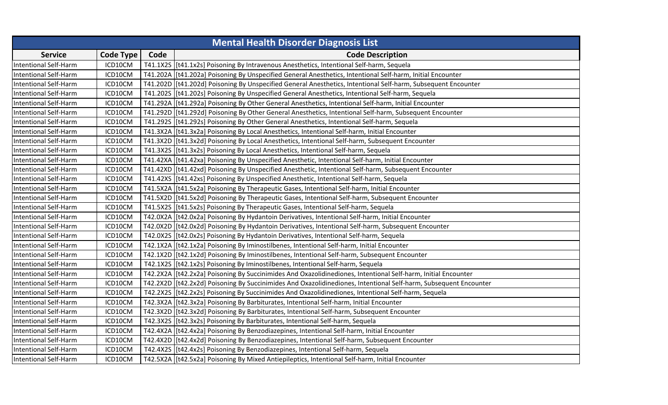| <b>Mental Health Disorder Diagnosis List</b> |                  |      |                                                                                                                   |
|----------------------------------------------|------------------|------|-------------------------------------------------------------------------------------------------------------------|
| <b>Service</b>                               | <b>Code Type</b> | Code | <b>Code Description</b>                                                                                           |
| <b>Intentional Self-Harm</b>                 | ICD10CM          |      | T41.1X2S   [t41.1x2s] Poisoning By Intravenous Anesthetics, Intentional Self-harm, Sequela                        |
| <b>Intentional Self-Harm</b>                 | ICD10CM          |      | T41.202A   [t41.202a] Poisoning By Unspecified General Anesthetics, Intentional Self-harm, Initial Encounter      |
| <b>Intentional Self-Harm</b>                 | ICD10CM          |      | T41.202D [[t41.202d] Poisoning By Unspecified General Anesthetics, Intentional Self-harm, Subsequent Encounter    |
| <b>Intentional Self-Harm</b>                 | ICD10CM          |      | T41.202S   [t41.202s] Poisoning By Unspecified General Anesthetics, Intentional Self-harm, Sequela                |
| <b>Intentional Self-Harm</b>                 | ICD10CM          |      | T41.292A   [t41.292a] Poisoning By Other General Anesthetics, Intentional Self-harm, Initial Encounter            |
| <b>Intentional Self-Harm</b>                 | ICD10CM          |      | T41.292D [[t41.292d] Poisoning By Other General Anesthetics, Intentional Self-harm, Subsequent Encounter          |
| <b>Intentional Self-Harm</b>                 | ICD10CM          |      | T41.292S   [t41.292s] Poisoning By Other General Anesthetics, Intentional Self-harm, Sequela                      |
| <b>Intentional Self-Harm</b>                 | ICD10CM          |      | T41.3X2A   [t41.3x2a] Poisoning By Local Anesthetics, Intentional Self-harm, Initial Encounter                    |
| <b>Intentional Self-Harm</b>                 | ICD10CM          |      | T41.3X2D [[t41.3x2d] Poisoning By Local Anesthetics, Intentional Self-harm, Subsequent Encounter                  |
| <b>Intentional Self-Harm</b>                 | ICD10CM          |      | T41.3X2S [[t41.3x2s] Poisoning By Local Anesthetics, Intentional Self-harm, Sequela                               |
| <b>Intentional Self-Harm</b>                 | ICD10CM          |      | T41.42XA   [t41.42xa] Poisoning By Unspecified Anesthetic, Intentional Self-harm, Initial Encounter               |
| <b>Intentional Self-Harm</b>                 | ICD10CM          |      | T41.42XD   [t41.42xd] Poisoning By Unspecified Anesthetic, Intentional Self-harm, Subsequent Encounter            |
| <b>Intentional Self-Harm</b>                 | ICD10CM          |      | T41.42XS   [t41.42xs] Poisoning By Unspecified Anesthetic, Intentional Self-harm, Sequela                         |
| <b>Intentional Self-Harm</b>                 | ICD10CM          |      | T41.5X2A   [t41.5x2a] Poisoning By Therapeutic Gases, Intentional Self-harm, Initial Encounter                    |
| <b>Intentional Self-Harm</b>                 | ICD10CM          |      | T41.5X2D   [t41.5x2d] Poisoning By Therapeutic Gases, Intentional Self-harm, Subsequent Encounter                 |
| <b>Intentional Self-Harm</b>                 | ICD10CM          |      | T41.5X2S   [t41.5x2s] Poisoning By Therapeutic Gases, Intentional Self-harm, Sequela                              |
| <b>Intentional Self-Harm</b>                 | ICD10CM          |      | T42.0X2A   [t42.0x2a] Poisoning By Hydantoin Derivatives, Intentional Self-harm, Initial Encounter                |
| <b>Intentional Self-Harm</b>                 | ICD10CM          |      | T42.0X2D   [t42.0x2d] Poisoning By Hydantoin Derivatives, Intentional Self-harm, Subsequent Encounter             |
| <b>Intentional Self-Harm</b>                 | ICD10CM          |      | T42.0X2S   [t42.0x2s] Poisoning By Hydantoin Derivatives, Intentional Self-harm, Sequela                          |
| <b>Intentional Self-Harm</b>                 | ICD10CM          |      | T42.1X2A   [t42.1x2a] Poisoning By Iminostilbenes, Intentional Self-harm, Initial Encounter                       |
| <b>Intentional Self-Harm</b>                 | ICD10CM          |      | T42.1X2D [[t42.1x2d] Poisoning By Iminostilbenes, Intentional Self-harm, Subsequent Encounter                     |
| <b>Intentional Self-Harm</b>                 | ICD10CM          |      | T42.1X2S [t42.1x2s] Poisoning By Iminostilbenes, Intentional Self-harm, Sequela                                   |
| <b>Intentional Self-Harm</b>                 | ICD10CM          |      | T42.2X2A   [t42.2x2a] Poisoning By Succinimides And Oxazolidinediones, Intentional Self-harm, Initial Encounter   |
| <b>Intentional Self-Harm</b>                 | ICD10CM          |      | T42.2X2D [[t42.2x2d] Poisoning By Succinimides And Oxazolidinediones, Intentional Self-harm, Subsequent Encounter |
| <b>Intentional Self-Harm</b>                 | ICD10CM          |      | T42.2X2S   [t42.2x2s] Poisoning By Succinimides And Oxazolidinediones, Intentional Self-harm, Sequela             |
| <b>Intentional Self-Harm</b>                 | ICD10CM          |      | T42.3X2A   [t42.3x2a] Poisoning By Barbiturates, Intentional Self-harm, Initial Encounter                         |
| <b>Intentional Self-Harm</b>                 | ICD10CM          |      | T42.3X2D [[t42.3x2d] Poisoning By Barbiturates, Intentional Self-harm, Subsequent Encounter                       |
| <b>Intentional Self-Harm</b>                 | ICD10CM          |      | T42.3X2S [t42.3x2s] Poisoning By Barbiturates, Intentional Self-harm, Sequela                                     |
| <b>Intentional Self-Harm</b>                 | ICD10CM          |      | T42.4X2A   [t42.4x2a] Poisoning By Benzodiazepines, Intentional Self-harm, Initial Encounter                      |
| <b>Intentional Self-Harm</b>                 | ICD10CM          |      | T42.4X2D   [t42.4x2d] Poisoning By Benzodiazepines, Intentional Self-harm, Subsequent Encounter                   |
| <b>Intentional Self-Harm</b>                 | ICD10CM          |      | T42.4X2S   [t42.4x2s] Poisoning By Benzodiazepines, Intentional Self-harm, Sequela                                |
| <b>Intentional Self-Harm</b>                 | ICD10CM          |      | T42.5X2A   [t42.5x2a] Poisoning By Mixed Antiepileptics, Intentional Self-harm, Initial Encounter                 |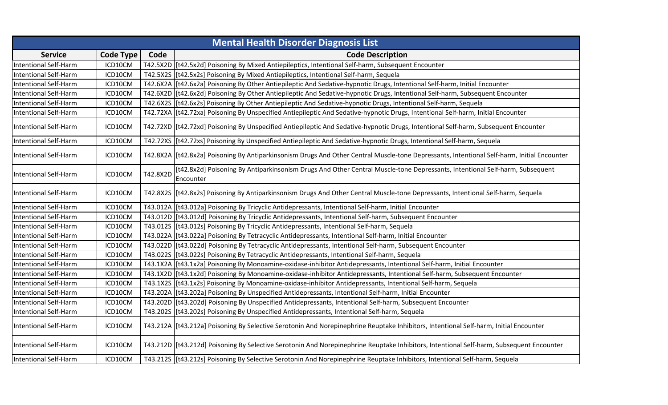|                              | <b>Mental Health Disorder Diagnosis List</b> |          |                                                                                                                                               |  |  |
|------------------------------|----------------------------------------------|----------|-----------------------------------------------------------------------------------------------------------------------------------------------|--|--|
| <b>Service</b>               | <b>Code Type</b>                             | Code     | <b>Code Description</b>                                                                                                                       |  |  |
| <b>Intentional Self-Harm</b> | ICD10CM                                      |          | T42.5X2D [[t42.5x2d] Poisoning By Mixed Antiepileptics, Intentional Self-harm, Subsequent Encounter                                           |  |  |
| <b>Intentional Self-Harm</b> | ICD10CM                                      |          | T42.5X2S [[t42.5x2s] Poisoning By Mixed Antiepileptics, Intentional Self-harm, Sequela                                                        |  |  |
| <b>Intentional Self-Harm</b> | ICD10CM                                      |          | T42.6X2A   [t42.6x2a] Poisoning By Other Antiepileptic And Sedative-hypnotic Drugs, Intentional Self-harm, Initial Encounter                  |  |  |
| Intentional Self-Harm        | ICD10CM                                      |          | T42.6X2D   [t42.6x2d] Poisoning By Other Antiepileptic And Sedative-hypnotic Drugs, Intentional Self-harm, Subsequent Encounter               |  |  |
| <b>Intentional Self-Harm</b> | ICD10CM                                      |          | T42.6X2S   [t42.6x2s] Poisoning By Other Antiepileptic And Sedative-hypnotic Drugs, Intentional Self-harm, Sequela                            |  |  |
| <b>Intentional Self-Harm</b> | ICD10CM                                      |          | T42.72XA   [t42.72xa] Poisoning By Unspecified Antiepileptic And Sedative-hypnotic Drugs, Intentional Self-harm, Initial Encounter            |  |  |
| Intentional Self-Harm        | ICD10CM                                      |          | T42.72XD   [t42.72xd] Poisoning By Unspecified Antiepileptic And Sedative-hypnotic Drugs, Intentional Self-harm, Subsequent Encounter         |  |  |
| <b>Intentional Self-Harm</b> | ICD10CM                                      |          | T42.72XS [[t42.72xs] Poisoning By Unspecified Antiepileptic And Sedative-hypnotic Drugs, Intentional Self-harm, Sequela                       |  |  |
| <b>Intentional Self-Harm</b> | ICD10CM                                      |          | T42.8X2A   [t42.8x2a] Poisoning By Antiparkinsonism Drugs And Other Central Muscle-tone Depressants, Intentional Self-harm, Initial Encounter |  |  |
| <b>Intentional Self-Harm</b> | ICD10CM                                      | T42.8X2D | [t42.8x2d] Poisoning By Antiparkinsonism Drugs And Other Central Muscle-tone Depressants, Intentional Self-harm, Subsequent<br>Encounter      |  |  |
| <b>Intentional Self-Harm</b> | ICD10CM                                      |          | T42.8X2S   [t42.8x2s] Poisoning By Antiparkinsonism Drugs And Other Central Muscle-tone Depressants, Intentional Self-harm, Sequela           |  |  |
| <b>Intentional Self-Harm</b> | ICD10CM                                      |          | T43.012A   [t43.012a] Poisoning By Tricyclic Antidepressants, Intentional Self-harm, Initial Encounter                                        |  |  |
| <b>Intentional Self-Harm</b> | ICD10CM                                      |          | T43.012D [[t43.012d] Poisoning By Tricyclic Antidepressants, Intentional Self-harm, Subsequent Encounter                                      |  |  |
| <b>Intentional Self-Harm</b> | ICD10CM                                      |          | T43.012S   [t43.012s] Poisoning By Tricyclic Antidepressants, Intentional Self-harm, Sequela                                                  |  |  |
| <b>Intentional Self-Harm</b> | ICD10CM                                      |          | T43.022A  [t43.022a] Poisoning By Tetracyclic Antidepressants, Intentional Self-harm, Initial Encounter                                       |  |  |
| <b>Intentional Self-Harm</b> | ICD10CM                                      |          | T43.022D   [t43.022d] Poisoning By Tetracyclic Antidepressants, Intentional Self-harm, Subsequent Encounter                                   |  |  |
| <b>Intentional Self-Harm</b> | ICD10CM                                      |          | T43.022S [t43.022s] Poisoning By Tetracyclic Antidepressants, Intentional Self-harm, Sequela                                                  |  |  |
| <b>Intentional Self-Harm</b> | ICD10CM                                      |          | T43.1X2A   [t43.1x2a] Poisoning By Monoamine-oxidase-inhibitor Antidepressants, Intentional Self-harm, Initial Encounter                      |  |  |
| <b>Intentional Self-Harm</b> | ICD10CM                                      |          | T43.1X2D   [t43.1x2d] Poisoning By Monoamine-oxidase-inhibitor Antidepressants, Intentional Self-harm, Subsequent Encounter                   |  |  |
| <b>Intentional Self-Harm</b> | ICD10CM                                      |          | T43.1X2S   [t43.1x2s] Poisoning By Monoamine-oxidase-inhibitor Antidepressants, Intentional Self-harm, Sequela                                |  |  |
| <b>Intentional Self-Harm</b> | ICD10CM                                      |          | T43.202A   [t43.202a] Poisoning By Unspecified Antidepressants, Intentional Self-harm, Initial Encounter                                      |  |  |
| <b>Intentional Self-Harm</b> | ICD10CM                                      |          | T43.202D [[t43.202d] Poisoning By Unspecified Antidepressants, Intentional Self-harm, Subsequent Encounter                                    |  |  |
| <b>Intentional Self-Harm</b> | ICD10CM                                      |          | T43.202S [[t43.202s] Poisoning By Unspecified Antidepressants, Intentional Self-harm, Sequela                                                 |  |  |
| <b>Intentional Self-Harm</b> | ICD10CM                                      |          | T43.212A   [t43.212a] Poisoning By Selective Serotonin And Norepinephrine Reuptake Inhibitors, Intentional Self-harm, Initial Encounter       |  |  |
| <b>Intentional Self-Harm</b> | ICD10CM                                      |          | T43.212D   [t43.212d] Poisoning By Selective Serotonin And Norepinephrine Reuptake Inhibitors, Intentional Self-harm, Subsequent Encounter    |  |  |
| <b>Intentional Self-Harm</b> | ICD10CM                                      |          | T43.2125   [t43.212s] Poisoning By Selective Serotonin And Norepinephrine Reuptake Inhibitors, Intentional Self-harm, Sequela                 |  |  |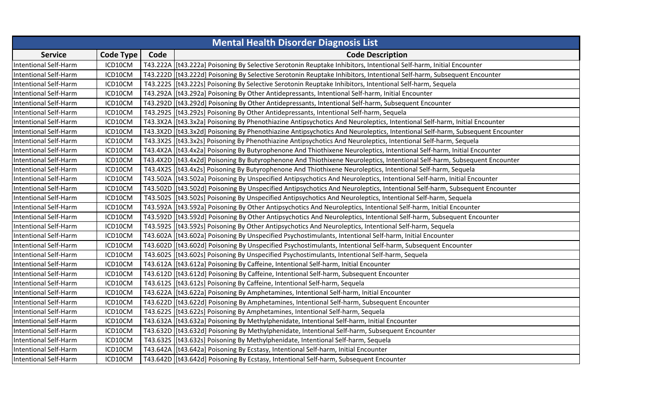| <b>Mental Health Disorder Diagnosis List</b> |           |      |                                                                                                                               |  |
|----------------------------------------------|-----------|------|-------------------------------------------------------------------------------------------------------------------------------|--|
| <b>Service</b>                               | Code Type | Code | <b>Code Description</b>                                                                                                       |  |
| <b>Intentional Self-Harm</b>                 | ICD10CM   |      | T43.222A  [t43.222a] Poisoning By Selective Serotonin Reuptake Inhibitors, Intentional Self-harm, Initial Encounter           |  |
| <b>Intentional Self-Harm</b>                 | ICD10CM   |      | T43.222D   [t43.222d] Poisoning By Selective Serotonin Reuptake Inhibitors, Intentional Self-harm, Subsequent Encounter       |  |
| <b>Intentional Self-Harm</b>                 | ICD10CM   |      | T43.222S   [t43.222s] Poisoning By Selective Serotonin Reuptake Inhibitors, Intentional Self-harm, Sequela                    |  |
| <b>Intentional Self-Harm</b>                 | ICD10CM   |      | T43.292A   [t43.292a] Poisoning By Other Antidepressants, Intentional Self-harm, Initial Encounter                            |  |
| <b>Intentional Self-Harm</b>                 | ICD10CM   |      | T43.292D [[t43.292d] Poisoning By Other Antidepressants, Intentional Self-harm, Subsequent Encounter                          |  |
| <b>Intentional Self-Harm</b>                 | ICD10CM   |      | T43.292S [t43.292s] Poisoning By Other Antidepressants, Intentional Self-harm, Sequela                                        |  |
| <b>Intentional Self-Harm</b>                 | ICD10CM   |      | T43.3X2A   [t43.3x2a] Poisoning By Phenothiazine Antipsychotics And Neuroleptics, Intentional Self-harm, Initial Encounter    |  |
| <b>Intentional Self-Harm</b>                 | ICD10CM   |      | T43.3X2D   [t43.3x2d] Poisoning By Phenothiazine Antipsychotics And Neuroleptics, Intentional Self-harm, Subsequent Encounter |  |
| <b>Intentional Self-Harm</b>                 | ICD10CM   |      | T43.3X2S [[t43.3x2s] Poisoning By Phenothiazine Antipsychotics And Neuroleptics, Intentional Self-harm, Sequela               |  |
| <b>Intentional Self-Harm</b>                 | ICD10CM   |      | T43.4X2A   [t43.4x2a] Poisoning By Butyrophenone And Thiothixene Neuroleptics, Intentional Self-harm, Initial Encounter       |  |
| <b>Intentional Self-Harm</b>                 | ICD10CM   |      | T43.4X2D   [t43.4x2d] Poisoning By Butyrophenone And Thiothixene Neuroleptics, Intentional Self-harm, Subsequent Encounter    |  |
| <b>Intentional Self-Harm</b>                 | ICD10CM   |      | T43.4X2S   [t43.4x2s] Poisoning By Butyrophenone And Thiothixene Neuroleptics, Intentional Self-harm, Sequela                 |  |
| <b>Intentional Self-Harm</b>                 | ICD10CM   |      | T43.502A   [t43.502a] Poisoning By Unspecified Antipsychotics And Neuroleptics, Intentional Self-harm, Initial Encounter      |  |
| <b>Intentional Self-Harm</b>                 | ICD10CM   |      | T43.502D   [t43.502d] Poisoning By Unspecified Antipsychotics And Neuroleptics, Intentional Self-harm, Subsequent Encounter   |  |
| <b>Intentional Self-Harm</b>                 | ICD10CM   |      | T43.502S   [t43.502s] Poisoning By Unspecified Antipsychotics And Neuroleptics, Intentional Self-harm, Sequela                |  |
| <b>Intentional Self-Harm</b>                 | ICD10CM   |      | T43.592A   [t43.592a] Poisoning By Other Antipsychotics And Neuroleptics, Intentional Self-harm, Initial Encounter            |  |
| <b>Intentional Self-Harm</b>                 | ICD10CM   |      | T43.592D [[t43.592d] Poisoning By Other Antipsychotics And Neuroleptics, Intentional Self-harm, Subsequent Encounter          |  |
| <b>Intentional Self-Harm</b>                 | ICD10CM   |      | T43.592S   [t43.592s] Poisoning By Other Antipsychotics And Neuroleptics, Intentional Self-harm, Sequela                      |  |
| <b>Intentional Self-Harm</b>                 | ICD10CM   |      | T43.602A   [t43.602a] Poisoning By Unspecified Psychostimulants, Intentional Self-harm, Initial Encounter                     |  |
| <b>Intentional Self-Harm</b>                 | ICD10CM   |      | T43.602D [[t43.602d] Poisoning By Unspecified Psychostimulants, Intentional Self-harm, Subsequent Encounter                   |  |
| <b>Intentional Self-Harm</b>                 | ICD10CM   |      | T43.602S [[t43.602s] Poisoning By Unspecified Psychostimulants, Intentional Self-harm, Sequela                                |  |
| <b>Intentional Self-Harm</b>                 | ICD10CM   |      | T43.612A   [t43.612a] Poisoning By Caffeine, Intentional Self-harm, Initial Encounter                                         |  |
| <b>Intentional Self-Harm</b>                 | ICD10CM   |      | T43.612D   [t43.612d] Poisoning By Caffeine, Intentional Self-harm, Subsequent Encounter                                      |  |
| <b>Intentional Self-Harm</b>                 | ICD10CM   |      | T43.612S   [t43.612s] Poisoning By Caffeine, Intentional Self-harm, Sequela                                                   |  |
| <b>Intentional Self-Harm</b>                 | ICD10CM   |      | T43.622A   [t43.622a] Poisoning By Amphetamines, Intentional Self-harm, Initial Encounter                                     |  |
| <b>Intentional Self-Harm</b>                 | ICD10CM   |      | T43.622D  [t43.622d] Poisoning By Amphetamines, Intentional Self-harm, Subsequent Encounter                                   |  |
| <b>Intentional Self-Harm</b>                 | ICD10CM   |      | T43.622S [t43.622s] Poisoning By Amphetamines, Intentional Self-harm, Sequela                                                 |  |
| <b>Intentional Self-Harm</b>                 | ICD10CM   |      | T43.632A   [t43.632a] Poisoning By Methylphenidate, Intentional Self-harm, Initial Encounter                                  |  |
| <b>Intentional Self-Harm</b>                 | ICD10CM   |      | T43.632D   [t43.632d] Poisoning By Methylphenidate, Intentional Self-harm, Subsequent Encounter                               |  |
| <b>Intentional Self-Harm</b>                 | ICD10CM   |      | T43.632S [[t43.632s] Poisoning By Methylphenidate, Intentional Self-harm, Sequela                                             |  |
| <b>Intentional Self-Harm</b>                 | ICD10CM   |      | T43.642A [t43.642a] Poisoning By Ecstasy, Intentional Self-harm, Initial Encounter                                            |  |
| <b>Intentional Self-Harm</b>                 | ICD10CM   |      | T43.642D [[t43.642d] Poisoning By Ecstasy, Intentional Self-harm, Subsequent Encounter                                        |  |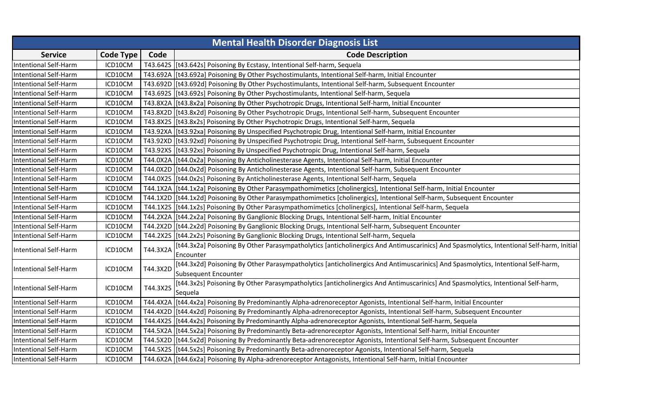| <b>Mental Health Disorder Diagnosis List</b> |                  |          |                                                                                                                                                       |  |
|----------------------------------------------|------------------|----------|-------------------------------------------------------------------------------------------------------------------------------------------------------|--|
| <b>Service</b>                               | <b>Code Type</b> | Code     | <b>Code Description</b>                                                                                                                               |  |
| <b>Intentional Self-Harm</b>                 | ICD10CM          |          | T43.642S [[t43.642s] Poisoning By Ecstasy, Intentional Self-harm, Sequela                                                                             |  |
| <b>Intentional Self-Harm</b>                 | ICD10CM          |          | T43.692A   [t43.692a] Poisoning By Other Psychostimulants, Intentional Self-harm, Initial Encounter                                                   |  |
| <b>Intentional Self-Harm</b>                 | ICD10CM          |          | T43.692D   [t43.692d] Poisoning By Other Psychostimulants, Intentional Self-harm, Subsequent Encounter                                                |  |
| <b>Intentional Self-Harm</b>                 | ICD10CM          |          | T43.692S   [t43.692s] Poisoning By Other Psychostimulants, Intentional Self-harm, Sequela                                                             |  |
| <b>Intentional Self-Harm</b>                 | ICD10CM          |          | T43.8X2A   [t43.8x2a] Poisoning By Other Psychotropic Drugs, Intentional Self-harm, Initial Encounter                                                 |  |
| <b>Intentional Self-Harm</b>                 | ICD10CM          |          | T43.8X2D   [t43.8x2d] Poisoning By Other Psychotropic Drugs, Intentional Self-harm, Subsequent Encounter                                              |  |
| <b>Intentional Self-Harm</b>                 | ICD10CM          |          | T43.8X2S   [t43.8x2s] Poisoning By Other Psychotropic Drugs, Intentional Self-harm, Sequela                                                           |  |
| Intentional Self-Harm                        | ICD10CM          |          | T43.92XA   [t43.92xa] Poisoning By Unspecified Psychotropic Drug, Intentional Self-harm, Initial Encounter                                            |  |
| <b>Intentional Self-Harm</b>                 | ICD10CM          |          | T43.92XD   [t43.92xd] Poisoning By Unspecified Psychotropic Drug, Intentional Self-harm, Subsequent Encounter                                         |  |
| <b>Intentional Self-Harm</b>                 | ICD10CM          |          | T43.92XS   [t43.92xs] Poisoning By Unspecified Psychotropic Drug, Intentional Self-harm, Sequela                                                      |  |
| <b>Intentional Self-Harm</b>                 | ICD10CM          |          | T44.0X2A   [t44.0x2a] Poisoning By Anticholinesterase Agents, Intentional Self-harm, Initial Encounter                                                |  |
| <b>Intentional Self-Harm</b>                 | ICD10CM          |          | T44.0X2D   [t44.0x2d] Poisoning By Anticholinesterase Agents, Intentional Self-harm, Subsequent Encounter                                             |  |
| <b>Intentional Self-Harm</b>                 | ICD10CM          |          | T44.0X2S   [t44.0x2s] Poisoning By Anticholinesterase Agents, Intentional Self-harm, Sequela                                                          |  |
| <b>Intentional Self-Harm</b>                 | ICD10CM          |          | T44.1X2A   [t44.1x2a] Poisoning By Other Parasympathomimetics [cholinergics], Intentional Self-harm, Initial Encounter                                |  |
| <b>Intentional Self-Harm</b>                 | ICD10CM          |          | T44.1X2D   [t44.1x2d] Poisoning By Other Parasympathomimetics [cholinergics], Intentional Self-harm, Subsequent Encounter                             |  |
| <b>Intentional Self-Harm</b>                 | ICD10CM          |          | T44.1X2S   [t44.1x2s] Poisoning By Other Parasympathomimetics [cholinergics], Intentional Self-harm, Sequela                                          |  |
| <b>Intentional Self-Harm</b>                 | ICD10CM          |          | T44.2X2A   [t44.2x2a] Poisoning By Ganglionic Blocking Drugs, Intentional Self-harm, Initial Encounter                                                |  |
| <b>Intentional Self-Harm</b>                 | ICD10CM          |          | T44.2X2D [[t44.2x2d] Poisoning By Ganglionic Blocking Drugs, Intentional Self-harm, Subsequent Encounter                                              |  |
| <b>Intentional Self-Harm</b>                 | ICD10CM          |          | T44.2X2S   [t44.2x2s] Poisoning By Ganglionic Blocking Drugs, Intentional Self-harm, Sequela                                                          |  |
| <b>Intentional Self-Harm</b>                 | ICD10CM          | T44.3X2A | [t44.3x2a] Poisoning By Other Parasympatholytics [anticholinergics And Antimuscarinics] And Spasmolytics, Intentional Self-harm, Initial<br>Encounter |  |
|                                              |                  |          | [t44.3x2d] Poisoning By Other Parasympatholytics [anticholinergics And Antimuscarinics] And Spasmolytics, Intentional Self-harm,                      |  |
| <b>Intentional Self-Harm</b>                 | ICD10CM          | T44.3X2D | Subsequent Encounter                                                                                                                                  |  |
|                                              |                  |          | [t44.3x2s] Poisoning By Other Parasympatholytics [anticholinergics And Antimuscarinics] And Spasmolytics, Intentional Self-harm,                      |  |
| <b>Intentional Self-Harm</b>                 | ICD10CM          | T44.3X2S | Sequela                                                                                                                                               |  |
| <b>Intentional Self-Harm</b>                 | ICD10CM          |          | T44.4X2A   [t44.4x2a] Poisoning By Predominantly Alpha-adrenoreceptor Agonists, Intentional Self-harm, Initial Encounter                              |  |
| <b>Intentional Self-Harm</b>                 | ICD10CM          |          | T44.4X2D   [t44.4x2d] Poisoning By Predominantly Alpha-adrenoreceptor Agonists, Intentional Self-harm, Subsequent Encounter                           |  |
| <b>Intentional Self-Harm</b>                 | ICD10CM          |          | T44.4X2S   [t44.4x2s] Poisoning By Predominantly Alpha-adrenoreceptor Agonists, Intentional Self-harm, Sequela                                        |  |
| <b>Intentional Self-Harm</b>                 | ICD10CM          |          | T44.5X2A   [t44.5x2a] Poisoning By Predominantly Beta-adrenoreceptor Agonists, Intentional Self-harm, Initial Encounter                               |  |
| <b>Intentional Self-Harm</b>                 | ICD10CM          |          | T44.5X2D   [t44.5x2d] Poisoning By Predominantly Beta-adrenoreceptor Agonists, Intentional Self-harm, Subsequent Encounter                            |  |
| <b>Intentional Self-Harm</b>                 | ICD10CM          |          | T44.5X2S   [t44.5x2s] Poisoning By Predominantly Beta-adrenoreceptor Agonists, Intentional Self-harm, Sequela                                         |  |
| <b>Intentional Self-Harm</b>                 | ICD10CM          |          | T44.6X2A   [t44.6x2a] Poisoning By Alpha-adrenoreceptor Antagonists, Intentional Self-harm, Initial Encounter                                         |  |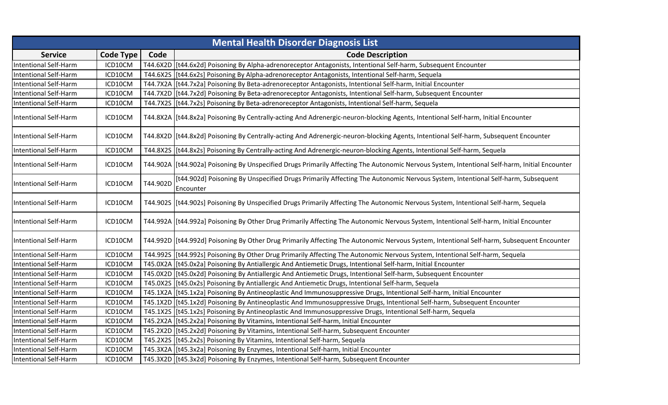|                              | <b>Mental Health Disorder Diagnosis List</b> |          |                                                                                                                                                 |  |  |
|------------------------------|----------------------------------------------|----------|-------------------------------------------------------------------------------------------------------------------------------------------------|--|--|
| <b>Service</b>               | <b>Code Type</b>                             | Code     | <b>Code Description</b>                                                                                                                         |  |  |
| <b>Intentional Self-Harm</b> | ICD10CM                                      |          | T44.6X2D   [t44.6x2d] Poisoning By Alpha-adrenoreceptor Antagonists, Intentional Self-harm, Subsequent Encounter                                |  |  |
| <b>Intentional Self-Harm</b> | ICD10CM                                      |          | T44.6X2S [[t44.6x2s] Poisoning By Alpha-adrenoreceptor Antagonists, Intentional Self-harm, Sequela                                              |  |  |
| <b>Intentional Self-Harm</b> | ICD10CM                                      |          | T44.7X2A   [t44.7x2a] Poisoning By Beta-adrenoreceptor Antagonists, Intentional Self-harm, Initial Encounter                                    |  |  |
| <b>Intentional Self-Harm</b> | ICD10CM                                      |          | T44.7X2D   [t44.7x2d] Poisoning By Beta-adrenoreceptor Antagonists, Intentional Self-harm, Subsequent Encounter                                 |  |  |
| <b>Intentional Self-Harm</b> | ICD10CM                                      |          | T44.7X2S   [t44.7x2s] Poisoning By Beta-adrenoreceptor Antagonists, Intentional Self-harm, Sequela                                              |  |  |
| <b>Intentional Self-Harm</b> | ICD10CM                                      |          | T44.8X2A   [t44.8x2a] Poisoning By Centrally-acting And Adrenergic-neuron-blocking Agents, Intentional Self-harm, Initial Encounter             |  |  |
| Intentional Self-Harm        | ICD10CM                                      |          | T44.8X2D  [t44.8x2d] Poisoning By Centrally-acting And Adrenergic-neuron-blocking Agents, Intentional Self-harm, Subsequent Encounter           |  |  |
| <b>Intentional Self-Harm</b> | ICD10CM                                      |          | T44.8X2S   [t44.8x2s] Poisoning By Centrally-acting And Adrenergic-neuron-blocking Agents, Intentional Self-harm, Sequela                       |  |  |
| <b>Intentional Self-Harm</b> | ICD10CM                                      |          | T44.902A   [t44.902a] Poisoning By Unspecified Drugs Primarily Affecting The Autonomic Nervous System, Intentional Self-harm, Initial Encounter |  |  |
| <b>Intentional Self-Harm</b> | ICD10CM                                      | T44.902D | [t44.902d] Poisoning By Unspecified Drugs Primarily Affecting The Autonomic Nervous System, Intentional Self-harm, Subsequent<br>Encounter      |  |  |
| <b>Intentional Self-Harm</b> | ICD10CM                                      |          | T44.902S   [t44.902s] Poisoning By Unspecified Drugs Primarily Affecting The Autonomic Nervous System, Intentional Self-harm, Sequela           |  |  |
| <b>Intentional Self-Harm</b> | ICD10CM                                      |          | T44.992A   [t44.992a] Poisoning By Other Drug Primarily Affecting The Autonomic Nervous System, Intentional Self-harm, Initial Encounter        |  |  |
| <b>Intentional Self-Harm</b> | ICD10CM                                      |          | T44.992D  [t44.992d] Poisoning By Other Drug Primarily Affecting The Autonomic Nervous System, Intentional Self-harm, Subsequent Encounter      |  |  |
| Intentional Self-Harm        | ICD10CM                                      |          | T44.9925  [t44.992s] Poisoning By Other Drug Primarily Affecting The Autonomic Nervous System, Intentional Self-harm, Sequela                   |  |  |
| <b>Intentional Self-Harm</b> | ICD10CM                                      |          | T45.0X2A   [t45.0x2a] Poisoning By Antiallergic And Antiemetic Drugs, Intentional Self-harm, Initial Encounter                                  |  |  |
| <b>Intentional Self-Harm</b> | ICD10CM                                      |          | T45.0X2D   [t45.0x2d] Poisoning By Antiallergic And Antiemetic Drugs, Intentional Self-harm, Subsequent Encounter                               |  |  |
| <b>Intentional Self-Harm</b> | ICD10CM                                      |          | T45.0X2S   [t45.0x2s] Poisoning By Antiallergic And Antiemetic Drugs, Intentional Self-harm, Sequela                                            |  |  |
| <b>Intentional Self-Harm</b> | ICD10CM                                      |          | T45.1X2A   [t45.1x2a] Poisoning By Antineoplastic And Immunosuppressive Drugs, Intentional Self-harm, Initial Encounter                         |  |  |
| <b>Intentional Self-Harm</b> | ICD10CM                                      |          | T45.1X2D   [t45.1x2d] Poisoning By Antineoplastic And Immunosuppressive Drugs, Intentional Self-harm, Subsequent Encounter                      |  |  |
| <b>Intentional Self-Harm</b> | ICD10CM                                      |          | T45.1X2S [t45.1x2s] Poisoning By Antineoplastic And Immunosuppressive Drugs, Intentional Self-harm, Sequela                                     |  |  |
| <b>Intentional Self-Harm</b> | ICD10CM                                      |          | T45.2X2A   [t45.2x2a] Poisoning By Vitamins, Intentional Self-harm, Initial Encounter                                                           |  |  |
| <b>Intentional Self-Harm</b> | ICD10CM                                      |          | T45.2X2D   [t45.2x2d] Poisoning By Vitamins, Intentional Self-harm, Subsequent Encounter                                                        |  |  |
| <b>Intentional Self-Harm</b> | ICD10CM                                      |          | T45.2X2S [[t45.2x2s] Poisoning By Vitamins, Intentional Self-harm, Sequela                                                                      |  |  |
| <b>Intentional Self-Harm</b> | ICD10CM                                      |          | T45.3X2A   [t45.3x2a] Poisoning By Enzymes, Intentional Self-harm, Initial Encounter                                                            |  |  |
| <b>Intentional Self-Harm</b> | ICD10CM                                      |          | T45.3X2D [[t45.3x2d] Poisoning By Enzymes, Intentional Self-harm, Subsequent Encounter                                                          |  |  |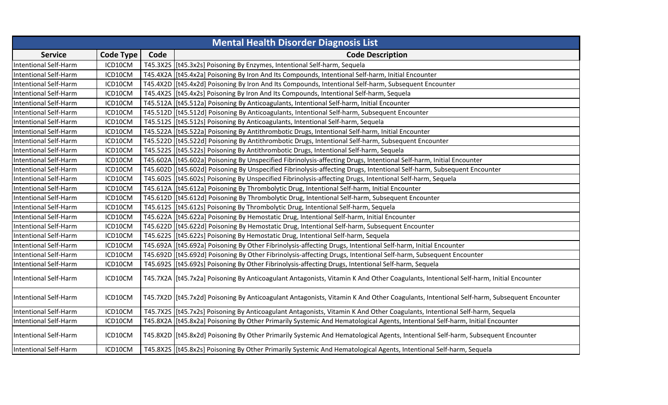| <b>Mental Health Disorder Diagnosis List</b> |                  |      |                                                                                                                                           |  |
|----------------------------------------------|------------------|------|-------------------------------------------------------------------------------------------------------------------------------------------|--|
| <b>Service</b>                               | <b>Code Type</b> | Code | <b>Code Description</b>                                                                                                                   |  |
| <b>Intentional Self-Harm</b>                 | ICD10CM          |      | T45.3X2S [[t45.3x2s] Poisoning By Enzymes, Intentional Self-harm, Sequela                                                                 |  |
| <b>Intentional Self-Harm</b>                 | ICD10CM          |      | T45.4X2A   [t45.4x2a] Poisoning By Iron And Its Compounds, Intentional Self-harm, Initial Encounter                                       |  |
| <b>Intentional Self-Harm</b>                 | ICD10CM          |      | T45.4X2D   [t45.4x2d] Poisoning By Iron And Its Compounds, Intentional Self-harm, Subsequent Encounter                                    |  |
| <b>Intentional Self-Harm</b>                 | ICD10CM          |      | T45.4X2S   [t45.4x2s] Poisoning By Iron And Its Compounds, Intentional Self-harm, Sequela                                                 |  |
| <b>Intentional Self-Harm</b>                 | ICD10CM          |      | T45.512A   [t45.512a] Poisoning By Anticoagulants, Intentional Self-harm, Initial Encounter                                               |  |
| <b>Intentional Self-Harm</b>                 | ICD10CM          |      | T45.512D [[t45.512d] Poisoning By Anticoagulants, Intentional Self-harm, Subsequent Encounter                                             |  |
| <b>Intentional Self-Harm</b>                 | ICD10CM          |      | T45.512S [[t45.512s] Poisoning By Anticoagulants, Intentional Self-harm, Sequela                                                          |  |
| <b>Intentional Self-Harm</b>                 | ICD10CM          |      | T45.522A   [t45.522a] Poisoning By Antithrombotic Drugs, Intentional Self-harm, Initial Encounter                                         |  |
| <b>Intentional Self-Harm</b>                 | ICD10CM          |      | T45.522D   [t45.522d] Poisoning By Antithrombotic Drugs, Intentional Self-harm, Subsequent Encounter                                      |  |
| <b>Intentional Self-Harm</b>                 | ICD10CM          |      | T45.522S [t45.522s] Poisoning By Antithrombotic Drugs, Intentional Self-harm, Sequela                                                     |  |
| <b>Intentional Self-Harm</b>                 | ICD10CM          |      | T45.602A   [t45.602a] Poisoning By Unspecified Fibrinolysis-affecting Drugs, Intentional Self-harm, Initial Encounter                     |  |
| <b>Intentional Self-Harm</b>                 | ICD10CM          |      | T45.602D [[t45.602d] Poisoning By Unspecified Fibrinolysis-affecting Drugs, Intentional Self-harm, Subsequent Encounter                   |  |
| <b>Intentional Self-Harm</b>                 | ICD10CM          |      | T45.602S   [t45.602s] Poisoning By Unspecified Fibrinolysis-affecting Drugs, Intentional Self-harm, Sequela                               |  |
| <b>Intentional Self-Harm</b>                 | ICD10CM          |      | T45.612A   [t45.612a] Poisoning By Thrombolytic Drug, Intentional Self-harm, Initial Encounter                                            |  |
| <b>Intentional Self-Harm</b>                 | ICD10CM          |      | T45.612D  [t45.612d] Poisoning By Thrombolytic Drug, Intentional Self-harm, Subsequent Encounter                                          |  |
| <b>Intentional Self-Harm</b>                 | ICD10CM          |      | T45.612S   [t45.612s] Poisoning By Thrombolytic Drug, Intentional Self-harm, Sequela                                                      |  |
| <b>Intentional Self-Harm</b>                 | ICD10CM          |      | T45.622A   [t45.622a] Poisoning By Hemostatic Drug, Intentional Self-harm, Initial Encounter                                              |  |
| <b>Intentional Self-Harm</b>                 | ICD10CM          |      | T45.622D [t45.622d] Poisoning By Hemostatic Drug, Intentional Self-harm, Subsequent Encounter                                             |  |
| <b>Intentional Self-Harm</b>                 | ICD10CM          |      | T45.622S [t45.622s] Poisoning By Hemostatic Drug, Intentional Self-harm, Sequela                                                          |  |
| Intentional Self-Harm                        | ICD10CM          |      | T45.692A   [t45.692a] Poisoning By Other Fibrinolysis-affecting Drugs, Intentional Self-harm, Initial Encounter                           |  |
| <b>Intentional Self-Harm</b>                 | ICD10CM          |      | T45.692D [[t45.692d] Poisoning By Other Fibrinolysis-affecting Drugs, Intentional Self-harm, Subsequent Encounter                         |  |
| <b>Intentional Self-Harm</b>                 | ICD10CM          |      | T45.692S [t45.692s] Poisoning By Other Fibrinolysis-affecting Drugs, Intentional Self-harm, Sequela                                       |  |
| <b>Intentional Self-Harm</b>                 | ICD10CM          |      | T45.7X2A   [t45.7x2a] Poisoning By Anticoagulant Antagonists, Vitamin K And Other Coagulants, Intentional Self-harm, Initial Encounter    |  |
| <b>Intentional Self-Harm</b>                 | ICD10CM          |      | T45.7X2D   [t45.7x2d] Poisoning By Anticoagulant Antagonists, Vitamin K And Other Coagulants, Intentional Self-harm, Subsequent Encounter |  |
| <b>Intentional Self-Harm</b>                 | ICD10CM          |      | T45.7X2S [t45.7x2s] Poisoning By Anticoagulant Antagonists, Vitamin K And Other Coagulants, Intentional Self-harm, Sequela                |  |
| <b>Intentional Self-Harm</b>                 | ICD10CM          |      | T45.8X2A  [t45.8x2a] Poisoning By Other Primarily Systemic And Hematological Agents, Intentional Self-harm, Initial Encounter             |  |
| <b>Intentional Self-Harm</b>                 | ICD10CM          |      | T45.8X2D   [t45.8x2d] Poisoning By Other Primarily Systemic And Hematological Agents, Intentional Self-harm, Subsequent Encounter         |  |
| <b>Intentional Self-Harm</b>                 | ICD10CM          |      | T45.8X2S   [t45.8x2s] Poisoning By Other Primarily Systemic And Hematological Agents, Intentional Self-harm, Sequela                      |  |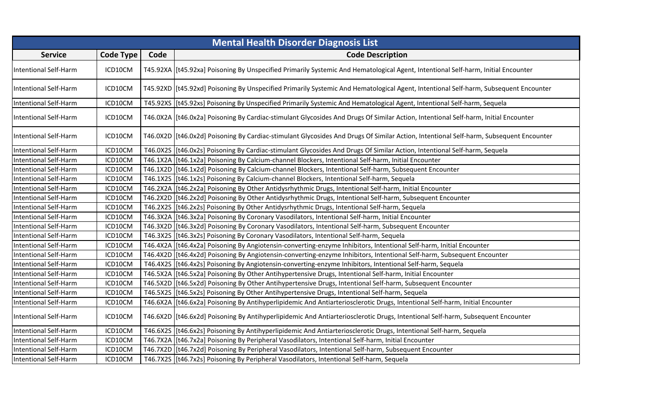| <b>Mental Health Disorder Diagnosis List</b> |                  |      |                                                                                                                                         |
|----------------------------------------------|------------------|------|-----------------------------------------------------------------------------------------------------------------------------------------|
| <b>Service</b>                               | <b>Code Type</b> | Code | <b>Code Description</b>                                                                                                                 |
| <b>Intentional Self-Harm</b>                 | ICD10CM          |      | T45.92XA [t45.92xa] Poisoning By Unspecified Primarily Systemic And Hematological Agent, Intentional Self-harm, Initial Encounter       |
| <b>Intentional Self-Harm</b>                 | ICD10CM          |      | T45.92XD  [t45.92xd] Poisoning By Unspecified Primarily Systemic And Hematological Agent, Intentional Self-harm, Subsequent Encounter   |
| <b>Intentional Self-Harm</b>                 | ICD10CM          |      | T45.92XS [[t45.92xs] Poisoning By Unspecified Primarily Systemic And Hematological Agent, Intentional Self-harm, Sequela                |
| <b>Intentional Self-Harm</b>                 | ICD10CM          |      | T46.0X2A   [t46.0x2a] Poisoning By Cardiac-stimulant Glycosides And Drugs Of Similar Action, Intentional Self-harm, Initial Encounter   |
| <b>Intentional Self-Harm</b>                 | ICD10CM          |      | T46.0X2D [[t46.0x2d] Poisoning By Cardiac-stimulant Glycosides And Drugs Of Similar Action, Intentional Self-harm, Subsequent Encounter |
| <b>Intentional Self-Harm</b>                 | ICD10CM          |      | T46.0X2S   [t46.0x2s] Poisoning By Cardiac-stimulant Glycosides And Drugs Of Similar Action, Intentional Self-harm, Sequela             |
| <b>Intentional Self-Harm</b>                 | ICD10CM          |      | T46.1X2A   [t46.1x2a] Poisoning By Calcium-channel Blockers, Intentional Self-harm, Initial Encounter                                   |
| <b>Intentional Self-Harm</b>                 | ICD10CM          |      | T46.1X2D   [t46.1x2d] Poisoning By Calcium-channel Blockers, Intentional Self-harm, Subsequent Encounter                                |
| <b>Intentional Self-Harm</b>                 | ICD10CM          |      | T46.1X2S   [t46.1x2s] Poisoning By Calcium-channel Blockers, Intentional Self-harm, Sequela                                             |
| <b>Intentional Self-Harm</b>                 | ICD10CM          |      | T46.2X2A   [t46.2x2a] Poisoning By Other Antidysrhythmic Drugs, Intentional Self-harm, Initial Encounter                                |
| <b>Intentional Self-Harm</b>                 | ICD10CM          |      | T46.2X2D [[t46.2x2d] Poisoning By Other Antidysrhythmic Drugs, Intentional Self-harm, Subsequent Encounter                              |
| <b>Intentional Self-Harm</b>                 | ICD10CM          |      | T46.2X2S   [t46.2x2s] Poisoning By Other Antidysrhythmic Drugs, Intentional Self-harm, Sequela                                          |
| <b>Intentional Self-Harm</b>                 | ICD10CM          |      | T46.3X2A   [t46.3x2a] Poisoning By Coronary Vasodilators, Intentional Self-harm, Initial Encounter                                      |
| <b>Intentional Self-Harm</b>                 | ICD10CM          |      | T46.3X2D [[t46.3x2d] Poisoning By Coronary Vasodilators, Intentional Self-harm, Subsequent Encounter                                    |
| <b>Intentional Self-Harm</b>                 | ICD10CM          |      | T46.3X2S [[t46.3x2s] Poisoning By Coronary Vasodilators, Intentional Self-harm, Sequela                                                 |
| <b>Intentional Self-Harm</b>                 | ICD10CM          |      | T46.4X2A   [t46.4x2a] Poisoning By Angiotensin-converting-enzyme Inhibitors, Intentional Self-harm, Initial Encounter                   |
| <b>Intentional Self-Harm</b>                 | ICD10CM          |      | T46.4X2D   [t46.4x2d] Poisoning By Angiotensin-converting-enzyme Inhibitors, Intentional Self-harm, Subsequent Encounter                |
| <b>Intentional Self-Harm</b>                 | ICD10CM          |      | T46.4X2S   [t46.4x2s] Poisoning By Angiotensin-converting-enzyme Inhibitors, Intentional Self-harm, Sequela                             |
| <b>Intentional Self-Harm</b>                 | ICD10CM          |      | T46.5X2A   [t46.5x2a] Poisoning By Other Antihypertensive Drugs, Intentional Self-harm, Initial Encounter                               |
| <b>Intentional Self-Harm</b>                 | ICD10CM          |      | T46.5X2D   [t46.5x2d] Poisoning By Other Antihypertensive Drugs, Intentional Self-harm, Subsequent Encounter                            |
| <b>Intentional Self-Harm</b>                 | ICD10CM          |      | T46.5X2S [t46.5x2s] Poisoning By Other Antihypertensive Drugs, Intentional Self-harm, Sequela                                           |
| Intentional Self-Harm                        | ICD10CM          |      | T46.6X2A   [t46.6x2a] Poisoning By Antihyperlipidemic And Antiarteriosclerotic Drugs, Intentional Self-harm, Initial Encounter          |
| <b>Intentional Self-Harm</b>                 | ICD10CM          |      | T46.6X2D   [t46.6x2d] Poisoning By Antihyperlipidemic And Antiarteriosclerotic Drugs, Intentional Self-harm, Subsequent Encounter       |
| <b>Intentional Self-Harm</b>                 | ICD10CM          |      | T46.6X2S   [t46.6x2s] Poisoning By Antihyperlipidemic And Antiarteriosclerotic Drugs, Intentional Self-harm, Sequela                    |
| <b>Intentional Self-Harm</b>                 | ICD10CM          |      | T46.7X2A   [t46.7x2a] Poisoning By Peripheral Vasodilators, Intentional Self-harm, Initial Encounter                                    |
| <b>Intentional Self-Harm</b>                 | ICD10CM          |      | T46.7X2D   [t46.7x2d] Poisoning By Peripheral Vasodilators, Intentional Self-harm, Subsequent Encounter                                 |
| <b>Intentional Self-Harm</b>                 | ICD10CM          |      | T46.7X2S [t46.7x2s] Poisoning By Peripheral Vasodilators, Intentional Self-harm, Sequela                                                |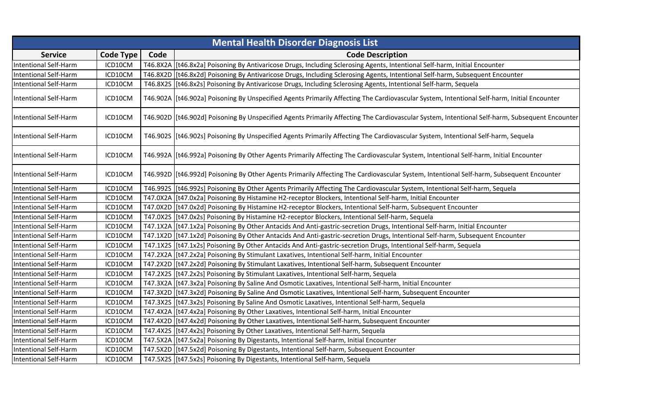|                              | <b>Mental Health Disorder Diagnosis List</b> |      |                                                                                                                                                 |  |  |
|------------------------------|----------------------------------------------|------|-------------------------------------------------------------------------------------------------------------------------------------------------|--|--|
| <b>Service</b>               | <b>Code Type</b>                             | Code | <b>Code Description</b>                                                                                                                         |  |  |
| <b>Intentional Self-Harm</b> | ICD10CM                                      |      | T46.8X2A   [t46.8x2a] Poisoning By Antivaricose Drugs, Including Sclerosing Agents, Intentional Self-harm, Initial Encounter                    |  |  |
| <b>Intentional Self-Harm</b> | ICD10CM                                      |      | T46.8X2D  [t46.8x2d] Poisoning By Antivaricose Drugs, Including Sclerosing Agents, Intentional Self-harm, Subsequent Encounter                  |  |  |
| <b>Intentional Self-Harm</b> | ICD10CM                                      |      | T46.8X2S   [t46.8x2s] Poisoning By Antivaricose Drugs, Including Sclerosing Agents, Intentional Self-harm, Sequela                              |  |  |
| <b>Intentional Self-Harm</b> | ICD10CM                                      |      | T46.902A  [t46.902a] Poisoning By Unspecified Agents Primarily Affecting The Cardiovascular System, Intentional Self-harm, Initial Encounter    |  |  |
| <b>Intentional Self-Harm</b> | ICD10CM                                      |      | T46.902D  [t46.902d] Poisoning By Unspecified Agents Primarily Affecting The Cardiovascular System, Intentional Self-harm, Subsequent Encounter |  |  |
| <b>Intentional Self-Harm</b> | ICD10CM                                      |      | T46.9025  [t46.902s] Poisoning By Unspecified Agents Primarily Affecting The Cardiovascular System, Intentional Self-harm, Sequela              |  |  |
| <b>Intentional Self-Harm</b> | ICD10CM                                      |      | T46.992A   [t46.992a] Poisoning By Other Agents Primarily Affecting The Cardiovascular System, Intentional Self-harm, Initial Encounter         |  |  |
| <b>Intentional Self-Harm</b> | ICD10CM                                      |      | T46.992D [[t46.992d] Poisoning By Other Agents Primarily Affecting The Cardiovascular System, Intentional Self-harm, Subsequent Encounter       |  |  |
| <b>Intentional Self-Harm</b> | ICD10CM                                      |      | T46.992S  [t46.992s] Poisoning By Other Agents Primarily Affecting The Cardiovascular System, Intentional Self-harm, Sequela                    |  |  |
| <b>Intentional Self-Harm</b> | ICD10CM                                      |      | T47.0X2A   [t47.0x2a] Poisoning By Histamine H2-receptor Blockers, Intentional Self-harm, Initial Encounter                                     |  |  |
| <b>Intentional Self-Harm</b> | ICD10CM                                      |      | T47.0X2D [[t47.0x2d] Poisoning By Histamine H2-receptor Blockers, Intentional Self-harm, Subsequent Encounter                                   |  |  |
| <b>Intentional Self-Harm</b> | ICD10CM                                      |      | T47.0X2S   [t47.0x2s] Poisoning By Histamine H2-receptor Blockers, Intentional Self-harm, Sequela                                               |  |  |
| <b>Intentional Self-Harm</b> | ICD10CM                                      |      | T47.1X2A   [t47.1x2a] Poisoning By Other Antacids And Anti-gastric-secretion Drugs, Intentional Self-harm, Initial Encounter                    |  |  |
| <b>Intentional Self-Harm</b> | ICD10CM                                      |      | T47.1X2D  [t47.1x2d] Poisoning By Other Antacids And Anti-gastric-secretion Drugs, Intentional Self-harm, Subsequent Encounter                  |  |  |
| <b>Intentional Self-Harm</b> | ICD10CM                                      |      | T47.1X2S   [t47.1x2s] Poisoning By Other Antacids And Anti-gastric-secretion Drugs, Intentional Self-harm, Sequela                              |  |  |
| <b>Intentional Self-Harm</b> | ICD10CM                                      |      | T47.2X2A   [t47.2x2a] Poisoning By Stimulant Laxatives, Intentional Self-harm, Initial Encounter                                                |  |  |
| <b>Intentional Self-Harm</b> | ICD10CM                                      |      | T47.2X2D [[t47.2x2d] Poisoning By Stimulant Laxatives, Intentional Self-harm, Subsequent Encounter                                              |  |  |
| <b>Intentional Self-Harm</b> | ICD10CM                                      |      | T47.2X2S   [t47.2x2s] Poisoning By Stimulant Laxatives, Intentional Self-harm, Sequela                                                          |  |  |
| <b>Intentional Self-Harm</b> | ICD10CM                                      |      | T47.3X2A [[t47.3x2a] Poisoning By Saline And Osmotic Laxatives, Intentional Self-harm, Initial Encounter                                        |  |  |
| <b>Intentional Self-Harm</b> | ICD10CM                                      |      | T47.3X2D [[t47.3x2d] Poisoning By Saline And Osmotic Laxatives, Intentional Self-harm, Subsequent Encounter                                     |  |  |
| <b>Intentional Self-Harm</b> | ICD10CM                                      |      | T47.3X2S   [t47.3x2s] Poisoning By Saline And Osmotic Laxatives, Intentional Self-harm, Sequela                                                 |  |  |
| <b>Intentional Self-Harm</b> | ICD10CM                                      |      | T47.4X2A   [t47.4x2a] Poisoning By Other Laxatives, Intentional Self-harm, Initial Encounter                                                    |  |  |
| <b>Intentional Self-Harm</b> | ICD10CM                                      |      | T47.4X2D [[t47.4x2d] Poisoning By Other Laxatives, Intentional Self-harm, Subsequent Encounter                                                  |  |  |
| <b>Intentional Self-Harm</b> | ICD10CM                                      |      | T47.4X2S [[t47.4x2s] Poisoning By Other Laxatives, Intentional Self-harm, Sequela                                                               |  |  |
| <b>Intentional Self-Harm</b> | ICD10CM                                      |      | T47.5X2A   [t47.5x2a] Poisoning By Digestants, Intentional Self-harm, Initial Encounter                                                         |  |  |
| <b>Intentional Self-Harm</b> | ICD10CM                                      |      | T47.5X2D [[t47.5x2d] Poisoning By Digestants, Intentional Self-harm, Subsequent Encounter                                                       |  |  |
| <b>Intentional Self-Harm</b> | ICD10CM                                      |      | T47.5X2S   [t47.5x2s] Poisoning By Digestants, Intentional Self-harm, Sequela                                                                   |  |  |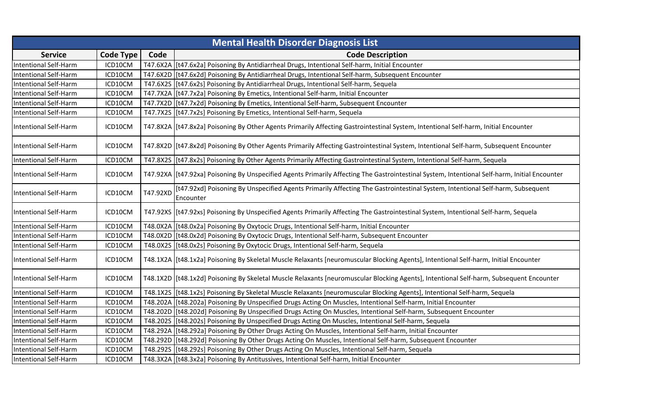|                              | <b>Mental Health Disorder Diagnosis List</b> |          |                                                                                                                                                 |  |  |
|------------------------------|----------------------------------------------|----------|-------------------------------------------------------------------------------------------------------------------------------------------------|--|--|
| <b>Service</b>               | <b>Code Type</b>                             | Code     | <b>Code Description</b>                                                                                                                         |  |  |
| <b>Intentional Self-Harm</b> | ICD10CM                                      |          | T47.6X2A   [t47.6x2a] Poisoning By Antidiarrheal Drugs, Intentional Self-harm, Initial Encounter                                                |  |  |
| <b>Intentional Self-Harm</b> | ICD10CM                                      |          | T47.6X2D [[t47.6x2d] Poisoning By Antidiarrheal Drugs, Intentional Self-harm, Subsequent Encounter                                              |  |  |
| <b>Intentional Self-Harm</b> | ICD10CM                                      |          | T47.6X2S   [t47.6x2s] Poisoning By Antidiarrheal Drugs, Intentional Self-harm, Sequela                                                          |  |  |
| <b>Intentional Self-Harm</b> | ICD10CM                                      |          | T47.7X2A   [t47.7x2a] Poisoning By Emetics, Intentional Self-harm, Initial Encounter                                                            |  |  |
| <b>Intentional Self-Harm</b> | ICD10CM                                      |          | T47.7X2D [[t47.7x2d] Poisoning By Emetics, Intentional Self-harm, Subsequent Encounter                                                          |  |  |
| <b>Intentional Self-Harm</b> | ICD10CM                                      |          | T47.7X2S [[t47.7x2s] Poisoning By Emetics, Intentional Self-harm, Sequela                                                                       |  |  |
| <b>Intentional Self-Harm</b> | ICD10CM                                      |          | T47.8X2A  [t47.8x2a] Poisoning By Other Agents Primarily Affecting Gastrointestinal System, Intentional Self-harm, Initial Encounter            |  |  |
| <b>Intentional Self-Harm</b> | ICD10CM                                      |          | T47.8X2D   [t47.8x2d] Poisoning By Other Agents Primarily Affecting Gastrointestinal System, Intentional Self-harm, Subsequent Encounter        |  |  |
| <b>Intentional Self-Harm</b> | ICD10CM                                      |          | T47.8X2S   [t47.8x2s] Poisoning By Other Agents Primarily Affecting Gastrointestinal System, Intentional Self-harm, Sequela                     |  |  |
| <b>Intentional Self-Harm</b> | ICD10CM                                      |          | T47.92XA   [t47.92xa] Poisoning By Unspecified Agents Primarily Affecting The Gastrointestinal System, Intentional Self-harm, Initial Encounter |  |  |
| <b>Intentional Self-Harm</b> | ICD10CM                                      | T47.92XD | [t47.92xd] Poisoning By Unspecified Agents Primarily Affecting The Gastrointestinal System, Intentional Self-harm, Subsequent<br>Encounter      |  |  |
| <b>Intentional Self-Harm</b> | ICD10CM                                      |          | T47.92XS   [t47.92xs] Poisoning By Unspecified Agents Primarily Affecting The Gastrointestinal System, Intentional Self-harm, Sequela           |  |  |
| <b>Intentional Self-Harm</b> | ICD10CM                                      |          | T48.0X2A   [t48.0x2a] Poisoning By Oxytocic Drugs, Intentional Self-harm, Initial Encounter                                                     |  |  |
| <b>Intentional Self-Harm</b> | ICD10CM                                      |          | T48.0X2D [[t48.0x2d] Poisoning By Oxytocic Drugs, Intentional Self-harm, Subsequent Encounter                                                   |  |  |
| <b>Intentional Self-Harm</b> | ICD10CM                                      |          | T48.0X2S   [t48.0x2s] Poisoning By Oxytocic Drugs, Intentional Self-harm, Sequela                                                               |  |  |
| <b>Intentional Self-Harm</b> | ICD10CM                                      |          | T48.1X2A   [t48.1x2a] Poisoning By Skeletal Muscle Relaxants [neuromuscular Blocking Agents], Intentional Self-harm, Initial Encounter          |  |  |
| <b>Intentional Self-Harm</b> | ICD10CM                                      |          | T48.1X2D  [t48.1x2d] Poisoning By Skeletal Muscle Relaxants [neuromuscular Blocking Agents], Intentional Self-harm, Subsequent Encounter        |  |  |
| <b>Intentional Self-Harm</b> | ICD10CM                                      |          | T48.1X2S  [t48.1x2s] Poisoning By Skeletal Muscle Relaxants [neuromuscular Blocking Agents], Intentional Self-harm, Sequela                     |  |  |
| <b>Intentional Self-Harm</b> | ICD10CM                                      |          | T48.202A   [t48.202a] Poisoning By Unspecified Drugs Acting On Muscles, Intentional Self-harm, Initial Encounter                                |  |  |
| <b>Intentional Self-Harm</b> | ICD10CM                                      |          | T48.202D   [t48.202d] Poisoning By Unspecified Drugs Acting On Muscles, Intentional Self-harm, Subsequent Encounter                             |  |  |
| <b>Intentional Self-Harm</b> | ICD10CM                                      |          | T48.2025   [t48.202s] Poisoning By Unspecified Drugs Acting On Muscles, Intentional Self-harm, Sequela                                          |  |  |
| <b>Intentional Self-Harm</b> | ICD10CM                                      |          | T48.292A   [t48.292a] Poisoning By Other Drugs Acting On Muscles, Intentional Self-harm, Initial Encounter                                      |  |  |
| <b>Intentional Self-Harm</b> | ICD10CM                                      |          | T48.292D [[t48.292d] Poisoning By Other Drugs Acting On Muscles, Intentional Self-harm, Subsequent Encounter                                    |  |  |
| <b>Intentional Self-Harm</b> | ICD10CM                                      |          | T48.2925 [t48.292s] Poisoning By Other Drugs Acting On Muscles, Intentional Self-harm, Sequela                                                  |  |  |
| <b>Intentional Self-Harm</b> | ICD10CM                                      |          | T48.3X2A   [t48.3x2a] Poisoning By Antitussives, Intentional Self-harm, Initial Encounter                                                       |  |  |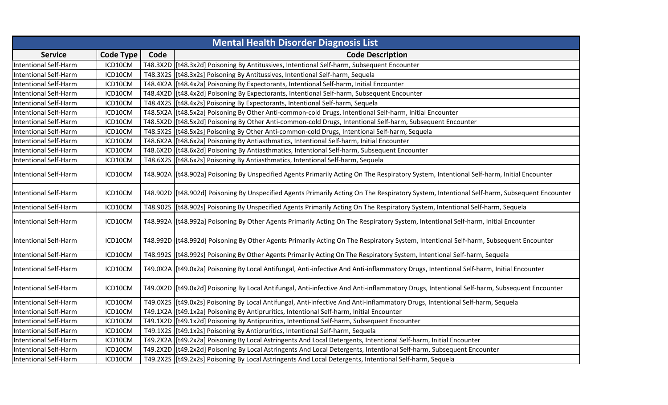|                              | <b>Mental Health Disorder Diagnosis List</b> |      |                                                                                                                                              |  |  |
|------------------------------|----------------------------------------------|------|----------------------------------------------------------------------------------------------------------------------------------------------|--|--|
| <b>Service</b>               | <b>Code Type</b>                             | Code | <b>Code Description</b>                                                                                                                      |  |  |
| <b>Intentional Self-Harm</b> | ICD10CM                                      |      | T48.3X2D [[t48.3x2d] Poisoning By Antitussives, Intentional Self-harm, Subsequent Encounter                                                  |  |  |
| <b>Intentional Self-Harm</b> | ICD10CM                                      |      | T48.3X2S [[t48.3x2s] Poisoning By Antitussives, Intentional Self-harm, Sequela                                                               |  |  |
| <b>Intentional Self-Harm</b> | ICD10CM                                      |      | T48.4X2A   [t48.4x2a] Poisoning By Expectorants, Intentional Self-harm, Initial Encounter                                                    |  |  |
| <b>Intentional Self-Harm</b> | ICD10CM                                      |      | T48.4X2D   [t48.4x2d] Poisoning By Expectorants, Intentional Self-harm, Subsequent Encounter                                                 |  |  |
| <b>Intentional Self-Harm</b> | ICD10CM                                      |      | T48.4X2S [[t48.4x2s] Poisoning By Expectorants, Intentional Self-harm, Sequela                                                               |  |  |
| <b>Intentional Self-Harm</b> | ICD10CM                                      |      | T48.5X2A   [t48.5x2a] Poisoning By Other Anti-common-cold Drugs, Intentional Self-harm, Initial Encounter                                    |  |  |
| <b>Intentional Self-Harm</b> | ICD10CM                                      |      | T48.5X2D [[t48.5x2d] Poisoning By Other Anti-common-cold Drugs, Intentional Self-harm, Subsequent Encounter                                  |  |  |
| <b>Intentional Self-Harm</b> | ICD10CM                                      |      | T48.5X2S [[t48.5x2s] Poisoning By Other Anti-common-cold Drugs, Intentional Self-harm, Sequela                                               |  |  |
| <b>Intentional Self-Harm</b> | ICD10CM                                      |      | T48.6X2A   [t48.6x2a] Poisoning By Antiasthmatics, Intentional Self-harm, Initial Encounter                                                  |  |  |
| <b>Intentional Self-Harm</b> | ICD10CM                                      |      | T48.6X2D [[t48.6x2d] Poisoning By Antiasthmatics, Intentional Self-harm, Subsequent Encounter                                                |  |  |
| <b>Intentional Self-Harm</b> | ICD10CM                                      |      | T48.6X2S   [t48.6x2s] Poisoning By Antiasthmatics, Intentional Self-harm, Sequela                                                            |  |  |
| <b>Intentional Self-Harm</b> | ICD10CM                                      |      | T48.902A  [t48.902a] Poisoning By Unspecified Agents Primarily Acting On The Respiratory System, Intentional Self-harm, Initial Encounter    |  |  |
| <b>Intentional Self-Harm</b> | ICD10CM                                      |      | T48.902D  [t48.902d] Poisoning By Unspecified Agents Primarily Acting On The Respiratory System, Intentional Self-harm, Subsequent Encounter |  |  |
| <b>Intentional Self-Harm</b> | ICD10CM                                      |      | T48.902S   [t48.902s] Poisoning By Unspecified Agents Primarily Acting On The Respiratory System, Intentional Self-harm, Sequela             |  |  |
| <b>Intentional Self-Harm</b> | ICD10CM                                      |      | T48.992A   [t48.992a] Poisoning By Other Agents Primarily Acting On The Respiratory System, Intentional Self-harm, Initial Encounter         |  |  |
| <b>Intentional Self-Harm</b> | ICD10CM                                      |      | T48.992D  [t48.992d] Poisoning By Other Agents Primarily Acting On The Respiratory System, Intentional Self-harm, Subsequent Encounter       |  |  |
| Intentional Self-Harm        | ICD10CM                                      |      | T48.992S  [t48.992s] Poisoning By Other Agents Primarily Acting On The Respiratory System, Intentional Self-harm, Sequela                    |  |  |
| <b>Intentional Self-Harm</b> | ICD10CM                                      |      | T49.0X2A   [t49.0x2a] Poisoning By Local Antifungal, Anti-infective And Anti-inflammatory Drugs, Intentional Self-harm, Initial Encounter    |  |  |
| <b>Intentional Self-Harm</b> | ICD10CM                                      |      | T49.0X2D  [t49.0x2d] Poisoning By Local Antifungal, Anti-infective And Anti-inflammatory Drugs, Intentional Self-harm, Subsequent Encounter  |  |  |
| <b>Intentional Self-Harm</b> | ICD10CM                                      |      | T49.0X2S   [t49.0x2s] Poisoning By Local Antifungal, Anti-infective And Anti-inflammatory Drugs, Intentional Self-harm, Sequela              |  |  |
| <b>Intentional Self-Harm</b> | ICD10CM                                      |      | T49.1X2A   [t49.1x2a] Poisoning By Antipruritics, Intentional Self-harm, Initial Encounter                                                   |  |  |
| <b>Intentional Self-Harm</b> | ICD10CM                                      |      | T49.1X2D [[t49.1x2d] Poisoning By Antipruritics, Intentional Self-harm, Subsequent Encounter                                                 |  |  |
| <b>Intentional Self-Harm</b> | ICD10CM                                      |      | T49.1X2S [[t49.1x2s] Poisoning By Antipruritics, Intentional Self-harm, Sequela                                                              |  |  |
| <b>Intentional Self-Harm</b> | ICD10CM                                      |      | T49.2X2A   [t49.2x2a] Poisoning By Local Astringents And Local Detergents, Intentional Self-harm, Initial Encounter                          |  |  |
| <b>Intentional Self-Harm</b> | ICD10CM                                      |      | T49.2X2D [t49.2x2d] Poisoning By Local Astringents And Local Detergents, Intentional Self-harm, Subsequent Encounter                         |  |  |
| <b>Intentional Self-Harm</b> | ICD10CM                                      |      | T49.2X2S [[t49.2x2s] Poisoning By Local Astringents And Local Detergents, Intentional Self-harm, Sequela                                     |  |  |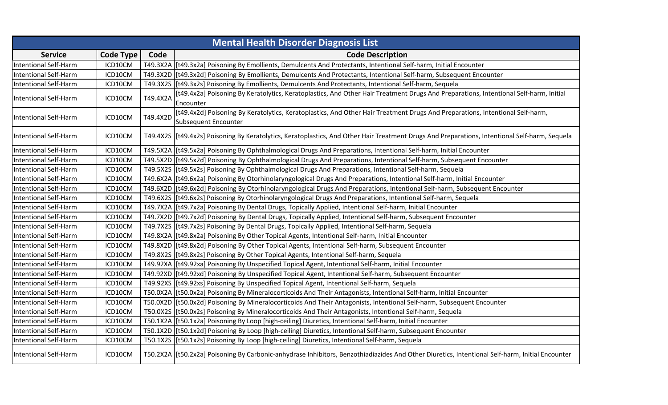|                              | <b>Mental Health Disorder Diagnosis List</b> |          |                                                                                                                                                       |  |  |
|------------------------------|----------------------------------------------|----------|-------------------------------------------------------------------------------------------------------------------------------------------------------|--|--|
| <b>Service</b>               | <b>Code Type</b>                             | Code     | <b>Code Description</b>                                                                                                                               |  |  |
| <b>Intentional Self-Harm</b> | ICD10CM                                      |          | T49.3X2A   [t49.3x2a] Poisoning By Emollients, Demulcents And Protectants, Intentional Self-harm, Initial Encounter                                   |  |  |
| <b>Intentional Self-Harm</b> | ICD10CM                                      |          | T49.3X2D   [t49.3x2d] Poisoning By Emollients, Demulcents And Protectants, Intentional Self-harm, Subsequent Encounter                                |  |  |
| <b>Intentional Self-Harm</b> | ICD10CM                                      |          | T49.3X2S   [t49.3x2s] Poisoning By Emollients, Demulcents And Protectants, Intentional Self-harm, Sequela                                             |  |  |
| <b>Intentional Self-Harm</b> | ICD10CM                                      | T49.4X2A | [t49.4x2a] Poisoning By Keratolytics, Keratoplastics, And Other Hair Treatment Drugs And Preparations, Intentional Self-harm, Initial<br>Encounter    |  |  |
| <b>Intentional Self-Harm</b> | ICD10CM                                      | T49.4X2D | [t49.4x2d] Poisoning By Keratolytics, Keratoplastics, And Other Hair Treatment Drugs And Preparations, Intentional Self-harm,<br>Subsequent Encounter |  |  |
| <b>Intentional Self-Harm</b> | ICD10CM                                      |          | T49.4X2S   [t49.4x2s] Poisoning By Keratolytics, Keratoplastics, And Other Hair Treatment Drugs And Preparations, Intentional Self-harm, Sequela      |  |  |
| <b>Intentional Self-Harm</b> | ICD10CM                                      |          | T49.5X2A   [t49.5x2a] Poisoning By Ophthalmological Drugs And Preparations, Intentional Self-harm, Initial Encounter                                  |  |  |
| <b>Intentional Self-Harm</b> | ICD10CM                                      |          | T49.5X2D   [t49.5x2d] Poisoning By Ophthalmological Drugs And Preparations, Intentional Self-harm, Subsequent Encounter                               |  |  |
| <b>Intentional Self-Harm</b> | ICD10CM                                      |          | T49.5X2S   [t49.5x2s] Poisoning By Ophthalmological Drugs And Preparations, Intentional Self-harm, Sequela                                            |  |  |
| <b>Intentional Self-Harm</b> | ICD10CM                                      |          | T49.6X2A   [t49.6x2a] Poisoning By Otorhinolaryngological Drugs And Preparations, Intentional Self-harm, Initial Encounter                            |  |  |
| <b>Intentional Self-Harm</b> | ICD10CM                                      |          | T49.6X2D   [t49.6x2d] Poisoning By Otorhinolaryngological Drugs And Preparations, Intentional Self-harm, Subsequent Encounter                         |  |  |
| <b>Intentional Self-Harm</b> | ICD10CM                                      |          | T49.6X2S [[t49.6x2s] Poisoning By Otorhinolaryngological Drugs And Preparations, Intentional Self-harm, Sequela                                       |  |  |
| <b>Intentional Self-Harm</b> | ICD10CM                                      |          | T49.7X2A   [t49.7x2a] Poisoning By Dental Drugs, Topically Applied, Intentional Self-harm, Initial Encounter                                          |  |  |
| <b>Intentional Self-Harm</b> | ICD10CM                                      |          | T49.7X2D   [t49.7x2d] Poisoning By Dental Drugs, Topically Applied, Intentional Self-harm, Subsequent Encounter                                       |  |  |
| <b>Intentional Self-Harm</b> | ICD10CM                                      |          | T49.7X2S   [t49.7x2s] Poisoning By Dental Drugs, Topically Applied, Intentional Self-harm, Sequela                                                    |  |  |
| <b>Intentional Self-Harm</b> | ICD10CM                                      |          | T49.8X2A [t49.8x2a] Poisoning By Other Topical Agents, Intentional Self-harm, Initial Encounter                                                       |  |  |
| <b>Intentional Self-Harm</b> | ICD10CM                                      |          | T49.8X2D   [t49.8x2d] Poisoning By Other Topical Agents, Intentional Self-harm, Subsequent Encounter                                                  |  |  |
| <b>Intentional Self-Harm</b> | ICD10CM                                      |          | T49.8X2S   [t49.8x2s] Poisoning By Other Topical Agents, Intentional Self-harm, Sequela                                                               |  |  |
| <b>Intentional Self-Harm</b> | ICD10CM                                      |          | T49.92XA [[t49.92xa] Poisoning By Unspecified Topical Agent, Intentional Self-harm, Initial Encounter                                                 |  |  |
| <b>Intentional Self-Harm</b> | ICD10CM                                      |          | T49.92XD   [t49.92xd] Poisoning By Unspecified Topical Agent, Intentional Self-harm, Subsequent Encounter                                             |  |  |
| <b>Intentional Self-Harm</b> | ICD10CM                                      |          | T49.92XS   [t49.92xs] Poisoning By Unspecified Topical Agent, Intentional Self-harm, Sequela                                                          |  |  |
| <b>Intentional Self-Harm</b> | ICD10CM                                      |          | T50.0X2A   [t50.0x2a] Poisoning By Mineralocorticoids And Their Antagonists, Intentional Self-harm, Initial Encounter                                 |  |  |
| <b>Intentional Self-Harm</b> | ICD10CM                                      |          | T50.0X2D [[t50.0x2d] Poisoning By Mineralocorticoids And Their Antagonists, Intentional Self-harm, Subsequent Encounter                               |  |  |
| <b>Intentional Self-Harm</b> | ICD10CM                                      |          | T50.0X2S   [t50.0x2s] Poisoning By Mineralocorticoids And Their Antagonists, Intentional Self-harm, Sequela                                           |  |  |
| <b>Intentional Self-Harm</b> | ICD10CM                                      |          | T50.1X2A   [t50.1x2a] Poisoning By Loop [high-ceiling] Diuretics, Intentional Self-harm, Initial Encounter                                            |  |  |
| <b>Intentional Self-Harm</b> | ICD10CM                                      |          | T50.1X2D   [t50.1x2d] Poisoning By Loop [high-ceiling] Diuretics, Intentional Self-harm, Subsequent Encounter                                         |  |  |
| <b>Intentional Self-Harm</b> | ICD10CM                                      |          | T50.1X2S   [t50.1x2s] Poisoning By Loop [high-ceiling] Diuretics, Intentional Self-harm, Sequela                                                      |  |  |
| <b>Intentional Self-Harm</b> | ICD10CM                                      |          | T50.2X2A   [t50.2x2a] Poisoning By Carbonic-anhydrase Inhibitors, Benzothiadiazides And Other Diuretics, Intentional Self-harm, Initial Encounter     |  |  |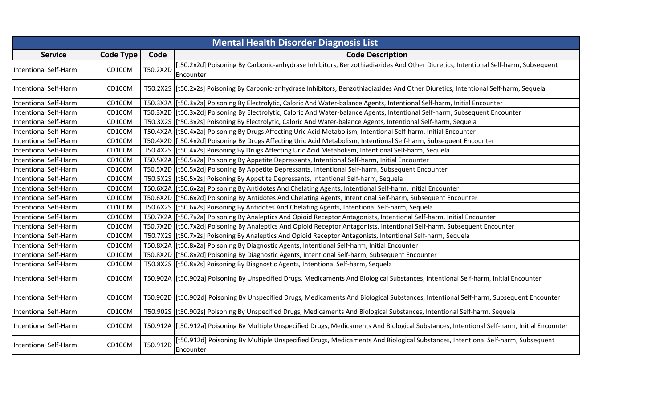| <b>Mental Health Disorder Diagnosis List</b> |                  |          |                                                                                                                                               |  |
|----------------------------------------------|------------------|----------|-----------------------------------------------------------------------------------------------------------------------------------------------|--|
| <b>Service</b>                               | <b>Code Type</b> | Code     | <b>Code Description</b>                                                                                                                       |  |
| <b>Intentional Self-Harm</b>                 | ICD10CM          | T50.2X2D | [t50.2x2d] Poisoning By Carbonic-anhydrase Inhibitors, Benzothiadiazides And Other Diuretics, Intentional Self-harm, Subsequent<br>Encounter  |  |
| <b>Intentional Self-Harm</b>                 | ICD10CM          |          | T50.2X2S [[t50.2x2s] Poisoning By Carbonic-anhydrase Inhibitors, Benzothiadiazides And Other Diuretics, Intentional Self-harm, Sequela        |  |
| <b>Intentional Self-Harm</b>                 | ICD10CM          |          | T50.3X2A   [t50.3x2a] Poisoning By Electrolytic, Caloric And Water-balance Agents, Intentional Self-harm, Initial Encounter                   |  |
| <b>Intentional Self-Harm</b>                 | ICD10CM          |          | T50.3X2D [[t50.3x2d] Poisoning By Electrolytic, Caloric And Water-balance Agents, Intentional Self-harm, Subsequent Encounter                 |  |
| Intentional Self-Harm                        | ICD10CM          |          | T50.3X2S   [t50.3x2s] Poisoning By Electrolytic, Caloric And Water-balance Agents, Intentional Self-harm, Sequela                             |  |
| <b>Intentional Self-Harm</b>                 | ICD10CM          |          | T50.4X2A   [t50.4x2a] Poisoning By Drugs Affecting Uric Acid Metabolism, Intentional Self-harm, Initial Encounter                             |  |
| <b>Intentional Self-Harm</b>                 | ICD10CM          |          | T50.4X2D [[t50.4x2d] Poisoning By Drugs Affecting Uric Acid Metabolism, Intentional Self-harm, Subsequent Encounter                           |  |
| <b>Intentional Self-Harm</b>                 | ICD10CM          |          | T50.4X2S   [t50.4x2s] Poisoning By Drugs Affecting Uric Acid Metabolism, Intentional Self-harm, Sequela                                       |  |
| <b>Intentional Self-Harm</b>                 | ICD10CM          |          | T50.5X2A [t50.5x2a] Poisoning By Appetite Depressants, Intentional Self-harm, Initial Encounter                                               |  |
| <b>Intentional Self-Harm</b>                 | ICD10CM          |          | T50.5X2D [[t50.5x2d] Poisoning By Appetite Depressants, Intentional Self-harm, Subsequent Encounter                                           |  |
| <b>Intentional Self-Harm</b>                 | ICD10CM          |          | T50.5X2S [[t50.5x2s] Poisoning By Appetite Depressants, Intentional Self-harm, Sequela                                                        |  |
| <b>Intentional Self-Harm</b>                 | ICD10CM          |          | T50.6X2A   [t50.6x2a] Poisoning By Antidotes And Chelating Agents, Intentional Self-harm, Initial Encounter                                   |  |
| <b>Intentional Self-Harm</b>                 | ICD10CM          |          | T50.6X2D [[t50.6x2d] Poisoning By Antidotes And Chelating Agents, Intentional Self-harm, Subsequent Encounter                                 |  |
| <b>Intentional Self-Harm</b>                 | ICD10CM          |          | T50.6X2S   [t50.6x2s] Poisoning By Antidotes And Chelating Agents, Intentional Self-harm, Sequela                                             |  |
| Intentional Self-Harm                        | ICD10CM          |          | T50.7X2A   [t50.7x2a] Poisoning By Analeptics And Opioid Receptor Antagonists, Intentional Self-harm, Initial Encounter                       |  |
| <b>Intentional Self-Harm</b>                 | ICD10CM          |          | T50.7X2D  [t50.7x2d] Poisoning By Analeptics And Opioid Receptor Antagonists, Intentional Self-harm, Subsequent Encounter                     |  |
| <b>Intentional Self-Harm</b>                 | ICD10CM          |          | T50.7X2S [[t50.7x2s] Poisoning By Analeptics And Opioid Receptor Antagonists, Intentional Self-harm, Sequela                                  |  |
| <b>Intentional Self-Harm</b>                 | ICD10CM          |          | T50.8X2A   [t50.8x2a] Poisoning By Diagnostic Agents, Intentional Self-harm, Initial Encounter                                                |  |
| <b>Intentional Self-Harm</b>                 | ICD10CM          |          | T50.8X2D [[t50.8x2d] Poisoning By Diagnostic Agents, Intentional Self-harm, Subsequent Encounter                                              |  |
| <b>Intentional Self-Harm</b>                 | ICD10CM          |          | T50.8X2S [[t50.8x2s] Poisoning By Diagnostic Agents, Intentional Self-harm, Sequela                                                           |  |
| <b>Intentional Self-Harm</b>                 | ICD10CM          |          | T50.902A   [t50.902a] Poisoning By Unspecified Drugs, Medicaments And Biological Substances, Intentional Self-harm, Initial Encounter         |  |
| <b>Intentional Self-Harm</b>                 | ICD10CM          |          | T50.902D [[t50.902d] Poisoning By Unspecified Drugs, Medicaments And Biological Substances, Intentional Self-harm, Subsequent Encounter       |  |
| Intentional Self-Harm                        | ICD10CM          |          | T50.902S  [t50.902s] Poisoning By Unspecified Drugs, Medicaments And Biological Substances, Intentional Self-harm, Sequela                    |  |
| <b>Intentional Self-Harm</b>                 | ICD10CM          |          | T50.912A  [t50.912a] Poisoning By Multiple Unspecified Drugs, Medicaments And Biological Substances, Intentional Self-harm, Initial Encounter |  |
| <b>Intentional Self-Harm</b>                 | ICD10CM          | T50.912D | [t50.912d] Poisoning By Multiple Unspecified Drugs, Medicaments And Biological Substances, Intentional Self-harm, Subsequent<br>Encounter     |  |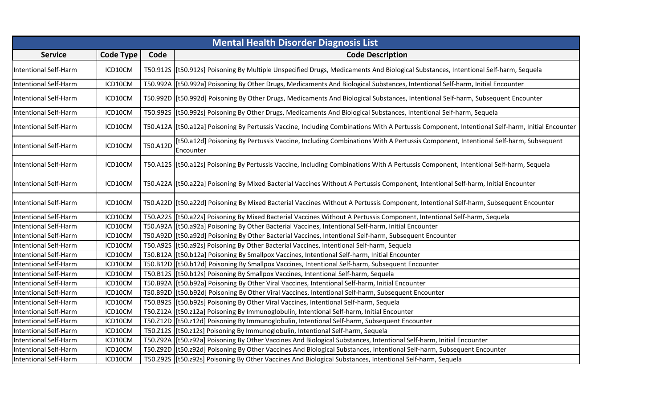|                              | <b>Mental Health Disorder Diagnosis List</b> |          |                                                                                                                                                   |  |
|------------------------------|----------------------------------------------|----------|---------------------------------------------------------------------------------------------------------------------------------------------------|--|
| <b>Service</b>               | <b>Code Type</b>                             | Code     | <b>Code Description</b>                                                                                                                           |  |
| <b>Intentional Self-Harm</b> | ICD10CM                                      |          | T50.912S [[t50.912s] Poisoning By Multiple Unspecified Drugs, Medicaments And Biological Substances, Intentional Self-harm, Sequela               |  |
| <b>Intentional Self-Harm</b> | ICD10CM                                      |          | T50.992A   [t50.992a] Poisoning By Other Drugs, Medicaments And Biological Substances, Intentional Self-harm, Initial Encounter                   |  |
| <b>Intentional Self-Harm</b> | ICD10CM                                      |          | T50.992D   [t50.992d] Poisoning By Other Drugs, Medicaments And Biological Substances, Intentional Self-harm, Subsequent Encounter                |  |
| <b>Intentional Self-Harm</b> | ICD10CM                                      |          | T50.992S [[t50.992s] Poisoning By Other Drugs, Medicaments And Biological Substances, Intentional Self-harm, Sequela                              |  |
| <b>Intentional Self-Harm</b> | ICD10CM                                      |          | T50.A12A   [t50.a12a] Poisoning By Pertussis Vaccine, Including Combinations With A Pertussis Component, Intentional Self-harm, Initial Encounter |  |
| <b>Intentional Self-Harm</b> | ICD10CM                                      | T50.A12D | [t50.a12d] Poisoning By Pertussis Vaccine, Including Combinations With A Pertussis Component, Intentional Self-harm, Subsequent<br>Encounter      |  |
| <b>Intentional Self-Harm</b> | ICD10CM                                      |          | T50.A12S   [t50.a12s] Poisoning By Pertussis Vaccine, Including Combinations With A Pertussis Component, Intentional Self-harm, Sequela           |  |
| <b>Intentional Self-Harm</b> | ICD10CM                                      |          | T50.A22A   [t50.a22a] Poisoning By Mixed Bacterial Vaccines Without A Pertussis Component, Intentional Self-harm, Initial Encounter               |  |
| <b>Intentional Self-Harm</b> | ICD10CM                                      |          | T50.A22D [[t50.a22d] Poisoning By Mixed Bacterial Vaccines Without A Pertussis Component, Intentional Self-harm, Subsequent Encounter             |  |
| <b>Intentional Self-Harm</b> | ICD10CM                                      |          | T50.A22S [[t50.a22s] Poisoning By Mixed Bacterial Vaccines Without A Pertussis Component, Intentional Self-harm, Sequela                          |  |
| <b>Intentional Self-Harm</b> | ICD10CM                                      |          | T50.A92A [[t50.a92a] Poisoning By Other Bacterial Vaccines, Intentional Self-harm, Initial Encounter                                              |  |
| <b>Intentional Self-Harm</b> | ICD10CM                                      |          | T50.A92D [[t50.a92d] Poisoning By Other Bacterial Vaccines, Intentional Self-harm, Subsequent Encounter                                           |  |
| <b>Intentional Self-Harm</b> | ICD10CM                                      |          | T50.A92S [[t50.a92s] Poisoning By Other Bacterial Vaccines, Intentional Self-harm, Sequela                                                        |  |
| <b>Intentional Self-Harm</b> | ICD10CM                                      |          | T50.B12A [[t50.b12a] Poisoning By Smallpox Vaccines, Intentional Self-harm, Initial Encounter                                                     |  |
| Intentional Self-Harm        | ICD10CM                                      |          | T50.B12D [[t50.b12d] Poisoning By Smallpox Vaccines, Intentional Self-harm, Subsequent Encounter                                                  |  |
| <b>Intentional Self-Harm</b> | ICD10CM                                      |          | T50.B12S [[t50.b12s] Poisoning By Smallpox Vaccines, Intentional Self-harm, Sequela                                                               |  |
| <b>Intentional Self-Harm</b> | ICD10CM                                      |          | T50.B92A [t50.b92a] Poisoning By Other Viral Vaccines, Intentional Self-harm, Initial Encounter                                                   |  |
| <b>Intentional Self-Harm</b> | ICD10CM                                      |          | T50.B92D [[t50.b92d] Poisoning By Other Viral Vaccines, Intentional Self-harm, Subsequent Encounter                                               |  |
| <b>Intentional Self-Harm</b> | ICD10CM                                      |          | T50.B92S   [t50.b92s] Poisoning By Other Viral Vaccines, Intentional Self-harm, Sequela                                                           |  |
| <b>Intentional Self-Harm</b> | ICD10CM                                      |          | T50.Z12A   [t50.z12a] Poisoning By Immunoglobulin, Intentional Self-harm, Initial Encounter                                                       |  |
| <b>Intentional Self-Harm</b> | ICD10CM                                      |          | T50.Z12D [[t50.z12d] Poisoning By Immunoglobulin, Intentional Self-harm, Subsequent Encounter                                                     |  |
| <b>Intentional Self-Harm</b> | ICD10CM                                      |          | T50.Z12S [[t50.z12s] Poisoning By Immunoglobulin, Intentional Self-harm, Sequela                                                                  |  |
| <b>Intentional Self-Harm</b> | ICD10CM                                      |          | T50.Z92A  [t50.z92a] Poisoning By Other Vaccines And Biological Substances, Intentional Self-harm, Initial Encounter                              |  |
| <b>Intentional Self-Harm</b> | ICD10CM                                      |          | T50.Z92D   [t50.z92d] Poisoning By Other Vaccines And Biological Substances, Intentional Self-harm, Subsequent Encounter                          |  |
| <b>Intentional Self-Harm</b> | ICD10CM                                      |          | T50.Z92S [t50.z92s] Poisoning By Other Vaccines And Biological Substances, Intentional Self-harm, Sequela                                         |  |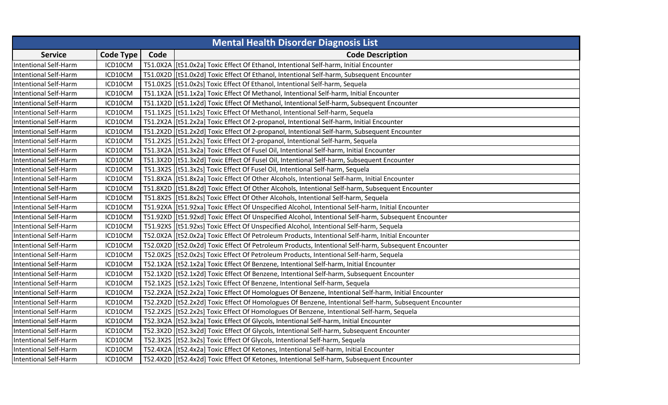| <b>Mental Health Disorder Diagnosis List</b> |                  |      |                                                                                                         |  |
|----------------------------------------------|------------------|------|---------------------------------------------------------------------------------------------------------|--|
| <b>Service</b>                               | <b>Code Type</b> | Code | <b>Code Description</b>                                                                                 |  |
| <b>Intentional Self-Harm</b>                 | ICD10CM          |      | T51.0X2A   [t51.0x2a] Toxic Effect Of Ethanol, Intentional Self-harm, Initial Encounter                 |  |
| <b>Intentional Self-Harm</b>                 | ICD10CM          |      | T51.0X2D   [t51.0x2d] Toxic Effect Of Ethanol, Intentional Self-harm, Subsequent Encounter              |  |
| <b>Intentional Self-Harm</b>                 | ICD10CM          |      | T51.0X2S   [t51.0x2s] Toxic Effect Of Ethanol, Intentional Self-harm, Sequela                           |  |
| <b>Intentional Self-Harm</b>                 | ICD10CM          |      | T51.1X2A   [t51.1x2a] Toxic Effect Of Methanol, Intentional Self-harm, Initial Encounter                |  |
| <b>Intentional Self-Harm</b>                 | ICD10CM          |      | T51.1X2D   [t51.1x2d] Toxic Effect Of Methanol, Intentional Self-harm, Subsequent Encounter             |  |
| <b>Intentional Self-Harm</b>                 | ICD10CM          |      | T51.1X2S   [t51.1x2s] Toxic Effect Of Methanol, Intentional Self-harm, Sequela                          |  |
| <b>Intentional Self-Harm</b>                 | ICD10CM          |      | T51.2X2A   [t51.2x2a] Toxic Effect Of 2-propanol, Intentional Self-harm, Initial Encounter              |  |
| <b>Intentional Self-Harm</b>                 | ICD10CM          |      | T51.2X2D [[t51.2x2d] Toxic Effect Of 2-propanol, Intentional Self-harm, Subsequent Encounter            |  |
| <b>Intentional Self-Harm</b>                 | ICD10CM          |      | T51.2X2S   [t51.2x2s] Toxic Effect Of 2-propanol, Intentional Self-harm, Sequela                        |  |
| <b>Intentional Self-Harm</b>                 | ICD10CM          |      | T51.3X2A   [t51.3x2a] Toxic Effect Of Fusel Oil, Intentional Self-harm, Initial Encounter               |  |
| <b>Intentional Self-Harm</b>                 | ICD10CM          |      | T51.3X2D [[t51.3x2d] Toxic Effect Of Fusel Oil, Intentional Self-harm, Subsequent Encounter             |  |
| <b>Intentional Self-Harm</b>                 | ICD10CM          |      | T51.3X2S   [t51.3x2s] Toxic Effect Of Fusel Oil, Intentional Self-harm, Sequela                         |  |
| <b>Intentional Self-Harm</b>                 | ICD10CM          |      | T51.8X2A   [t51.8x2a] Toxic Effect Of Other Alcohols, Intentional Self-harm, Initial Encounter          |  |
| <b>Intentional Self-Harm</b>                 | ICD10CM          |      | T51.8X2D   [t51.8x2d] Toxic Effect Of Other Alcohols, Intentional Self-harm, Subsequent Encounter       |  |
| <b>Intentional Self-Harm</b>                 | ICD10CM          |      | T51.8X2S   [t51.8x2s] Toxic Effect Of Other Alcohols, Intentional Self-harm, Sequela                    |  |
| <b>Intentional Self-Harm</b>                 | ICD10CM          |      | T51.92XA   [t51.92xa] Toxic Effect Of Unspecified Alcohol, Intentional Self-harm, Initial Encounter     |  |
| <b>Intentional Self-Harm</b>                 | ICD10CM          |      | T51.92XD [[t51.92xd] Toxic Effect Of Unspecified Alcohol, Intentional Self-harm, Subsequent Encounter   |  |
| <b>Intentional Self-Harm</b>                 | ICD10CM          |      | T51.92XS [t51.92xs] Toxic Effect Of Unspecified Alcohol, Intentional Self-harm, Sequela                 |  |
| <b>Intentional Self-Harm</b>                 | ICD10CM          |      | T52.0X2A   [t52.0x2a] Toxic Effect Of Petroleum Products, Intentional Self-harm, Initial Encounter      |  |
| <b>Intentional Self-Harm</b>                 | ICD10CM          |      | T52.0X2D [[t52.0x2d] Toxic Effect Of Petroleum Products, Intentional Self-harm, Subsequent Encounter    |  |
| <b>Intentional Self-Harm</b>                 | ICD10CM          |      | T52.0X2S   [t52.0x2s] Toxic Effect Of Petroleum Products, Intentional Self-harm, Sequela                |  |
| <b>Intentional Self-Harm</b>                 | ICD10CM          |      | T52.1X2A   [t52.1x2a] Toxic Effect Of Benzene, Intentional Self-harm, Initial Encounter                 |  |
| <b>Intentional Self-Harm</b>                 | ICD10CM          |      | T52.1X2D [[t52.1x2d] Toxic Effect Of Benzene, Intentional Self-harm, Subsequent Encounter               |  |
| <b>Intentional Self-Harm</b>                 | ICD10CM          |      | T52.1X2S   [t52.1x2s] Toxic Effect Of Benzene, Intentional Self-harm, Sequela                           |  |
| <b>Intentional Self-Harm</b>                 | ICD10CM          |      | T52.2X2A [[t52.2x2a] Toxic Effect Of Homologues Of Benzene, Intentional Self-harm, Initial Encounter    |  |
| <b>Intentional Self-Harm</b>                 | ICD10CM          |      | T52.2X2D [[t52.2x2d] Toxic Effect Of Homologues Of Benzene, Intentional Self-harm, Subsequent Encounter |  |
| <b>Intentional Self-Harm</b>                 | ICD10CM          |      | T52.2X2S   [t52.2x2s] Toxic Effect Of Homologues Of Benzene, Intentional Self-harm, Sequela             |  |
| <b>Intentional Self-Harm</b>                 | ICD10CM          |      | T52.3X2A   [t52.3x2a] Toxic Effect Of Glycols, Intentional Self-harm, Initial Encounter                 |  |
| <b>Intentional Self-Harm</b>                 | ICD10CM          |      | T52.3X2D   [t52.3x2d] Toxic Effect Of Glycols, Intentional Self-harm, Subsequent Encounter              |  |
| <b>Intentional Self-Harm</b>                 | ICD10CM          |      | T52.3X2S [[t52.3x2s] Toxic Effect Of Glycols, Intentional Self-harm, Sequela                            |  |
| <b>Intentional Self-Harm</b>                 | ICD10CM          |      | T52.4X2A   [t52.4x2a] Toxic Effect Of Ketones, Intentional Self-harm, Initial Encounter                 |  |
| <b>Intentional Self-Harm</b>                 | ICD10CM          |      | T52.4X2D [[t52.4x2d] Toxic Effect Of Ketones, Intentional Self-harm, Subsequent Encounter               |  |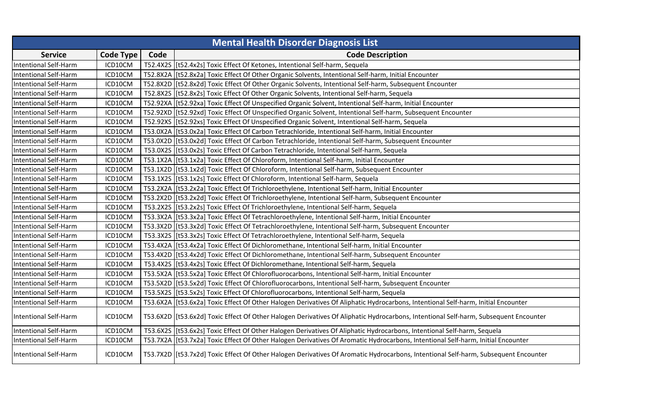|                              | <b>Mental Health Disorder Diagnosis List</b> |      |                                                                                                                                       |  |  |
|------------------------------|----------------------------------------------|------|---------------------------------------------------------------------------------------------------------------------------------------|--|--|
| <b>Service</b>               | <b>Code Type</b>                             | Code | <b>Code Description</b>                                                                                                               |  |  |
| <b>Intentional Self-Harm</b> | ICD10CM                                      |      | T52.4X2S   [t52.4x2s] Toxic Effect Of Ketones, Intentional Self-harm, Sequela                                                         |  |  |
| <b>Intentional Self-Harm</b> | ICD10CM                                      |      | T52.8X2A   [t52.8x2a] Toxic Effect Of Other Organic Solvents, Intentional Self-harm, Initial Encounter                                |  |  |
| <b>Intentional Self-Harm</b> | ICD10CM                                      |      | T52.8X2D [[t52.8x2d] Toxic Effect Of Other Organic Solvents, Intentional Self-harm, Subsequent Encounter                              |  |  |
| <b>Intentional Self-Harm</b> | ICD10CM                                      |      | T52.8X2S   [t52.8x2s] Toxic Effect Of Other Organic Solvents, Intentional Self-harm, Sequela                                          |  |  |
| <b>Intentional Self-Harm</b> | ICD10CM                                      |      | T52.92XA   [t52.92xa] Toxic Effect Of Unspecified Organic Solvent, Intentional Self-harm, Initial Encounter                           |  |  |
| <b>Intentional Self-Harm</b> | ICD10CM                                      |      | T52.92XD [[t52.92xd] Toxic Effect Of Unspecified Organic Solvent, Intentional Self-harm, Subsequent Encounter                         |  |  |
| <b>Intentional Self-Harm</b> | ICD10CM                                      |      | T52.92XS [t52.92xs] Toxic Effect Of Unspecified Organic Solvent, Intentional Self-harm, Sequela                                       |  |  |
| <b>Intentional Self-Harm</b> | ICD10CM                                      |      | T53.0X2A   [t53.0x2a] Toxic Effect Of Carbon Tetrachloride, Intentional Self-harm, Initial Encounter                                  |  |  |
| <b>Intentional Self-Harm</b> | ICD10CM                                      |      | T53.0X2D [[t53.0x2d] Toxic Effect Of Carbon Tetrachloride, Intentional Self-harm, Subsequent Encounter                                |  |  |
| <b>Intentional Self-Harm</b> | ICD10CM                                      |      | T53.0X2S   [t53.0x2s] Toxic Effect Of Carbon Tetrachloride, Intentional Self-harm, Sequela                                            |  |  |
| <b>Intentional Self-Harm</b> | ICD10CM                                      |      | T53.1X2A   [t53.1x2a] Toxic Effect Of Chloroform, Intentional Self-harm, Initial Encounter                                            |  |  |
| <b>Intentional Self-Harm</b> | ICD10CM                                      |      | T53.1X2D   [t53.1x2d] Toxic Effect Of Chloroform, Intentional Self-harm, Subsequent Encounter                                         |  |  |
| <b>Intentional Self-Harm</b> | ICD10CM                                      |      | T53.1X2S   [t53.1x2s] Toxic Effect Of Chloroform, Intentional Self-harm, Sequela                                                      |  |  |
| <b>Intentional Self-Harm</b> | ICD10CM                                      |      | T53.2X2A   [t53.2x2a] Toxic Effect Of Trichloroethylene, Intentional Self-harm, Initial Encounter                                     |  |  |
| <b>Intentional Self-Harm</b> | ICD10CM                                      |      | T53.2X2D [[t53.2x2d] Toxic Effect Of Trichloroethylene, Intentional Self-harm, Subsequent Encounter                                   |  |  |
| <b>Intentional Self-Harm</b> | ICD10CM                                      |      | T53.2X2S   [t53.2x2s] Toxic Effect Of Trichloroethylene, Intentional Self-harm, Sequela                                               |  |  |
| <b>Intentional Self-Harm</b> | ICD10CM                                      |      | T53.3X2A [[t53.3x2a] Toxic Effect Of Tetrachloroethylene, Intentional Self-harm, Initial Encounter                                    |  |  |
| <b>Intentional Self-Harm</b> | ICD10CM                                      |      | T53.3X2D   [t53.3x2d] Toxic Effect Of Tetrachloroethylene, Intentional Self-harm, Subsequent Encounter                                |  |  |
| <b>Intentional Self-Harm</b> | ICD10CM                                      |      | T53.3X2S   [t53.3x2s] Toxic Effect Of Tetrachloroethylene, Intentional Self-harm, Sequela                                             |  |  |
| <b>Intentional Self-Harm</b> | ICD10CM                                      |      | T53.4X2A   [t53.4x2a] Toxic Effect Of Dichloromethane, Intentional Self-harm, Initial Encounter                                       |  |  |
| <b>Intentional Self-Harm</b> | ICD10CM                                      |      | T53.4X2D  [t53.4x2d] Toxic Effect Of Dichloromethane, Intentional Self-harm, Subsequent Encounter                                     |  |  |
| <b>Intentional Self-Harm</b> | ICD10CM                                      |      | T53.4X2S [[t53.4x2s] Toxic Effect Of Dichloromethane, Intentional Self-harm, Sequela                                                  |  |  |
| <b>Intentional Self-Harm</b> | ICD10CM                                      |      | T53.5X2A [[t53.5x2a] Toxic Effect Of Chlorofluorocarbons, Intentional Self-harm, Initial Encounter                                    |  |  |
| <b>Intentional Self-Harm</b> | ICD10CM                                      |      | T53.5X2D [[t53.5x2d] Toxic Effect Of Chlorofluorocarbons, Intentional Self-harm, Subsequent Encounter                                 |  |  |
| <b>Intentional Self-Harm</b> | ICD10CM                                      |      | T53.5X2S   [t53.5x2s] Toxic Effect Of Chlorofluorocarbons, Intentional Self-harm, Sequela                                             |  |  |
| Intentional Self-Harm        | ICD10CM                                      |      | T53.6X2A [[t53.6x2a] Toxic Effect Of Other Halogen Derivatives Of Aliphatic Hydrocarbons, Intentional Self-harm, Initial Encounter    |  |  |
| <b>Intentional Self-Harm</b> | ICD10CM                                      |      | T53.6X2D [[t53.6x2d] Toxic Effect Of Other Halogen Derivatives Of Aliphatic Hydrocarbons, Intentional Self-harm, Subsequent Encounter |  |  |
| <b>Intentional Self-Harm</b> | ICD10CM                                      |      | T53.6X2S   [t53.6x2s] Toxic Effect Of Other Halogen Derivatives Of Aliphatic Hydrocarbons, Intentional Self-harm, Sequela             |  |  |
| <b>Intentional Self-Harm</b> | ICD10CM                                      |      | T53.7X2A [t53.7x2a] Toxic Effect Of Other Halogen Derivatives Of Aromatic Hydrocarbons, Intentional Self-harm, Initial Encounter      |  |  |
| <b>Intentional Self-Harm</b> | ICD10CM                                      |      | T53.7X2D  [t53.7x2d] Toxic Effect Of Other Halogen Derivatives Of Aromatic Hydrocarbons, Intentional Self-harm, Subsequent Encounter  |  |  |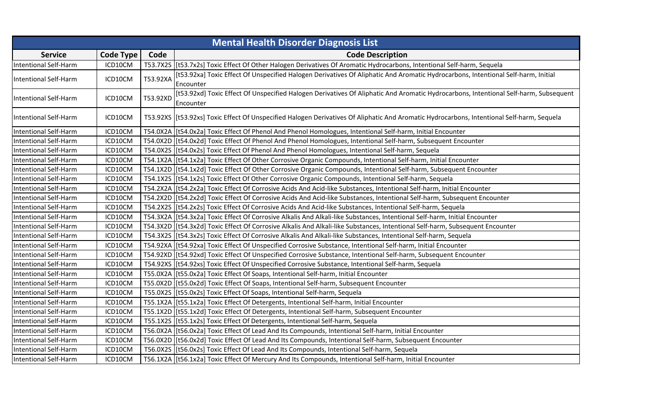|                              | <b>Mental Health Disorder Diagnosis List</b> |          |                                                                                                                                             |  |  |
|------------------------------|----------------------------------------------|----------|---------------------------------------------------------------------------------------------------------------------------------------------|--|--|
| <b>Service</b>               | Code Type                                    | Code     | <b>Code Description</b>                                                                                                                     |  |  |
| <b>Intentional Self-Harm</b> | ICD10CM                                      |          | T53.7X2S [[t53.7x2s] Toxic Effect Of Other Halogen Derivatives Of Aromatic Hydrocarbons, Intentional Self-harm, Sequela                     |  |  |
|                              | ICD10CM                                      | T53.92XA | [t53.92xa] Toxic Effect Of Unspecified Halogen Derivatives Of Aliphatic And Aromatic Hydrocarbons, Intentional Self-harm, Initial           |  |  |
| <b>Intentional Self-Harm</b> |                                              |          | Encounter                                                                                                                                   |  |  |
| <b>Intentional Self-Harm</b> | ICD10CM                                      | T53.92XD | [t53.92xd] Toxic Effect Of Unspecified Halogen Derivatives Of Aliphatic And Aromatic Hydrocarbons, Intentional Self-harm, Subsequent        |  |  |
|                              |                                              |          | Encounter                                                                                                                                   |  |  |
| Intentional Self-Harm        | ICD10CM                                      |          | T53.92XS [[t53.92xs] Toxic Effect Of Unspecified Halogen Derivatives Of Aliphatic And Aromatic Hydrocarbons, Intentional Self-harm, Sequela |  |  |
| <b>Intentional Self-Harm</b> | ICD10CM                                      |          | T54.0X2A   [t54.0x2a] Toxic Effect Of Phenol And Phenol Homologues, Intentional Self-harm, Initial Encounter                                |  |  |
| <b>Intentional Self-Harm</b> | ICD10CM                                      |          | T54.0X2D [[t54.0x2d] Toxic Effect Of Phenol And Phenol Homologues, Intentional Self-harm, Subsequent Encounter                              |  |  |
| <b>Intentional Self-Harm</b> | ICD10CM                                      |          | T54.0X2S   [t54.0x2s] Toxic Effect Of Phenol And Phenol Homologues, Intentional Self-harm, Sequela                                          |  |  |
| <b>Intentional Self-Harm</b> | ICD10CM                                      |          | T54.1X2A   [t54.1x2a] Toxic Effect Of Other Corrosive Organic Compounds, Intentional Self-harm, Initial Encounter                           |  |  |
| <b>Intentional Self-Harm</b> | ICD10CM                                      |          | T54.1X2D [[t54.1x2d] Toxic Effect Of Other Corrosive Organic Compounds, Intentional Self-harm, Subsequent Encounter                         |  |  |
| <b>Intentional Self-Harm</b> | ICD10CM                                      |          | T54.1X2S   [t54.1x2s] Toxic Effect Of Other Corrosive Organic Compounds, Intentional Self-harm, Sequela                                     |  |  |
| <b>Intentional Self-Harm</b> | ICD10CM                                      |          | T54.2X2A   [t54.2x2a] Toxic Effect Of Corrosive Acids And Acid-like Substances, Intentional Self-harm, Initial Encounter                    |  |  |
| <b>Intentional Self-Harm</b> | ICD10CM                                      |          | T54.2X2D [[t54.2x2d] Toxic Effect Of Corrosive Acids And Acid-like Substances, Intentional Self-harm, Subsequent Encounter                  |  |  |
| <b>Intentional Self-Harm</b> | ICD10CM                                      |          | T54.2X2S   [t54.2x2s] Toxic Effect Of Corrosive Acids And Acid-like Substances, Intentional Self-harm, Sequela                              |  |  |
| <b>Intentional Self-Harm</b> | ICD10CM                                      |          | T54.3X2A [[t54.3x2a] Toxic Effect Of Corrosive Alkalis And Alkali-like Substances, Intentional Self-harm, Initial Encounter                 |  |  |
| <b>Intentional Self-Harm</b> | ICD10CM                                      |          | T54.3X2D [[t54.3x2d] Toxic Effect Of Corrosive Alkalis And Alkali-like Substances, Intentional Self-harm, Subsequent Encounter              |  |  |
| <b>Intentional Self-Harm</b> | ICD10CM                                      |          | T54.3X2S   [t54.3x2s] Toxic Effect Of Corrosive Alkalis And Alkali-like Substances, Intentional Self-harm, Sequela                          |  |  |
| <b>Intentional Self-Harm</b> | ICD10CM                                      |          | T54.92XA   [t54.92xa] Toxic Effect Of Unspecified Corrosive Substance, Intentional Self-harm, Initial Encounter                             |  |  |
| <b>Intentional Self-Harm</b> | ICD10CM                                      |          | T54.92XD [[t54.92xd] Toxic Effect Of Unspecified Corrosive Substance, Intentional Self-harm, Subsequent Encounter                           |  |  |
| <b>Intentional Self-Harm</b> | ICD10CM                                      |          | T54.92XS [t54.92xs] Toxic Effect Of Unspecified Corrosive Substance, Intentional Self-harm, Sequela                                         |  |  |
| <b>Intentional Self-Harm</b> | ICD10CM                                      |          | T55.0X2A   [t55.0x2a] Toxic Effect Of Soaps, Intentional Self-harm, Initial Encounter                                                       |  |  |
| <b>Intentional Self-Harm</b> | ICD10CM                                      |          | T55.0X2D [t55.0x2d] Toxic Effect Of Soaps, Intentional Self-harm, Subsequent Encounter                                                      |  |  |
| <b>Intentional Self-Harm</b> | ICD10CM                                      |          | T55.0X2S [[t55.0x2s] Toxic Effect Of Soaps, Intentional Self-harm, Sequela                                                                  |  |  |
| <b>Intentional Self-Harm</b> | ICD10CM                                      |          | T55.1X2A   [t55.1x2a] Toxic Effect Of Detergents, Intentional Self-harm, Initial Encounter                                                  |  |  |
| <b>Intentional Self-Harm</b> | ICD10CM                                      |          | T55.1X2D [[t55.1x2d] Toxic Effect Of Detergents, Intentional Self-harm, Subsequent Encounter                                                |  |  |
| <b>Intentional Self-Harm</b> | ICD10CM                                      |          | T55.1X2S   [t55.1x2s] Toxic Effect Of Detergents, Intentional Self-harm, Sequela                                                            |  |  |
| <b>Intentional Self-Harm</b> | ICD10CM                                      |          | T56.0X2A   [t56.0x2a] Toxic Effect Of Lead And Its Compounds, Intentional Self-harm, Initial Encounter                                      |  |  |
| <b>Intentional Self-Harm</b> | ICD10CM                                      |          | T56.0X2D   [t56.0x2d] Toxic Effect Of Lead And Its Compounds, Intentional Self-harm, Subsequent Encounter                                   |  |  |
| <b>Intentional Self-Harm</b> | ICD10CM                                      |          | T56.0X2S   [t56.0x2s] Toxic Effect Of Lead And Its Compounds, Intentional Self-harm, Sequela                                                |  |  |
| <b>Intentional Self-Harm</b> | ICD10CM                                      |          | T56.1X2A   [t56.1x2a] Toxic Effect Of Mercury And Its Compounds, Intentional Self-harm, Initial Encounter                                   |  |  |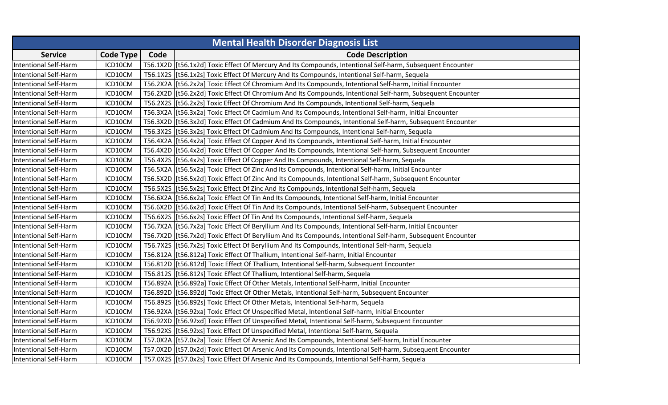|                              |                  |      | <b>Mental Health Disorder Diagnosis List</b>                                                                  |
|------------------------------|------------------|------|---------------------------------------------------------------------------------------------------------------|
| <b>Service</b>               | <b>Code Type</b> | Code | <b>Code Description</b>                                                                                       |
| <b>Intentional Self-Harm</b> | ICD10CM          |      | T56.1X2D   [t56.1x2d] Toxic Effect Of Mercury And Its Compounds, Intentional Self-harm, Subsequent Encounter  |
| <b>Intentional Self-Harm</b> | ICD10CM          |      | T56.1X2S   [t56.1x2s] Toxic Effect Of Mercury And Its Compounds, Intentional Self-harm, Sequela               |
| <b>Intentional Self-Harm</b> | ICD10CM          |      | T56.2X2A   [t56.2x2a] Toxic Effect Of Chromium And Its Compounds, Intentional Self-harm, Initial Encounter    |
| <b>Intentional Self-Harm</b> | ICD10CM          |      | T56.2X2D   [t56.2x2d] Toxic Effect Of Chromium And Its Compounds, Intentional Self-harm, Subsequent Encounter |
| <b>Intentional Self-Harm</b> | ICD10CM          |      | T56.2X2S [[t56.2x2s] Toxic Effect Of Chromium And Its Compounds, Intentional Self-harm, Sequela               |
| <b>Intentional Self-Harm</b> | ICD10CM          |      | T56.3X2A   [t56.3x2a] Toxic Effect Of Cadmium And Its Compounds, Intentional Self-harm, Initial Encounter     |
| <b>Intentional Self-Harm</b> | ICD10CM          |      | T56.3X2D [[t56.3x2d] Toxic Effect Of Cadmium And Its Compounds, Intentional Self-harm, Subsequent Encounter   |
| <b>Intentional Self-Harm</b> | ICD10CM          |      | T56.3X2S   [t56.3x2s] Toxic Effect Of Cadmium And Its Compounds, Intentional Self-harm, Sequela               |
| Intentional Self-Harm        | ICD10CM          |      | T56.4X2A   [t56.4x2a] Toxic Effect Of Copper And Its Compounds, Intentional Self-harm, Initial Encounter      |
| <b>Intentional Self-Harm</b> | ICD10CM          |      | T56.4X2D   [t56.4x2d] Toxic Effect Of Copper And Its Compounds, Intentional Self-harm, Subsequent Encounter   |
| Intentional Self-Harm        | ICD10CM          |      | T56.4X2S [t56.4x2s] Toxic Effect Of Copper And Its Compounds, Intentional Self-harm, Sequela                  |
| <b>Intentional Self-Harm</b> | ICD10CM          |      | T56.5X2A   [t56.5x2a] Toxic Effect Of Zinc And Its Compounds, Intentional Self-harm, Initial Encounter        |
| <b>Intentional Self-Harm</b> | ICD10CM          |      | T56.5X2D [[t56.5x2d] Toxic Effect Of Zinc And Its Compounds, Intentional Self-harm, Subsequent Encounter      |
| <b>Intentional Self-Harm</b> | ICD10CM          |      | T56.5X2S [[t56.5x2s] Toxic Effect Of Zinc And Its Compounds, Intentional Self-harm, Sequela                   |
| <b>Intentional Self-Harm</b> | ICD10CM          |      | T56.6X2A   [t56.6x2a] Toxic Effect Of Tin And Its Compounds, Intentional Self-harm, Initial Encounter         |
| <b>Intentional Self-Harm</b> | ICD10CM          |      | T56.6X2D [[t56.6x2d] Toxic Effect Of Tin And Its Compounds, Intentional Self-harm, Subsequent Encounter       |
| <b>Intentional Self-Harm</b> | ICD10CM          |      | T56.6X2S   [t56.6x2s] Toxic Effect Of Tin And Its Compounds, Intentional Self-harm, Sequela                   |
| <b>Intentional Self-Harm</b> | ICD10CM          |      | T56.7X2A [[t56.7x2a] Toxic Effect Of Beryllium And Its Compounds, Intentional Self-harm, Initial Encounter    |
| <b>Intentional Self-Harm</b> | ICD10CM          |      | T56.7X2D [[t56.7x2d] Toxic Effect Of Beryllium And Its Compounds, Intentional Self-harm, Subsequent Encounter |
| <b>Intentional Self-Harm</b> | ICD10CM          |      | T56.7X2S   [t56.7x2s] Toxic Effect Of Beryllium And Its Compounds, Intentional Self-harm, Sequela             |
| <b>Intentional Self-Harm</b> | ICD10CM          |      | T56.812A   [t56.812a] Toxic Effect Of Thallium, Intentional Self-harm, Initial Encounter                      |
| Intentional Self-Harm        | ICD10CM          |      | T56.812D [[t56.812d] Toxic Effect Of Thallium, Intentional Self-harm, Subsequent Encounter                    |
| <b>Intentional Self-Harm</b> | ICD10CM          |      | T56.812S   [t56.812s] Toxic Effect Of Thallium, Intentional Self-harm, Sequela                                |
| <b>Intentional Self-Harm</b> | ICD10CM          |      | T56.892A   [t56.892a] Toxic Effect Of Other Metals, Intentional Self-harm, Initial Encounter                  |
| <b>Intentional Self-Harm</b> | ICD10CM          |      | T56.892D   [t56.892d] Toxic Effect Of Other Metals, Intentional Self-harm, Subsequent Encounter               |
| Intentional Self-Harm        | ICD10CM          |      | T56.892S [[t56.892s] Toxic Effect Of Other Metals, Intentional Self-harm, Sequela                             |
| <b>Intentional Self-Harm</b> | ICD10CM          |      | T56.92XA   [t56.92xa] Toxic Effect Of Unspecified Metal, Intentional Self-harm, Initial Encounter             |
| <b>Intentional Self-Harm</b> | ICD10CM          |      | T56.92XD [[t56.92xd] Toxic Effect Of Unspecified Metal, Intentional Self-harm, Subsequent Encounter           |
| <b>Intentional Self-Harm</b> | ICD10CM          |      | T56.92XS [t56.92xs] Toxic Effect Of Unspecified Metal, Intentional Self-harm, Sequela                         |
| <b>Intentional Self-Harm</b> | ICD10CM          |      | T57.0X2A   [t57.0x2a] Toxic Effect Of Arsenic And Its Compounds, Intentional Self-harm, Initial Encounter     |
| <b>Intentional Self-Harm</b> | ICD10CM          |      | T57.0X2D [[t57.0x2d] Toxic Effect Of Arsenic And Its Compounds, Intentional Self-harm, Subsequent Encounter   |
| <b>Intentional Self-Harm</b> | ICD10CM          |      | T57.0X2S [t57.0x2s] Toxic Effect Of Arsenic And Its Compounds, Intentional Self-harm, Sequela                 |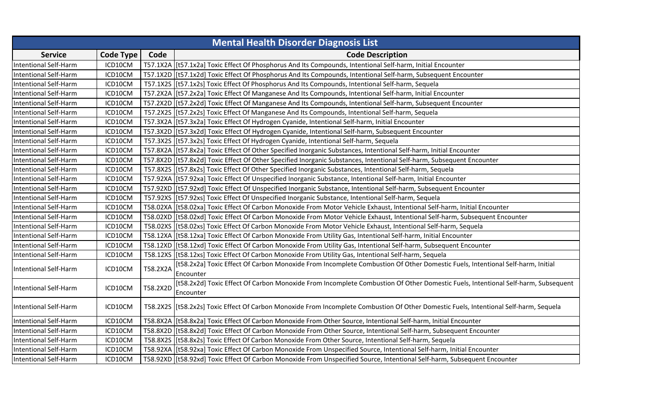| <b>Mental Health Disorder Diagnosis List</b> |                  |          |                                                                                                                                          |  |
|----------------------------------------------|------------------|----------|------------------------------------------------------------------------------------------------------------------------------------------|--|
| <b>Service</b>                               | <b>Code Type</b> | Code     | <b>Code Description</b>                                                                                                                  |  |
| <b>Intentional Self-Harm</b>                 | ICD10CM          |          | T57.1X2A   [t57.1x2a] Toxic Effect Of Phosphorus And Its Compounds, Intentional Self-harm, Initial Encounter                             |  |
| <b>Intentional Self-Harm</b>                 | ICD10CM          |          | T57.1X2D [[t57.1x2d] Toxic Effect Of Phosphorus And Its Compounds, Intentional Self-harm, Subsequent Encounter                           |  |
| <b>Intentional Self-Harm</b>                 | ICD10CM          |          | T57.1X2S [[t57.1x2s] Toxic Effect Of Phosphorus And Its Compounds, Intentional Self-harm, Sequela                                        |  |
| <b>Intentional Self-Harm</b>                 | ICD10CM          |          | T57.2X2A   [t57.2x2a] Toxic Effect Of Manganese And Its Compounds, Intentional Self-harm, Initial Encounter                              |  |
| Intentional Self-Harm                        | ICD10CM          |          | T57.2X2D [[t57.2x2d] Toxic Effect Of Manganese And Its Compounds, Intentional Self-harm, Subsequent Encounter                            |  |
| <b>Intentional Self-Harm</b>                 | ICD10CM          |          | T57.2X2S [[t57.2x2s] Toxic Effect Of Manganese And Its Compounds, Intentional Self-harm, Sequela                                         |  |
| <b>Intentional Self-Harm</b>                 | ICD10CM          |          | T57.3X2A [[t57.3x2a] Toxic Effect Of Hydrogen Cyanide, Intentional Self-harm, Initial Encounter                                          |  |
| <b>Intentional Self-Harm</b>                 | ICD10CM          |          | T57.3X2D   [t57.3x2d] Toxic Effect Of Hydrogen Cyanide, Intentional Self-harm, Subsequent Encounter                                      |  |
| Intentional Self-Harm                        | ICD10CM          |          | T57.3X2S [[t57.3x2s] Toxic Effect Of Hydrogen Cyanide, Intentional Self-harm, Sequela                                                    |  |
| Intentional Self-Harm                        | ICD10CM          |          | T57.8X2A   [t57.8x2a] Toxic Effect Of Other Specified Inorganic Substances, Intentional Self-harm, Initial Encounter                     |  |
| Intentional Self-Harm                        | ICD10CM          |          | T57.8X2D [[t57.8x2d] Toxic Effect Of Other Specified Inorganic Substances, Intentional Self-harm, Subsequent Encounter                   |  |
| <b>Intentional Self-Harm</b>                 | ICD10CM          |          | T57.8X2S   [t57.8x2s] Toxic Effect Of Other Specified Inorganic Substances, Intentional Self-harm, Sequela                               |  |
| <b>Intentional Self-Harm</b>                 | ICD10CM          |          | T57.92XA   [t57.92xa] Toxic Effect Of Unspecified Inorganic Substance, Intentional Self-harm, Initial Encounter                          |  |
| <b>Intentional Self-Harm</b>                 | ICD10CM          |          | T57.92XD   [t57.92xd] Toxic Effect Of Unspecified Inorganic Substance, Intentional Self-harm, Subsequent Encounter                       |  |
| <b>Intentional Self-Harm</b>                 | ICD10CM          |          | T57.92XS [t57.92xs] Toxic Effect Of Unspecified Inorganic Substance, Intentional Self-harm, Sequela                                      |  |
| <b>Intentional Self-Harm</b>                 | ICD10CM          |          | T58.02XA   [t58.02xa] Toxic Effect Of Carbon Monoxide From Motor Vehicle Exhaust, Intentional Self-harm, Initial Encounter               |  |
| <b>Intentional Self-Harm</b>                 | ICD10CM          |          | T58.02XD   [t58.02xd] Toxic Effect Of Carbon Monoxide From Motor Vehicle Exhaust, Intentional Self-harm, Subsequent Encounter            |  |
| <b>Intentional Self-Harm</b>                 | ICD10CM          |          | T58.02XS [[t58.02xs] Toxic Effect Of Carbon Monoxide From Motor Vehicle Exhaust, Intentional Self-harm, Sequela                          |  |
| <b>Intentional Self-Harm</b>                 | ICD10CM          |          | T58.12XA   [t58.12xa] Toxic Effect Of Carbon Monoxide From Utility Gas, Intentional Self-harm, Initial Encounter                         |  |
| <b>Intentional Self-Harm</b>                 | ICD10CM          |          | T58.12XD [[t58.12xd] Toxic Effect Of Carbon Monoxide From Utility Gas, Intentional Self-harm, Subsequent Encounter                       |  |
| <b>Intentional Self-Harm</b>                 | ICD10CM          |          | T58.12XS   [t58.12xs] Toxic Effect Of Carbon Monoxide From Utility Gas, Intentional Self-harm, Sequela                                   |  |
| <b>Intentional Self-Harm</b>                 | ICD10CM          | T58.2X2A | [t58.2x2a] Toxic Effect Of Carbon Monoxide From Incomplete Combustion Of Other Domestic Fuels, Intentional Self-harm, Initial            |  |
|                                              |                  |          | Encounter                                                                                                                                |  |
| <b>Intentional Self-Harm</b>                 | ICD10CM          | T58.2X2D | [t58.2x2d] Toxic Effect Of Carbon Monoxide From Incomplete Combustion Of Other Domestic Fuels, Intentional Self-harm, Subsequent         |  |
|                                              |                  |          | Encounter                                                                                                                                |  |
| <b>Intentional Self-Harm</b>                 | ICD10CM          |          | T58.2X2S   [t58.2x2s] Toxic Effect Of Carbon Monoxide From Incomplete Combustion Of Other Domestic Fuels, Intentional Self-harm, Sequela |  |
|                                              |                  |          |                                                                                                                                          |  |
| <b>Intentional Self-Harm</b>                 | ICD10CM          |          | T58.8X2A   [t58.8x2a] Toxic Effect Of Carbon Monoxide From Other Source, Intentional Self-harm, Initial Encounter                        |  |
| <b>Intentional Self-Harm</b>                 | ICD10CM          |          | T58.8X2D   [t58.8x2d] Toxic Effect Of Carbon Monoxide From Other Source, Intentional Self-harm, Subsequent Encounter                     |  |
| <b>Intentional Self-Harm</b>                 | ICD10CM          |          | T58.8X2S   [t58.8x2s] Toxic Effect Of Carbon Monoxide From Other Source, Intentional Self-harm, Sequela                                  |  |
| <b>Intentional Self-Harm</b>                 | ICD10CM          |          | T58.92XA   [t58.92xa] Toxic Effect Of Carbon Monoxide From Unspecified Source, Intentional Self-harm, Initial Encounter                  |  |
| <b>Intentional Self-Harm</b>                 | ICD10CM          |          | T58.92XD [[t58.92xd] Toxic Effect Of Carbon Monoxide From Unspecified Source, Intentional Self-harm, Subsequent Encounter                |  |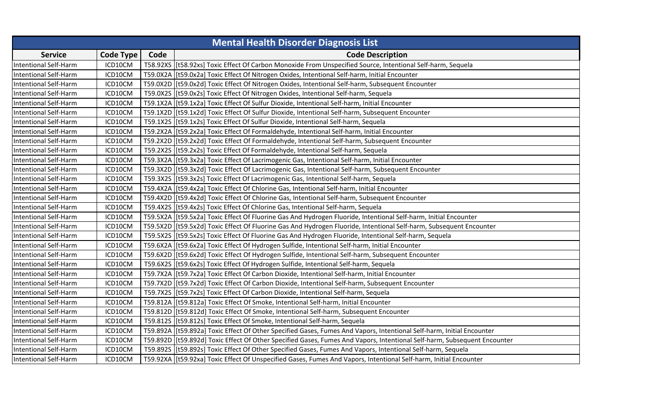| <b>Mental Health Disorder Diagnosis List</b> |                  |      |                                                                                                                           |
|----------------------------------------------|------------------|------|---------------------------------------------------------------------------------------------------------------------------|
| <b>Service</b>                               | <b>Code Type</b> | Code | <b>Code Description</b>                                                                                                   |
| <b>Intentional Self-Harm</b>                 | ICD10CM          |      | T58.92XS [[t58.92xs] Toxic Effect Of Carbon Monoxide From Unspecified Source, Intentional Self-harm, Sequela              |
| <b>Intentional Self-Harm</b>                 | ICD10CM          |      | T59.0X2A   [t59.0x2a] Toxic Effect Of Nitrogen Oxides, Intentional Self-harm, Initial Encounter                           |
| <b>Intentional Self-Harm</b>                 | ICD10CM          |      | T59.0X2D [[t59.0x2d] Toxic Effect Of Nitrogen Oxides, Intentional Self-harm, Subsequent Encounter                         |
| <b>Intentional Self-Harm</b>                 | ICD10CM          |      | T59.0X2S   [t59.0x2s] Toxic Effect Of Nitrogen Oxides, Intentional Self-harm, Sequela                                     |
| <b>Intentional Self-Harm</b>                 | ICD10CM          |      | T59.1X2A   [t59.1x2a] Toxic Effect Of Sulfur Dioxide, Intentional Self-harm, Initial Encounter                            |
| <b>Intentional Self-Harm</b>                 | ICD10CM          |      | T59.1X2D   [t59.1x2d] Toxic Effect Of Sulfur Dioxide, Intentional Self-harm, Subsequent Encounter                         |
| <b>Intentional Self-Harm</b>                 | ICD10CM          |      | T59.1X2S [[t59.1x2s] Toxic Effect Of Sulfur Dioxide, Intentional Self-harm, Sequela                                       |
| <b>Intentional Self-Harm</b>                 | ICD10CM          |      | T59.2X2A   [t59.2x2a] Toxic Effect Of Formaldehyde, Intentional Self-harm, Initial Encounter                              |
| <b>Intentional Self-Harm</b>                 | ICD10CM          |      | T59.2X2D [[t59.2x2d] Toxic Effect Of Formaldehyde, Intentional Self-harm, Subsequent Encounter                            |
| <b>Intentional Self-Harm</b>                 | ICD10CM          |      | T59.2X2S   [t59.2x2s] Toxic Effect Of Formaldehyde, Intentional Self-harm, Sequela                                        |
| <b>Intentional Self-Harm</b>                 | ICD10CM          |      | T59.3X2A   [t59.3x2a] Toxic Effect Of Lacrimogenic Gas, Intentional Self-harm, Initial Encounter                          |
| <b>Intentional Self-Harm</b>                 | ICD10CM          |      | T59.3X2D [[t59.3x2d] Toxic Effect Of Lacrimogenic Gas, Intentional Self-harm, Subsequent Encounter                        |
| <b>Intentional Self-Harm</b>                 | ICD10CM          |      | T59.3X2S [[t59.3x2s] Toxic Effect Of Lacrimogenic Gas, Intentional Self-harm, Sequela                                     |
| <b>Intentional Self-Harm</b>                 | ICD10CM          |      | T59.4X2A   [t59.4x2a] Toxic Effect Of Chlorine Gas, Intentional Self-harm, Initial Encounter                              |
| <b>Intentional Self-Harm</b>                 | ICD10CM          |      | T59.4X2D [[t59.4x2d] Toxic Effect Of Chlorine Gas, Intentional Self-harm, Subsequent Encounter                            |
| <b>Intentional Self-Harm</b>                 | ICD10CM          |      | T59.4X2S [[t59.4x2s] Toxic Effect Of Chlorine Gas, Intentional Self-harm, Sequela                                         |
| <b>Intentional Self-Harm</b>                 | ICD10CM          |      | T59.5X2A   [t59.5x2a] Toxic Effect Of Fluorine Gas And Hydrogen Fluoride, Intentional Self-harm, Initial Encounter        |
| <b>Intentional Self-Harm</b>                 | ICD10CM          |      | T59.5X2D [[t59.5x2d] Toxic Effect Of Fluorine Gas And Hydrogen Fluoride, Intentional Self-harm, Subsequent Encounter      |
| <b>Intentional Self-Harm</b>                 | ICD10CM          |      | T59.5X2S   [t59.5x2s] Toxic Effect Of Fluorine Gas And Hydrogen Fluoride, Intentional Self-harm, Sequela                  |
| <b>Intentional Self-Harm</b>                 | ICD10CM          |      | T59.6X2A   [t59.6x2a] Toxic Effect Of Hydrogen Sulfide, Intentional Self-harm, Initial Encounter                          |
| <b>Intentional Self-Harm</b>                 | ICD10CM          |      | T59.6X2D   [t59.6x2d] Toxic Effect Of Hydrogen Sulfide, Intentional Self-harm, Subsequent Encounter                       |
| <b>Intentional Self-Harm</b>                 | ICD10CM          |      | T59.6X2S   [t59.6x2s] Toxic Effect Of Hydrogen Sulfide, Intentional Self-harm, Sequela                                    |
| <b>Intentional Self-Harm</b>                 | ICD10CM          |      | T59.7X2A   [t59.7x2a] Toxic Effect Of Carbon Dioxide, Intentional Self-harm, Initial Encounter                            |
| <b>Intentional Self-Harm</b>                 | ICD10CM          |      | T59.7X2D [[t59.7x2d] Toxic Effect Of Carbon Dioxide, Intentional Self-harm, Subsequent Encounter                          |
| <b>Intentional Self-Harm</b>                 | ICD10CM          |      | T59.7X2S   [t59.7x2s] Toxic Effect Of Carbon Dioxide, Intentional Self-harm, Sequela                                      |
| <b>Intentional Self-Harm</b>                 | ICD10CM          |      | T59.812A [[t59.812a] Toxic Effect Of Smoke, Intentional Self-harm, Initial Encounter                                      |
| <b>Intentional Self-Harm</b>                 | ICD10CM          |      | T59.812D   [t59.812d] Toxic Effect Of Smoke, Intentional Self-harm, Subsequent Encounter                                  |
| <b>Intentional Self-Harm</b>                 | ICD10CM          |      | T59.812S   [t59.812s] Toxic Effect Of Smoke, Intentional Self-harm, Sequela                                               |
| <b>Intentional Self-Harm</b>                 | ICD10CM          |      | T59.892A   [t59.892a] Toxic Effect Of Other Specified Gases, Fumes And Vapors, Intentional Self-harm, Initial Encounter   |
| <b>Intentional Self-Harm</b>                 | ICD10CM          |      | T59.892D [[t59.892d] Toxic Effect Of Other Specified Gases, Fumes And Vapors, Intentional Self-harm, Subsequent Encounter |
| <b>Intentional Self-Harm</b>                 | ICD10CM          |      | T59.892S   [t59.892s] Toxic Effect Of Other Specified Gases, Fumes And Vapors, Intentional Self-harm, Sequela             |
| <b>Intentional Self-Harm</b>                 | ICD10CM          |      | T59.92XA   [t59.92xa] Toxic Effect Of Unspecified Gases, Fumes And Vapors, Intentional Self-harm, Initial Encounter       |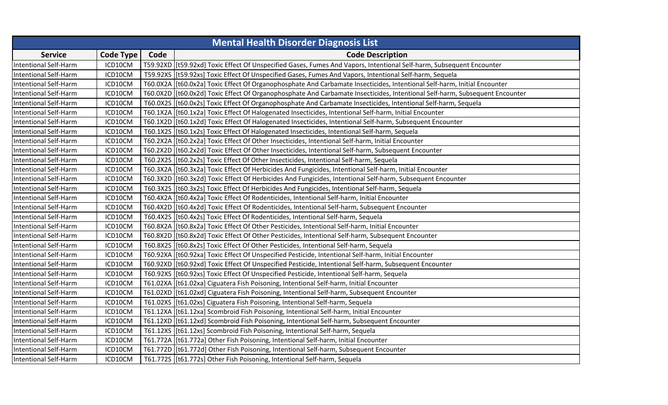|                              |                  |      | <b>Mental Health Disorder Diagnosis List</b>                                                                                  |
|------------------------------|------------------|------|-------------------------------------------------------------------------------------------------------------------------------|
| <b>Service</b>               | <b>Code Type</b> | Code | <b>Code Description</b>                                                                                                       |
| <b>Intentional Self-Harm</b> | ICD10CM          |      | T59.92XD   [t59.92xd] Toxic Effect Of Unspecified Gases, Fumes And Vapors, Intentional Self-harm, Subsequent Encounter        |
| <b>Intentional Self-Harm</b> | ICD10CM          |      | T59.92XS   [t59.92xs] Toxic Effect Of Unspecified Gases, Fumes And Vapors, Intentional Self-harm, Sequela                     |
| <b>Intentional Self-Harm</b> | ICD10CM          |      | T60.0X2A   [t60.0x2a] Toxic Effect Of Organophosphate And Carbamate Insecticides, Intentional Self-harm, Initial Encounter    |
| <b>Intentional Self-Harm</b> | ICD10CM          |      | T60.0X2D   [t60.0x2d] Toxic Effect Of Organophosphate And Carbamate Insecticides, Intentional Self-harm, Subsequent Encounter |
| <b>Intentional Self-Harm</b> | ICD10CM          |      | T60.0X2S   [t60.0x2s] Toxic Effect Of Organophosphate And Carbamate Insecticides, Intentional Self-harm, Sequela              |
| <b>Intentional Self-Harm</b> | ICD10CM          |      | T60.1X2A   [t60.1x2a] Toxic Effect Of Halogenated Insecticides, Intentional Self-harm, Initial Encounter                      |
| <b>Intentional Self-Harm</b> | ICD10CM          |      | T60.1X2D   [t60.1x2d] Toxic Effect Of Halogenated Insecticides, Intentional Self-harm, Subsequent Encounter                   |
| <b>Intentional Self-Harm</b> | ICD10CM          |      | T60.1X2S   [t60.1x2s] Toxic Effect Of Halogenated Insecticides, Intentional Self-harm, Sequela                                |
| <b>Intentional Self-Harm</b> | ICD10CM          |      | T60.2X2A   [t60.2x2a] Toxic Effect Of Other Insecticides, Intentional Self-harm, Initial Encounter                            |
| <b>Intentional Self-Harm</b> | ICD10CM          |      | T60.2X2D   [t60.2x2d] Toxic Effect Of Other Insecticides, Intentional Self-harm, Subsequent Encounter                         |
| <b>Intentional Self-Harm</b> | ICD10CM          |      | T60.2X2S   [t60.2x2s] Toxic Effect Of Other Insecticides, Intentional Self-harm, Sequela                                      |
| <b>Intentional Self-Harm</b> | ICD10CM          |      | T60.3X2A   [t60.3x2a] Toxic Effect Of Herbicides And Fungicides, Intentional Self-harm, Initial Encounter                     |
| <b>Intentional Self-Harm</b> | ICD10CM          |      | T60.3X2D   [t60.3x2d] Toxic Effect Of Herbicides And Fungicides, Intentional Self-harm, Subsequent Encounter                  |
| <b>Intentional Self-Harm</b> | ICD10CM          |      | T60.3X2S   [t60.3x2s] Toxic Effect Of Herbicides And Fungicides, Intentional Self-harm, Sequela                               |
| <b>Intentional Self-Harm</b> | ICD10CM          |      | T60.4X2A   [t60.4x2a] Toxic Effect Of Rodenticides, Intentional Self-harm, Initial Encounter                                  |
| <b>Intentional Self-Harm</b> | ICD10CM          |      | T60.4X2D   [t60.4x2d] Toxic Effect Of Rodenticides, Intentional Self-harm, Subsequent Encounter                               |
| <b>Intentional Self-Harm</b> | ICD10CM          |      | T60.4X2S [[t60.4x2s] Toxic Effect Of Rodenticides, Intentional Self-harm, Sequela                                             |
| <b>Intentional Self-Harm</b> | ICD10CM          |      | T60.8X2A   [t60.8x2a] Toxic Effect Of Other Pesticides, Intentional Self-harm, Initial Encounter                              |
| <b>Intentional Self-Harm</b> | ICD10CM          |      | T60.8X2D [[t60.8x2d] Toxic Effect Of Other Pesticides, Intentional Self-harm, Subsequent Encounter                            |
| <b>Intentional Self-Harm</b> | ICD10CM          |      | T60.8X2S   [t60.8x2s] Toxic Effect Of Other Pesticides, Intentional Self-harm, Sequela                                        |
| <b>Intentional Self-Harm</b> | ICD10CM          |      | T60.92XA   [t60.92xa] Toxic Effect Of Unspecified Pesticide, Intentional Self-harm, Initial Encounter                         |
| <b>Intentional Self-Harm</b> | ICD10CM          |      | T60.92XD   [t60.92xd] Toxic Effect Of Unspecified Pesticide, Intentional Self-harm, Subsequent Encounter                      |
| <b>Intentional Self-Harm</b> | ICD10CM          |      | T60.92XS [[t60.92xs] Toxic Effect Of Unspecified Pesticide, Intentional Self-harm, Sequela                                    |
| <b>Intentional Self-Harm</b> | ICD10CM          |      | T61.02XA   [t61.02xa] Ciguatera Fish Poisoning, Intentional Self-harm, Initial Encounter                                      |
| <b>Intentional Self-Harm</b> | ICD10CM          |      | T61.02XD   [t61.02xd] Ciguatera Fish Poisoning, Intentional Self-harm, Subsequent Encounter                                   |
| <b>Intentional Self-Harm</b> | ICD10CM          |      | T61.02XS [[t61.02xs] Ciguatera Fish Poisoning, Intentional Self-harm, Sequela                                                 |
| <b>Intentional Self-Harm</b> | ICD10CM          |      | T61.12XA   [t61.12xa] Scombroid Fish Poisoning, Intentional Self-harm, Initial Encounter                                      |
| <b>Intentional Self-Harm</b> | ICD10CM          |      | T61.12XD  [t61.12xd] Scombroid Fish Poisoning, Intentional Self-harm, Subsequent Encounter                                    |
| <b>Intentional Self-Harm</b> | ICD10CM          |      | T61.12XS [[t61.12xs] Scombroid Fish Poisoning, Intentional Self-harm, Sequela                                                 |
| <b>Intentional Self-Harm</b> | ICD10CM          |      | T61.772A [[t61.772a] Other Fish Poisoning, Intentional Self-harm, Initial Encounter                                           |
| <b>Intentional Self-Harm</b> | ICD10CM          |      | T61.772D [[t61.772d] Other Fish Poisoning, Intentional Self-harm, Subsequent Encounter                                        |
| <b>Intentional Self-Harm</b> | ICD10CM          |      | T61.772S   [t61.772s] Other Fish Poisoning, Intentional Self-harm, Sequela                                                    |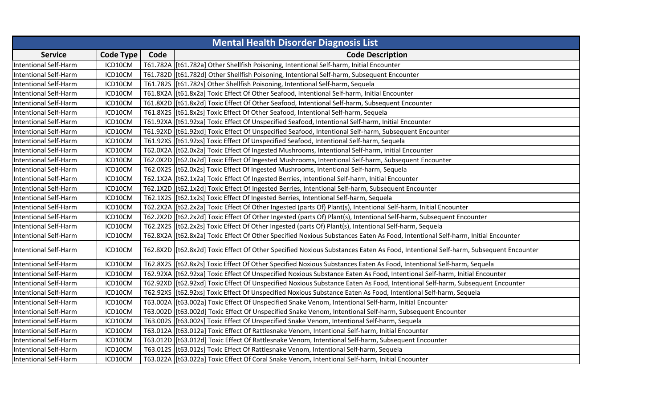| <b>Mental Health Disorder Diagnosis List</b> |                  |      |                                                                                                                                    |  |
|----------------------------------------------|------------------|------|------------------------------------------------------------------------------------------------------------------------------------|--|
| <b>Service</b>                               | <b>Code Type</b> | Code | <b>Code Description</b>                                                                                                            |  |
| <b>Intentional Self-Harm</b>                 | ICD10CM          |      | T61.782A [[t61.782a] Other Shellfish Poisoning, Intentional Self-harm, Initial Encounter                                           |  |
| <b>Intentional Self-Harm</b>                 | ICD10CM          |      | T61.782D [[t61.782d] Other Shellfish Poisoning, Intentional Self-harm, Subsequent Encounter                                        |  |
| <b>Intentional Self-Harm</b>                 | ICD10CM          |      | T61.782S [[t61.782s] Other Shellfish Poisoning, Intentional Self-harm, Sequela                                                     |  |
| <b>Intentional Self-Harm</b>                 | ICD10CM          |      | T61.8X2A   [t61.8x2a] Toxic Effect Of Other Seafood, Intentional Self-harm, Initial Encounter                                      |  |
| <b>Intentional Self-Harm</b>                 | ICD10CM          |      | T61.8X2D [[t61.8x2d] Toxic Effect Of Other Seafood, Intentional Self-harm, Subsequent Encounter                                    |  |
| <b>Intentional Self-Harm</b>                 | ICD10CM          |      | T61.8X2S   [t61.8x2s] Toxic Effect Of Other Seafood, Intentional Self-harm, Sequela                                                |  |
| <b>Intentional Self-Harm</b>                 | ICD10CM          |      | T61.92XA [[t61.92xa] Toxic Effect Of Unspecified Seafood, Intentional Self-harm, Initial Encounter                                 |  |
| <b>Intentional Self-Harm</b>                 | ICD10CM          |      | T61.92XD   [t61.92xd] Toxic Effect Of Unspecified Seafood, Intentional Self-harm, Subsequent Encounter                             |  |
| <b>Intentional Self-Harm</b>                 | ICD10CM          |      | T61.92XS [[t61.92xs] Toxic Effect Of Unspecified Seafood, Intentional Self-harm, Sequela                                           |  |
| <b>Intentional Self-Harm</b>                 | ICD10CM          |      | T62.0X2A   [t62.0x2a] Toxic Effect Of Ingested Mushrooms, Intentional Self-harm, Initial Encounter                                 |  |
| Intentional Self-Harm                        | ICD10CM          |      | T62.0X2D [[t62.0x2d] Toxic Effect Of Ingested Mushrooms, Intentional Self-harm, Subsequent Encounter                               |  |
| Intentional Self-Harm                        | ICD10CM          |      | T62.0X2S [[t62.0x2s] Toxic Effect Of Ingested Mushrooms, Intentional Self-harm, Sequela                                            |  |
| <b>Intentional Self-Harm</b>                 | ICD10CM          |      | T62.1X2A   [t62.1x2a] Toxic Effect Of Ingested Berries, Intentional Self-harm, Initial Encounter                                   |  |
| <b>Intentional Self-Harm</b>                 | ICD10CM          |      | T62.1X2D   [t62.1x2d] Toxic Effect Of Ingested Berries, Intentional Self-harm, Subsequent Encounter                                |  |
| <b>Intentional Self-Harm</b>                 | ICD10CM          |      | T62.1X2S [[t62.1x2s] Toxic Effect Of Ingested Berries, Intentional Self-harm, Sequela                                              |  |
| <b>Intentional Self-Harm</b>                 | ICD10CM          |      | T62.2X2A   [t62.2x2a] Toxic Effect Of Other Ingested (parts Of) Plant(s), Intentional Self-harm, Initial Encounter                 |  |
| <b>Intentional Self-Harm</b>                 | ICD10CM          |      | T62.2X2D [[t62.2x2d] Toxic Effect Of Other Ingested (parts Of) Plant(s), Intentional Self-harm, Subsequent Encounter               |  |
| <b>Intentional Self-Harm</b>                 | ICD10CM          |      | T62.2X2S   [t62.2x2s] Toxic Effect Of Other Ingested (parts Of) Plant(s), Intentional Self-harm, Sequela                           |  |
| <b>Intentional Self-Harm</b>                 | ICD10CM          |      | T62.8X2A   [t62.8x2a] Toxic Effect Of Other Specified Noxious Substances Eaten As Food, Intentional Self-harm, Initial Encounter   |  |
| <b>Intentional Self-Harm</b>                 | ICD10CM          |      | T62.8X2D [[t62.8x2d] Toxic Effect Of Other Specified Noxious Substances Eaten As Food, Intentional Self-harm, Subsequent Encounter |  |
| <b>Intentional Self-Harm</b>                 | ICD10CM          |      | T62.8X2S   [t62.8x2s] Toxic Effect Of Other Specified Noxious Substances Eaten As Food, Intentional Self-harm, Sequela             |  |
| <b>Intentional Self-Harm</b>                 | ICD10CM          |      | T62.92XA   [t62.92xa] Toxic Effect Of Unspecified Noxious Substance Eaten As Food, Intentional Self-harm, Initial Encounter        |  |
| Intentional Self-Harm                        | ICD10CM          |      | T62.92XD [[t62.92xd] Toxic Effect Of Unspecified Noxious Substance Eaten As Food, Intentional Self-harm, Subsequent Encounter      |  |
| <b>Intentional Self-Harm</b>                 | ICD10CM          |      | T62.92XS   [t62.92xs] Toxic Effect Of Unspecified Noxious Substance Eaten As Food, Intentional Self-harm, Sequela                  |  |
| <b>Intentional Self-Harm</b>                 | ICD10CM          |      | T63.002A   [t63.002a] Toxic Effect Of Unspecified Snake Venom, Intentional Self-harm, Initial Encounter                            |  |
| <b>Intentional Self-Harm</b>                 | ICD10CM          |      | T63.002D   [t63.002d] Toxic Effect Of Unspecified Snake Venom, Intentional Self-harm, Subsequent Encounter                         |  |
| <b>Intentional Self-Harm</b>                 | ICD10CM          |      | T63.002S [[t63.002s] Toxic Effect Of Unspecified Snake Venom, Intentional Self-harm, Sequela                                       |  |
| <b>Intentional Self-Harm</b>                 | ICD10CM          |      | T63.012A   [t63.012a] Toxic Effect Of Rattlesnake Venom, Intentional Self-harm, Initial Encounter                                  |  |
| <b>Intentional Self-Harm</b>                 | ICD10CM          |      | T63.012D [[t63.012d] Toxic Effect Of Rattlesnake Venom, Intentional Self-harm, Subsequent Encounter                                |  |
| Intentional Self-Harm                        | ICD10CM          |      | T63.012S   [t63.012s] Toxic Effect Of Rattlesnake Venom, Intentional Self-harm, Sequela                                            |  |
| <b>Intentional Self-Harm</b>                 | ICD10CM          |      | T63.022A   [t63.022a] Toxic Effect Of Coral Snake Venom, Intentional Self-harm, Initial Encounter                                  |  |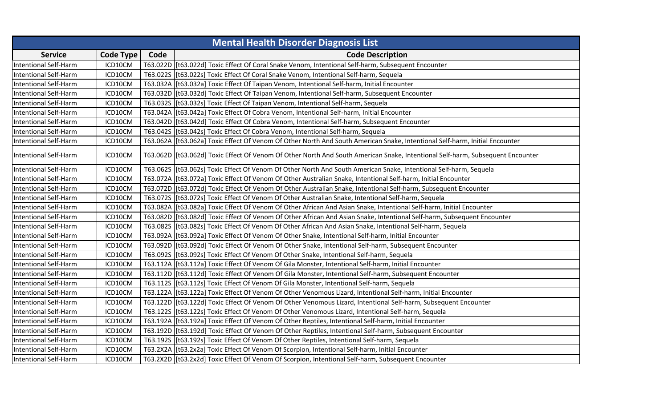| <b>Mental Health Disorder Diagnosis List</b> |                  |      |                                                                                                                                 |  |
|----------------------------------------------|------------------|------|---------------------------------------------------------------------------------------------------------------------------------|--|
| <b>Service</b>                               | <b>Code Type</b> | Code | <b>Code Description</b>                                                                                                         |  |
| <b>Intentional Self-Harm</b>                 | ICD10CM          |      | T63.022D [[t63.022d] Toxic Effect Of Coral Snake Venom, Intentional Self-harm, Subsequent Encounter                             |  |
| <b>Intentional Self-Harm</b>                 | ICD10CM          |      | T63.022S [[t63.022s] Toxic Effect Of Coral Snake Venom, Intentional Self-harm, Sequela                                          |  |
| <b>Intentional Self-Harm</b>                 | ICD10CM          |      | T63.032A [t63.032a] Toxic Effect Of Taipan Venom, Intentional Self-harm, Initial Encounter                                      |  |
| <b>Intentional Self-Harm</b>                 | ICD10CM          |      | T63.032D   [t63.032d] Toxic Effect Of Taipan Venom, Intentional Self-harm, Subsequent Encounter                                 |  |
| <b>Intentional Self-Harm</b>                 | ICD10CM          |      | T63.032S [[t63.032s] Toxic Effect Of Taipan Venom, Intentional Self-harm, Sequela                                               |  |
| <b>Intentional Self-Harm</b>                 | ICD10CM          |      | T63.042A   [t63.042a] Toxic Effect Of Cobra Venom, Intentional Self-harm, Initial Encounter                                     |  |
| <b>Intentional Self-Harm</b>                 | ICD10CM          |      | T63.042D [[t63.042d] Toxic Effect Of Cobra Venom, Intentional Self-harm, Subsequent Encounter                                   |  |
| <b>Intentional Self-Harm</b>                 | ICD10CM          |      | T63.042S [t63.042s] Toxic Effect Of Cobra Venom, Intentional Self-harm, Sequela                                                 |  |
| <b>Intentional Self-Harm</b>                 | ICD10CM          |      | T63.062A   [t63.062a] Toxic Effect Of Venom Of Other North And South American Snake, Intentional Self-harm, Initial Encounter   |  |
| Intentional Self-Harm                        | ICD10CM          |      | T63.062D  [t63.062d] Toxic Effect Of Venom Of Other North And South American Snake, Intentional Self-harm, Subsequent Encounter |  |
| <b>Intentional Self-Harm</b>                 | ICD10CM          |      | T63.0625   [t63.062s] Toxic Effect Of Venom Of Other North And South American Snake, Intentional Self-harm, Sequela             |  |
| <b>Intentional Self-Harm</b>                 | ICD10CM          |      | T63.072A   [t63.072a] Toxic Effect Of Venom Of Other Australian Snake, Intentional Self-harm, Initial Encounter                 |  |
| <b>Intentional Self-Harm</b>                 | ICD10CM          |      | T63.072D  [t63.072d] Toxic Effect Of Venom Of Other Australian Snake, Intentional Self-harm, Subsequent Encounter               |  |
| <b>Intentional Self-Harm</b>                 | ICD10CM          |      | T63.072S   [t63.072s] Toxic Effect Of Venom Of Other Australian Snake, Intentional Self-harm, Sequela                           |  |
| <b>Intentional Self-Harm</b>                 | ICD10CM          |      | T63.082A  [t63.082a] Toxic Effect Of Venom Of Other African And Asian Snake, Intentional Self-harm, Initial Encounter           |  |
| <b>Intentional Self-Harm</b>                 | ICD10CM          |      | T63.082D  [t63.082d] Toxic Effect Of Venom Of Other African And Asian Snake, Intentional Self-harm, Subsequent Encounter        |  |
| <b>Intentional Self-Harm</b>                 | ICD10CM          |      | T63.082S [[t63.082s] Toxic Effect Of Venom Of Other African And Asian Snake, Intentional Self-harm, Sequela                     |  |
| <b>Intentional Self-Harm</b>                 | ICD10CM          |      | T63.092A   [t63.092a] Toxic Effect Of Venom Of Other Snake, Intentional Self-harm, Initial Encounter                            |  |
| <b>Intentional Self-Harm</b>                 | ICD10CM          |      | T63.092D [[t63.092d] Toxic Effect Of Venom Of Other Snake, Intentional Self-harm, Subsequent Encounter                          |  |
| <b>Intentional Self-Harm</b>                 | ICD10CM          |      | T63.092S   [t63.092s] Toxic Effect Of Venom Of Other Snake, Intentional Self-harm, Sequela                                      |  |
| Intentional Self-Harm                        | ICD10CM          |      | T63.112A   [t63.112a] Toxic Effect Of Venom Of Gila Monster, Intentional Self-harm, Initial Encounter                           |  |
| <b>Intentional Self-Harm</b>                 | ICD10CM          |      | T63.112D [[t63.112d] Toxic Effect Of Venom Of Gila Monster, Intentional Self-harm, Subsequent Encounter                         |  |
| <b>Intentional Self-Harm</b>                 | ICD10CM          |      | T63.112S   [t63.112s] Toxic Effect Of Venom Of Gila Monster, Intentional Self-harm, Sequela                                     |  |
| <b>Intentional Self-Harm</b>                 | ICD10CM          |      | T63.122A   [t63.122a] Toxic Effect Of Venom Of Other Venomous Lizard, Intentional Self-harm, Initial Encounter                  |  |
| <b>Intentional Self-Harm</b>                 | ICD10CM          |      | T63.122D  [t63.122d] Toxic Effect Of Venom Of Other Venomous Lizard, Intentional Self-harm, Subsequent Encounter                |  |
| <b>Intentional Self-Harm</b>                 | ICD10CM          |      | T63.122S   [t63.122s] Toxic Effect Of Venom Of Other Venomous Lizard, Intentional Self-harm, Sequela                            |  |
| <b>Intentional Self-Harm</b>                 | ICD10CM          |      | T63.192A [[t63.192a] Toxic Effect Of Venom Of Other Reptiles, Intentional Self-harm, Initial Encounter                          |  |
| <b>Intentional Self-Harm</b>                 | ICD10CM          |      | T63.192D [[t63.192d] Toxic Effect Of Venom Of Other Reptiles, Intentional Self-harm, Subsequent Encounter                       |  |
| <b>Intentional Self-Harm</b>                 | ICD10CM          |      | T63.1925   [t63.192s] Toxic Effect Of Venom Of Other Reptiles, Intentional Self-harm, Sequela                                   |  |
| <b>Intentional Self-Harm</b>                 | ICD10CM          |      | T63.2X2A   [t63.2x2a] Toxic Effect Of Venom Of Scorpion, Intentional Self-harm, Initial Encounter                               |  |
| <b>Intentional Self-Harm</b>                 | ICD10CM          |      | T63.2X2D   [t63.2x2d] Toxic Effect Of Venom Of Scorpion, Intentional Self-harm, Subsequent Encounter                            |  |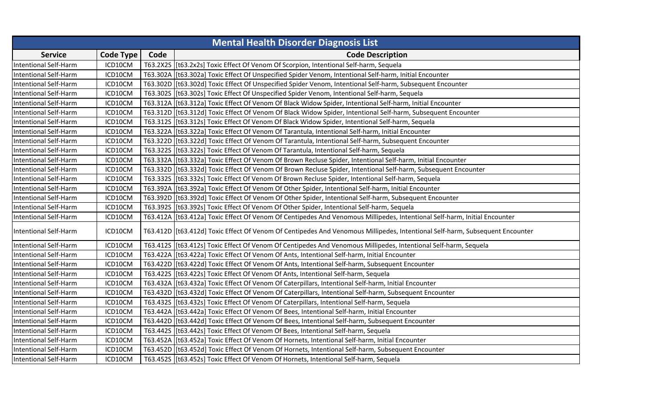|                              |           |      | <b>Mental Health Disorder Diagnosis List</b>                                                                                  |
|------------------------------|-----------|------|-------------------------------------------------------------------------------------------------------------------------------|
| <b>Service</b>               | Code Type | Code | <b>Code Description</b>                                                                                                       |
| <b>Intentional Self-Harm</b> | ICD10CM   |      | T63.2X2S   [t63.2x2s] Toxic Effect Of Venom Of Scorpion, Intentional Self-harm, Sequela                                       |
| <b>Intentional Self-Harm</b> | ICD10CM   |      | T63.302A   [t63.302a] Toxic Effect Of Unspecified Spider Venom, Intentional Self-harm, Initial Encounter                      |
| <b>Intentional Self-Harm</b> | ICD10CM   |      | T63.302D [[t63.302d] Toxic Effect Of Unspecified Spider Venom, Intentional Self-harm, Subsequent Encounter                    |
| <b>Intentional Self-Harm</b> | ICD10CM   |      | T63.302S [[t63.302s] Toxic Effect Of Unspecified Spider Venom, Intentional Self-harm, Sequela                                 |
| <b>Intentional Self-Harm</b> | ICD10CM   |      | T63.312A   [t63.312a] Toxic Effect Of Venom Of Black Widow Spider, Intentional Self-harm, Initial Encounter                   |
| <b>Intentional Self-Harm</b> | ICD10CM   |      | T63.312D [[t63.312d] Toxic Effect Of Venom Of Black Widow Spider, Intentional Self-harm, Subsequent Encounter                 |
| <b>Intentional Self-Harm</b> | ICD10CM   |      | T63.312S   [t63.312s] Toxic Effect Of Venom Of Black Widow Spider, Intentional Self-harm, Sequela                             |
| <b>Intentional Self-Harm</b> | ICD10CM   |      | T63.322A   [t63.322a] Toxic Effect Of Venom Of Tarantula, Intentional Self-harm, Initial Encounter                            |
| <b>Intentional Self-Harm</b> | ICD10CM   |      | T63.322D [[t63.322d] Toxic Effect Of Venom Of Tarantula, Intentional Self-harm, Subsequent Encounter                          |
| <b>Intentional Self-Harm</b> | ICD10CM   |      | T63.322S   [t63.322s] Toxic Effect Of Venom Of Tarantula, Intentional Self-harm, Sequela                                      |
| <b>Intentional Self-Harm</b> | ICD10CM   |      | T63.332A   [t63.332a] Toxic Effect Of Venom Of Brown Recluse Spider, Intentional Self-harm, Initial Encounter                 |
| <b>Intentional Self-Harm</b> | ICD10CM   |      | T63.332D [[t63.332d] Toxic Effect Of Venom Of Brown Recluse Spider, Intentional Self-harm, Subsequent Encounter               |
| <b>Intentional Self-Harm</b> | ICD10CM   |      | T63.332S   [t63.332s] Toxic Effect Of Venom Of Brown Recluse Spider, Intentional Self-harm, Sequela                           |
| <b>Intentional Self-Harm</b> | ICD10CM   |      | T63.392A   [t63.392a] Toxic Effect Of Venom Of Other Spider, Intentional Self-harm, Initial Encounter                         |
| <b>Intentional Self-Harm</b> | ICD10CM   |      | T63.392D   [t63.392d] Toxic Effect Of Venom Of Other Spider, Intentional Self-harm, Subsequent Encounter                      |
| <b>Intentional Self-Harm</b> | ICD10CM   |      | T63.392S [[t63.392s] Toxic Effect Of Venom Of Other Spider, Intentional Self-harm, Sequela                                    |
| Intentional Self-Harm        | ICD10CM   |      | T63.412A   [t63.412a] Toxic Effect Of Venom Of Centipedes And Venomous Millipedes, Intentional Self-harm, Initial Encounter   |
| <b>Intentional Self-Harm</b> | ICD10CM   |      | T63.412D [[t63.412d] Toxic Effect Of Venom Of Centipedes And Venomous Millipedes, Intentional Self-harm, Subsequent Encounter |
| Intentional Self-Harm        | ICD10CM   |      | T63.412S   [t63.412s] Toxic Effect Of Venom Of Centipedes And Venomous Millipedes, Intentional Self-harm, Sequela             |
| <b>Intentional Self-Harm</b> | ICD10CM   |      | T63.422A   [t63.422a] Toxic Effect Of Venom Of Ants, Intentional Self-harm, Initial Encounter                                 |
| <b>Intentional Self-Harm</b> | ICD10CM   |      | T63.422D   [t63.422d] Toxic Effect Of Venom Of Ants, Intentional Self-harm, Subsequent Encounter                              |
| Intentional Self-Harm        | ICD10CM   |      | T63.422S   [t63.422s] Toxic Effect Of Venom Of Ants, Intentional Self-harm, Sequela                                           |
| <b>Intentional Self-Harm</b> | ICD10CM   |      | T63.432A [[t63.432a] Toxic Effect Of Venom Of Caterpillars, Intentional Self-harm, Initial Encounter                          |
| <b>Intentional Self-Harm</b> | ICD10CM   |      | T63.432D [[t63.432d] Toxic Effect Of Venom Of Caterpillars, Intentional Self-harm, Subsequent Encounter                       |
| <b>Intentional Self-Harm</b> | ICD10CM   |      | T63.432S   [t63.432s] Toxic Effect Of Venom Of Caterpillars, Intentional Self-harm, Sequela                                   |
| <b>Intentional Self-Harm</b> | ICD10CM   |      | T63.442A   [t63.442a] Toxic Effect Of Venom Of Bees, Intentional Self-harm, Initial Encounter                                 |
| <b>Intentional Self-Harm</b> | ICD10CM   |      | T63.442D [[t63.442d] Toxic Effect Of Venom Of Bees, Intentional Self-harm, Subsequent Encounter                               |
| <b>Intentional Self-Harm</b> | ICD10CM   |      | T63.442S [[t63.442s] Toxic Effect Of Venom Of Bees, Intentional Self-harm, Sequela                                            |
| <b>Intentional Self-Harm</b> | ICD10CM   |      | T63.452A   [t63.452a] Toxic Effect Of Venom Of Hornets, Intentional Self-harm, Initial Encounter                              |
| <b>Intentional Self-Harm</b> | ICD10CM   |      | T63.452D   [t63.452d] Toxic Effect Of Venom Of Hornets, Intentional Self-harm, Subsequent Encounter                           |
| <b>Intentional Self-Harm</b> | ICD10CM   |      | T63.4525 [t63.452s] Toxic Effect Of Venom Of Hornets, Intentional Self-harm, Sequela                                          |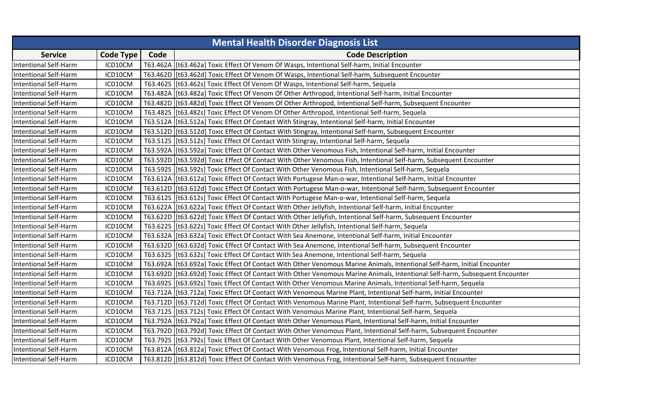| <b>Mental Health Disorder Diagnosis List</b> |           |      |                                                                                                                              |  |
|----------------------------------------------|-----------|------|------------------------------------------------------------------------------------------------------------------------------|--|
| <b>Service</b>                               | Code Type | Code | <b>Code Description</b>                                                                                                      |  |
| <b>Intentional Self-Harm</b>                 | ICD10CM   |      | T63.462A   [t63.462a] Toxic Effect Of Venom Of Wasps, Intentional Self-harm, Initial Encounter                               |  |
| <b>Intentional Self-Harm</b>                 | ICD10CM   |      | T63.462D [[t63.462d] Toxic Effect Of Venom Of Wasps, Intentional Self-harm, Subsequent Encounter                             |  |
| <b>Intentional Self-Harm</b>                 | ICD10CM   |      | T63.462S [[t63.462s] Toxic Effect Of Venom Of Wasps, Intentional Self-harm, Sequela                                          |  |
| <b>Intentional Self-Harm</b>                 | ICD10CM   |      | T63.482A   [t63.482a] Toxic Effect Of Venom Of Other Arthropod, Intentional Self-harm, Initial Encounter                     |  |
| <b>Intentional Self-Harm</b>                 | ICD10CM   |      | T63.482D   [t63.482d] Toxic Effect Of Venom Of Other Arthropod, Intentional Self-harm, Subsequent Encounter                  |  |
| <b>Intentional Self-Harm</b>                 | ICD10CM   |      | T63.482S   [t63.482s] Toxic Effect Of Venom Of Other Arthropod, Intentional Self-harm, Sequela                               |  |
| <b>Intentional Self-Harm</b>                 | ICD10CM   |      | T63.512A   [t63.512a] Toxic Effect Of Contact With Stingray, Intentional Self-harm, Initial Encounter                        |  |
| <b>Intentional Self-Harm</b>                 | ICD10CM   |      | T63.512D [[t63.512d] Toxic Effect Of Contact With Stingray, Intentional Self-harm, Subsequent Encounter                      |  |
| <b>Intentional Self-Harm</b>                 | ICD10CM   |      | T63.512S   [t63.512s] Toxic Effect Of Contact With Stingray, Intentional Self-harm, Sequela                                  |  |
| <b>Intentional Self-Harm</b>                 | ICD10CM   |      | T63.592A   [t63.592a] Toxic Effect Of Contact With Other Venomous Fish, Intentional Self-harm, Initial Encounter             |  |
| <b>Intentional Self-Harm</b>                 | ICD10CM   |      | T63.592D  [t63.592d] Toxic Effect Of Contact With Other Venomous Fish, Intentional Self-harm, Subsequent Encounter           |  |
| <b>Intentional Self-Harm</b>                 | ICD10CM   |      | T63.592S [[t63.592s] Toxic Effect Of Contact With Other Venomous Fish, Intentional Self-harm, Sequela                        |  |
| <b>Intentional Self-Harm</b>                 | ICD10CM   |      | T63.612A   [t63.612a] Toxic Effect Of Contact With Portugese Man-o-war, Intentional Self-harm, Initial Encounter             |  |
| <b>Intentional Self-Harm</b>                 | ICD10CM   |      | T63.612D   [t63.612d] Toxic Effect Of Contact With Portugese Man-o-war, Intentional Self-harm, Subsequent Encounter          |  |
| <b>Intentional Self-Harm</b>                 | ICD10CM   |      | T63.612S   [t63.612s] Toxic Effect Of Contact With Portugese Man-o-war, Intentional Self-harm, Sequela                       |  |
| <b>Intentional Self-Harm</b>                 | ICD10CM   |      | T63.622A   [t63.622a] Toxic Effect Of Contact With Other Jellyfish, Intentional Self-harm, Initial Encounter                 |  |
| <b>Intentional Self-Harm</b>                 | ICD10CM   |      | T63.622D   [t63.622d] Toxic Effect Of Contact With Other Jellyfish, Intentional Self-harm, Subsequent Encounter              |  |
| <b>Intentional Self-Harm</b>                 | ICD10CM   |      | T63.622S [t63.622s] Toxic Effect Of Contact With Other Jellyfish, Intentional Self-harm, Sequela                             |  |
| <b>Intentional Self-Harm</b>                 | ICD10CM   |      | T63.632A   [t63.632a] Toxic Effect Of Contact With Sea Anemone, Intentional Self-harm, Initial Encounter                     |  |
| <b>Intentional Self-Harm</b>                 | ICD10CM   |      | T63.632D [[t63.632d] Toxic Effect Of Contact With Sea Anemone, Intentional Self-harm, Subsequent Encounter                   |  |
| <b>Intentional Self-Harm</b>                 | ICD10CM   |      | T63.632S   [t63.632s] Toxic Effect Of Contact With Sea Anemone, Intentional Self-harm, Sequela                               |  |
| <b>Intentional Self-Harm</b>                 | ICD10CM   |      | T63.692A   [t63.692a] Toxic Effect Of Contact With Other Venomous Marine Animals, Intentional Self-harm, Initial Encounter   |  |
| <b>Intentional Self-Harm</b>                 | ICD10CM   |      | T63.692D  [t63.692d] Toxic Effect Of Contact With Other Venomous Marine Animals, Intentional Self-harm, Subsequent Encounter |  |
| <b>Intentional Self-Harm</b>                 | ICD10CM   |      | T63.692S   [t63.692s] Toxic Effect Of Contact With Other Venomous Marine Animals, Intentional Self-harm, Sequela             |  |
| <b>Intentional Self-Harm</b>                 | ICD10CM   |      | T63.712A   [t63.712a] Toxic Effect Of Contact With Venomous Marine Plant, Intentional Self-harm, Initial Encounter           |  |
| <b>Intentional Self-Harm</b>                 | ICD10CM   |      | T63.712D   [t63.712d] Toxic Effect Of Contact With Venomous Marine Plant, Intentional Self-harm, Subsequent Encounter        |  |
| <b>Intentional Self-Harm</b>                 | ICD10CM   |      | T63.712S   [t63.712s] Toxic Effect Of Contact With Venomous Marine Plant, Intentional Self-harm, Sequela                     |  |
| <b>Intentional Self-Harm</b>                 | ICD10CM   |      | T63.792A [[t63.792a] Toxic Effect Of Contact With Other Venomous Plant, Intentional Self-harm, Initial Encounter             |  |
| <b>Intentional Self-Harm</b>                 | ICD10CM   |      | T63.792D [[t63.792d] Toxic Effect Of Contact With Other Venomous Plant, Intentional Self-harm, Subsequent Encounter          |  |
| <b>Intentional Self-Harm</b>                 | ICD10CM   |      | T63.792S [[t63.792s] Toxic Effect Of Contact With Other Venomous Plant, Intentional Self-harm, Sequela                       |  |
| <b>Intentional Self-Harm</b>                 | ICD10CM   |      | T63.812A   [t63.812a] Toxic Effect Of Contact With Venomous Frog, Intentional Self-harm, Initial Encounter                   |  |
| <b>Intentional Self-Harm</b>                 | ICD10CM   |      | T63.812D [[t63.812d] Toxic Effect Of Contact With Venomous Frog, Intentional Self-harm, Subsequent Encounter                 |  |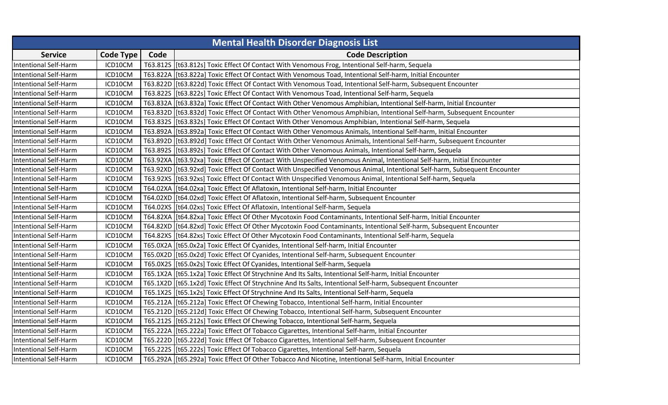|                              |                  |      | <b>Mental Health Disorder Diagnosis List</b>                                                                                |
|------------------------------|------------------|------|-----------------------------------------------------------------------------------------------------------------------------|
| <b>Service</b>               | <b>Code Type</b> | Code | <b>Code Description</b>                                                                                                     |
| <b>Intentional Self-Harm</b> | ICD10CM          |      | T63.812S   [t63.812s] Toxic Effect Of Contact With Venomous Frog, Intentional Self-harm, Sequela                            |
| <b>Intentional Self-Harm</b> | ICD10CM          |      | T63.822A   [t63.822a] Toxic Effect Of Contact With Venomous Toad, Intentional Self-harm, Initial Encounter                  |
| <b>Intentional Self-Harm</b> | ICD10CM          |      | T63.822D   [t63.822d] Toxic Effect Of Contact With Venomous Toad, Intentional Self-harm, Subsequent Encounter               |
| <b>Intentional Self-Harm</b> | ICD10CM          |      | T63.822S [t63.822s] Toxic Effect Of Contact With Venomous Toad, Intentional Self-harm, Sequela                              |
| <b>Intentional Self-Harm</b> | ICD10CM          |      | T63.832A   [t63.832a] Toxic Effect Of Contact With Other Venomous Amphibian, Intentional Self-harm, Initial Encounter       |
| <b>Intentional Self-Harm</b> | ICD10CM          |      | T63.832D [[t63.832d] Toxic Effect Of Contact With Other Venomous Amphibian, Intentional Self-harm, Subsequent Encounter     |
| <b>Intentional Self-Harm</b> | ICD10CM          |      | T63.832S   [t63.832s] Toxic Effect Of Contact With Other Venomous Amphibian, Intentional Self-harm, Sequela                 |
| <b>Intentional Self-Harm</b> | ICD10CM          |      | T63.892A   [t63.892a] Toxic Effect Of Contact With Other Venomous Animals, Intentional Self-harm, Initial Encounter         |
| <b>Intentional Self-Harm</b> | ICD10CM          |      | T63.892D  [t63.892d] Toxic Effect Of Contact With Other Venomous Animals, Intentional Self-harm, Subsequent Encounter       |
| <b>Intentional Self-Harm</b> | ICD10CM          |      | T63.892S [[t63.892s] Toxic Effect Of Contact With Other Venomous Animals, Intentional Self-harm, Sequela                    |
| <b>Intentional Self-Harm</b> | ICD10CM          |      | T63.92XA   [t63.92xa] Toxic Effect Of Contact With Unspecified Venomous Animal, Intentional Self-harm, Initial Encounter    |
| <b>Intentional Self-Harm</b> | ICD10CM          |      | T63.92XD   [t63.92xd] Toxic Effect Of Contact With Unspecified Venomous Animal, Intentional Self-harm, Subsequent Encounter |
| <b>Intentional Self-Harm</b> | ICD10CM          |      | T63.92XS [t63.92xs] Toxic Effect Of Contact With Unspecified Venomous Animal, Intentional Self-harm, Sequela                |
| <b>Intentional Self-Harm</b> | ICD10CM          |      | T64.02XA   [t64.02xa] Toxic Effect Of Aflatoxin, Intentional Self-harm, Initial Encounter                                   |
| <b>Intentional Self-Harm</b> | ICD10CM          |      | T64.02XD [[t64.02xd] Toxic Effect Of Aflatoxin, Intentional Self-harm, Subsequent Encounter                                 |
| <b>Intentional Self-Harm</b> | ICD10CM          |      | T64.02XS   [t64.02xs] Toxic Effect Of Aflatoxin, Intentional Self-harm, Sequela                                             |
| <b>Intentional Self-Harm</b> | ICD10CM          |      | T64.82XA   [t64.82xa] Toxic Effect Of Other Mycotoxin Food Contaminants, Intentional Self-harm, Initial Encounter           |
| <b>Intentional Self-Harm</b> | ICD10CM          |      | T64.82XD  [t64.82xd] Toxic Effect Of Other Mycotoxin Food Contaminants, Intentional Self-harm, Subsequent Encounter         |
| <b>Intentional Self-Harm</b> | ICD10CM          |      | T64.82XS [[t64.82xs] Toxic Effect Of Other Mycotoxin Food Contaminants, Intentional Self-harm, Sequela                      |
| <b>Intentional Self-Harm</b> | ICD10CM          |      | T65.0X2A [[t65.0x2a] Toxic Effect Of Cyanides, Intentional Self-harm, Initial Encounter                                     |
| <b>Intentional Self-Harm</b> | ICD10CM          |      | T65.0X2D [[t65.0x2d] Toxic Effect Of Cyanides, Intentional Self-harm, Subsequent Encounter                                  |
| <b>Intentional Self-Harm</b> | ICD10CM          |      | T65.0X2S   [t65.0x2s] Toxic Effect Of Cyanides, Intentional Self-harm, Sequela                                              |
| <b>Intentional Self-Harm</b> | ICD10CM          |      | T65.1X2A   [t65.1x2a] Toxic Effect Of Strychnine And Its Salts, Intentional Self-harm, Initial Encounter                    |
| <b>Intentional Self-Harm</b> | ICD10CM          |      | T65.1X2D   [t65.1x2d] Toxic Effect Of Strychnine And Its Salts, Intentional Self-harm, Subsequent Encounter                 |
| <b>Intentional Self-Harm</b> | ICD10CM          |      | T65.1X2S [t65.1x2s] Toxic Effect Of Strychnine And Its Salts, Intentional Self-harm, Sequela                                |
| <b>Intentional Self-Harm</b> | ICD10CM          |      | T65.212A   [t65.212a] Toxic Effect Of Chewing Tobacco, Intentional Self-harm, Initial Encounter                             |
| <b>Intentional Self-Harm</b> | ICD10CM          |      | T65.212D [[t65.212d] Toxic Effect Of Chewing Tobacco, Intentional Self-harm, Subsequent Encounter                           |
| <b>Intentional Self-Harm</b> | ICD10CM          |      | T65.212S   [t65.212s] Toxic Effect Of Chewing Tobacco, Intentional Self-harm, Sequela                                       |
| <b>Intentional Self-Harm</b> | ICD10CM          |      | T65.222A   [t65.222a] Toxic Effect Of Tobacco Cigarettes, Intentional Self-harm, Initial Encounter                          |
| <b>Intentional Self-Harm</b> | ICD10CM          |      | T65.222D [[t65.222d] Toxic Effect Of Tobacco Cigarettes, Intentional Self-harm, Subsequent Encounter                        |
| <b>Intentional Self-Harm</b> | ICD10CM          |      | T65.222S [[t65.222s] Toxic Effect Of Tobacco Cigarettes, Intentional Self-harm, Sequela                                     |
| <b>Intentional Self-Harm</b> | ICD10CM          |      | T65.292A   [t65.292a] Toxic Effect Of Other Tobacco And Nicotine, Intentional Self-harm, Initial Encounter                  |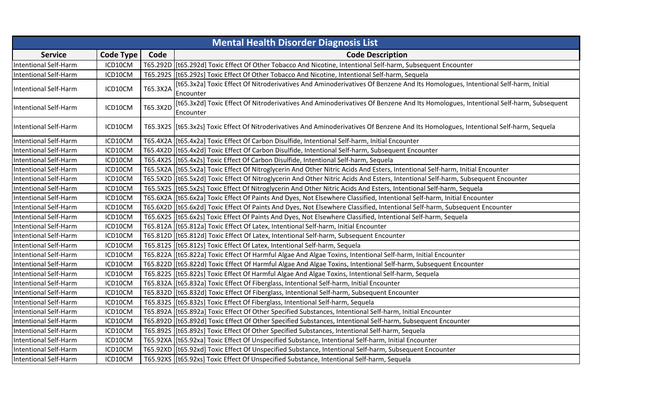| <b>Mental Health Disorder Diagnosis List</b> |           |          |                                                                                                                                                |  |
|----------------------------------------------|-----------|----------|------------------------------------------------------------------------------------------------------------------------------------------------|--|
| <b>Service</b>                               | Code Type | Code     | <b>Code Description</b>                                                                                                                        |  |
| <b>Intentional Self-Harm</b>                 | ICD10CM   |          | T65.292D   [t65.292d] Toxic Effect Of Other Tobacco And Nicotine, Intentional Self-harm, Subsequent Encounter                                  |  |
| <b>Intentional Self-Harm</b>                 | ICD10CM   |          | T65.292S   [t65.292s] Toxic Effect Of Other Tobacco And Nicotine, Intentional Self-harm, Sequela                                               |  |
| Intentional Self-Harm                        | ICD10CM   | T65.3X2A | [t65.3x2a] Toxic Effect Of Nitroderivatives And Aminoderivatives Of Benzene And Its Homologues, Intentional Self-harm, Initial<br>Encounter    |  |
| <b>Intentional Self-Harm</b>                 | ICD10CM   | T65.3X2D | [t65.3x2d] Toxic Effect Of Nitroderivatives And Aminoderivatives Of Benzene And Its Homologues, Intentional Self-harm, Subsequent<br>Encounter |  |
| <b>Intentional Self-Harm</b>                 | ICD10CM   |          | T65.3X2S [[t65.3x2s] Toxic Effect Of Nitroderivatives And Aminoderivatives Of Benzene And Its Homologues, Intentional Self-harm, Sequela       |  |
| <b>Intentional Self-Harm</b>                 | ICD10CM   |          | T65.4X2A   [t65.4x2a] Toxic Effect Of Carbon Disulfide, Intentional Self-harm, Initial Encounter                                               |  |
| <b>Intentional Self-Harm</b>                 | ICD10CM   |          | T65.4X2D [[t65.4x2d] Toxic Effect Of Carbon Disulfide, Intentional Self-harm, Subsequent Encounter                                             |  |
| <b>Intentional Self-Harm</b>                 | ICD10CM   |          | T65.4X2S   [t65.4x2s] Toxic Effect Of Carbon Disulfide, Intentional Self-harm, Sequela                                                         |  |
| <b>Intentional Self-Harm</b>                 | ICD10CM   |          | T65.5X2A [[t65.5x2a] Toxic Effect Of Nitroglycerin And Other Nitric Acids And Esters, Intentional Self-harm, Initial Encounter                 |  |
| <b>Intentional Self-Harm</b>                 | ICD10CM   |          | T65.5X2D   [t65.5x2d] Toxic Effect Of Nitroglycerin And Other Nitric Acids And Esters, Intentional Self-harm, Subsequent Encounter             |  |
| <b>Intentional Self-Harm</b>                 | ICD10CM   |          | T65.5X2S [t65.5x2s] Toxic Effect Of Nitroglycerin And Other Nitric Acids And Esters, Intentional Self-harm, Sequela                            |  |
| <b>Intentional Self-Harm</b>                 | ICD10CM   |          | T65.6X2A [t65.6x2a] Toxic Effect Of Paints And Dyes, Not Elsewhere Classified, Intentional Self-harm, Initial Encounter                        |  |
| <b>Intentional Self-Harm</b>                 | ICD10CM   |          | T65.6X2D [[t65.6x2d] Toxic Effect Of Paints And Dyes, Not Elsewhere Classified, Intentional Self-harm, Subsequent Encounter                    |  |
| <b>Intentional Self-Harm</b>                 | ICD10CM   |          | T65.6X2S [t65.6x2s] Toxic Effect Of Paints And Dyes, Not Elsewhere Classified, Intentional Self-harm, Sequela                                  |  |
| <b>Intentional Self-Harm</b>                 | ICD10CM   |          | T65.812A [[t65.812a] Toxic Effect Of Latex, Intentional Self-harm, Initial Encounter                                                           |  |
| <b>Intentional Self-Harm</b>                 | ICD10CM   |          | T65.812D   [t65.812d] Toxic Effect Of Latex, Intentional Self-harm, Subsequent Encounter                                                       |  |
| Intentional Self-Harm                        | ICD10CM   |          | T65.812S   [t65.812s] Toxic Effect Of Latex, Intentional Self-harm, Sequela                                                                    |  |
| <b>Intentional Self-Harm</b>                 | ICD10CM   |          | T65.822A   [t65.822a] Toxic Effect Of Harmful Algae And Algae Toxins, Intentional Self-harm, Initial Encounter                                 |  |
| Intentional Self-Harm                        | ICD10CM   |          | T65.822D   [t65.822d] Toxic Effect Of Harmful Algae And Algae Toxins, Intentional Self-harm, Subsequent Encounter                              |  |
| <b>Intentional Self-Harm</b>                 | ICD10CM   |          | T65.822S [t65.822s] Toxic Effect Of Harmful Algae And Algae Toxins, Intentional Self-harm, Sequela                                             |  |
| <b>Intentional Self-Harm</b>                 | ICD10CM   |          | T65.832A [[t65.832a] Toxic Effect Of Fiberglass, Intentional Self-harm, Initial Encounter                                                      |  |
| <b>Intentional Self-Harm</b>                 | ICD10CM   |          | T65.832D   [t65.832d] Toxic Effect Of Fiberglass, Intentional Self-harm, Subsequent Encounter                                                  |  |
| <b>Intentional Self-Harm</b>                 | ICD10CM   |          | T65.832S [[t65.832s] Toxic Effect Of Fiberglass, Intentional Self-harm, Sequela                                                                |  |
| <b>Intentional Self-Harm</b>                 | ICD10CM   |          | T65.892A   [t65.892a] Toxic Effect Of Other Specified Substances, Intentional Self-harm, Initial Encounter                                     |  |
| <b>Intentional Self-Harm</b>                 | ICD10CM   |          | T65.892D [[t65.892d] Toxic Effect Of Other Specified Substances, Intentional Self-harm, Subsequent Encounter                                   |  |
| <b>Intentional Self-Harm</b>                 | ICD10CM   |          | T65.892S   [t65.892s] Toxic Effect Of Other Specified Substances, Intentional Self-harm, Sequela                                               |  |
| <b>Intentional Self-Harm</b>                 | ICD10CM   |          | T65.92XA [t65.92xa] Toxic Effect Of Unspecified Substance, Intentional Self-harm, Initial Encounter                                            |  |
| <b>Intentional Self-Harm</b>                 | ICD10CM   |          | T65.92XD   [t65.92xd] Toxic Effect Of Unspecified Substance, Intentional Self-harm, Subsequent Encounter                                       |  |
| <b>Intentional Self-Harm</b>                 | ICD10CM   |          | T65.92XS   [t65.92xs] Toxic Effect Of Unspecified Substance, Intentional Self-harm, Sequela                                                    |  |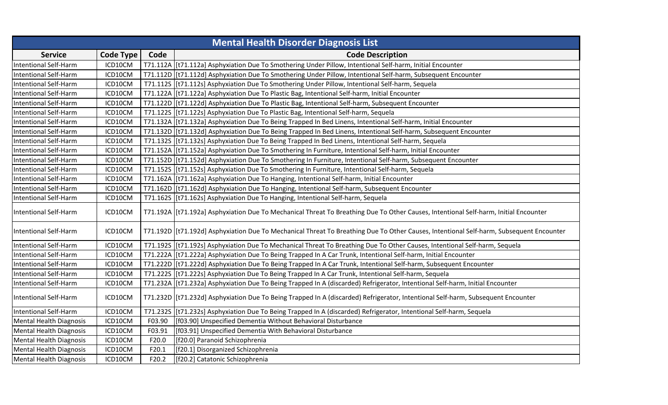|                                |                  |        | <b>Mental Health Disorder Diagnosis List</b>                                                                                             |
|--------------------------------|------------------|--------|------------------------------------------------------------------------------------------------------------------------------------------|
| <b>Service</b>                 | <b>Code Type</b> | Code   | <b>Code Description</b>                                                                                                                  |
| <b>Intentional Self-Harm</b>   | ICD10CM          |        | T71.112A   [t71.112a] Asphyxiation Due To Smothering Under Pillow, Intentional Self-harm, Initial Encounter                              |
| <b>Intentional Self-Harm</b>   | ICD10CM          |        | T71.112D [[t71.112d] Asphyxiation Due To Smothering Under Pillow, Intentional Self-harm, Subsequent Encounter                            |
| <b>Intentional Self-Harm</b>   | ICD10CM          |        | T71.112S   [t71.112s] Asphyxiation Due To Smothering Under Pillow, Intentional Self-harm, Sequela                                        |
| <b>Intentional Self-Harm</b>   | ICD10CM          |        | T71.122A   [t71.122a] Asphyxiation Due To Plastic Bag, Intentional Self-harm, Initial Encounter                                          |
| <b>Intentional Self-Harm</b>   | ICD10CM          |        | T71.122D [t71.122d] Asphyxiation Due To Plastic Bag, Intentional Self-harm, Subsequent Encounter                                         |
| <b>Intentional Self-Harm</b>   | ICD10CM          |        | T71.122S [[t71.122s] Asphyxiation Due To Plastic Bag, Intentional Self-harm, Sequela                                                     |
| <b>Intentional Self-Harm</b>   | ICD10CM          |        | T71.132A   [t71.132a] Asphyxiation Due To Being Trapped In Bed Linens, Intentional Self-harm, Initial Encounter                          |
| <b>Intentional Self-Harm</b>   | ICD10CM          |        | T71.132D [[t71.132d] Asphyxiation Due To Being Trapped In Bed Linens, Intentional Self-harm, Subsequent Encounter                        |
| <b>Intentional Self-Harm</b>   | ICD10CM          |        | T71.132S   [t71.132s] Asphyxiation Due To Being Trapped In Bed Linens, Intentional Self-harm, Sequela                                    |
| <b>Intentional Self-Harm</b>   | ICD10CM          |        | T71.152A   [t71.152a] Asphyxiation Due To Smothering In Furniture, Intentional Self-harm, Initial Encounter                              |
| <b>Intentional Self-Harm</b>   | ICD10CM          |        | T71.152D [[t71.152d] Asphyxiation Due To Smothering In Furniture, Intentional Self-harm, Subsequent Encounter                            |
| <b>Intentional Self-Harm</b>   | ICD10CM          |        | T71.152S [t71.152s] Asphyxiation Due To Smothering In Furniture, Intentional Self-harm, Sequela                                          |
| <b>Intentional Self-Harm</b>   | ICD10CM          |        | T71.162A [t71.162a] Asphyxiation Due To Hanging, Intentional Self-harm, Initial Encounter                                                |
| <b>Intentional Self-Harm</b>   | ICD10CM          |        | T71.162D [[t71.162d] Asphyxiation Due To Hanging, Intentional Self-harm, Subsequent Encounter                                            |
| <b>Intentional Self-Harm</b>   | ICD10CM          |        | T71.162S [[t71.162s] Asphyxiation Due To Hanging, Intentional Self-harm, Sequela                                                         |
| <b>Intentional Self-Harm</b>   | ICD10CM          |        | T71.192A   [t71.192a] Asphyxiation Due To Mechanical Threat To Breathing Due To Other Causes, Intentional Self-harm, Initial Encounter   |
| <b>Intentional Self-Harm</b>   | ICD10CM          |        | T71.192D [[t71.192d] Asphyxiation Due To Mechanical Threat To Breathing Due To Other Causes, Intentional Self-harm, Subsequent Encounter |
| <b>Intentional Self-Harm</b>   | ICD10CM          |        | T71.1925 [t71.192s] Asphyxiation Due To Mechanical Threat To Breathing Due To Other Causes, Intentional Self-harm, Sequela               |
| <b>Intentional Self-Harm</b>   | ICD10CM          |        | T71.222A   [t71.222a] Asphyxiation Due To Being Trapped In A Car Trunk, Intentional Self-harm, Initial Encounter                         |
| Intentional Self-Harm          | ICD10CM          |        | T71.222D [t71.222d] Asphyxiation Due To Being Trapped In A Car Trunk, Intentional Self-harm, Subsequent Encounter                        |
| <b>Intentional Self-Harm</b>   | ICD10CM          |        | T71.222S [[t71.222s] Asphyxiation Due To Being Trapped In A Car Trunk, Intentional Self-harm, Sequela                                    |
| <b>Intentional Self-Harm</b>   | ICD10CM          |        | T71.232A   [t71.232a] Asphyxiation Due To Being Trapped In A (discarded) Refrigerator, Intentional Self-harm, Initial Encounter          |
| Intentional Self-Harm          | ICD10CM          |        | T71.232D [[t71.232d] Asphyxiation Due To Being Trapped In A (discarded) Refrigerator, Intentional Self-harm, Subsequent Encounter        |
| <b>Intentional Self-Harm</b>   | ICD10CM          |        | T71.232S   [t71.232s] Asphyxiation Due To Being Trapped In A (discarded) Refrigerator, Intentional Self-harm, Sequela                    |
| <b>Mental Health Diagnosis</b> | ICD10CM          | F03.90 | [f03.90] Unspecified Dementia Without Behavioral Disturbance                                                                             |
| <b>Mental Health Diagnosis</b> | ICD10CM          | F03.91 | [f03.91] Unspecified Dementia With Behavioral Disturbance                                                                                |
| <b>Mental Health Diagnosis</b> | ICD10CM          | F20.0  | [f20.0] Paranoid Schizophrenia                                                                                                           |
| <b>Mental Health Diagnosis</b> | ICD10CM          | F20.1  | [f20.1] Disorganized Schizophrenia                                                                                                       |
| <b>Mental Health Diagnosis</b> | ICD10CM          | F20.2  | [f20.2] Catatonic Schizophrenia                                                                                                          |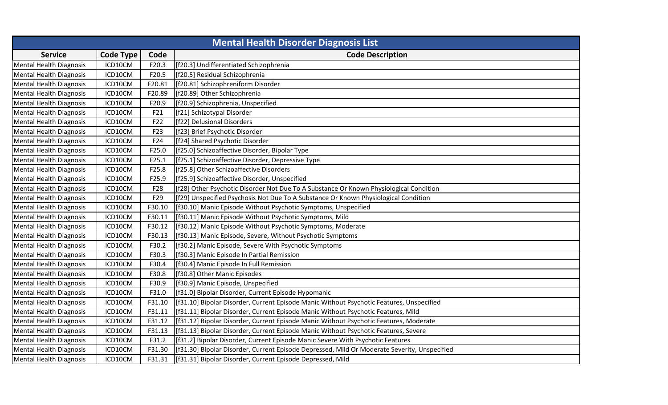|                                | <b>Mental Health Disorder Diagnosis List</b> |        |                                                                                              |  |  |
|--------------------------------|----------------------------------------------|--------|----------------------------------------------------------------------------------------------|--|--|
| <b>Service</b>                 | <b>Code Type</b>                             | Code   | <b>Code Description</b>                                                                      |  |  |
| Mental Health Diagnosis        | ICD10CM                                      | F20.3  | [f20.3] Undifferentiated Schizophrenia                                                       |  |  |
| <b>Mental Health Diagnosis</b> | ICD10CM                                      | F20.5  | [f20.5] Residual Schizophrenia                                                               |  |  |
| <b>Mental Health Diagnosis</b> | ICD10CM                                      | F20.81 | [f20.81] Schizophreniform Disorder                                                           |  |  |
| <b>Mental Health Diagnosis</b> | ICD10CM                                      | F20.89 | [f20.89] Other Schizophrenia                                                                 |  |  |
| <b>Mental Health Diagnosis</b> | ICD10CM                                      | F20.9  | [f20.9] Schizophrenia, Unspecified                                                           |  |  |
| <b>Mental Health Diagnosis</b> | ICD10CM                                      | F21    | [f21] Schizotypal Disorder                                                                   |  |  |
| <b>Mental Health Diagnosis</b> | ICD10CM                                      | F22    | [f22] Delusional Disorders                                                                   |  |  |
| <b>Mental Health Diagnosis</b> | ICD10CM                                      | F23    | [f23] Brief Psychotic Disorder                                                               |  |  |
| <b>Mental Health Diagnosis</b> | ICD10CM                                      | F24    | [f24] Shared Psychotic Disorder                                                              |  |  |
| <b>Mental Health Diagnosis</b> | ICD10CM                                      | F25.0  | [f25.0] Schizoaffective Disorder, Bipolar Type                                               |  |  |
| <b>Mental Health Diagnosis</b> | ICD10CM                                      | F25.1  | [f25.1] Schizoaffective Disorder, Depressive Type                                            |  |  |
| <b>Mental Health Diagnosis</b> | ICD10CM                                      | F25.8  | [f25.8] Other Schizoaffective Disorders                                                      |  |  |
| <b>Mental Health Diagnosis</b> | ICD10CM                                      | F25.9  | [f25.9] Schizoaffective Disorder, Unspecified                                                |  |  |
| <b>Mental Health Diagnosis</b> | ICD10CM                                      | F28    | [f28] Other Psychotic Disorder Not Due To A Substance Or Known Physiological Condition       |  |  |
| <b>Mental Health Diagnosis</b> | ICD10CM                                      | F29    | [f29] Unspecified Psychosis Not Due To A Substance Or Known Physiological Condition          |  |  |
| Mental Health Diagnosis        | ICD10CM                                      | F30.10 | [f30.10] Manic Episode Without Psychotic Symptoms, Unspecified                               |  |  |
| <b>Mental Health Diagnosis</b> | ICD10CM                                      | F30.11 | [f30.11] Manic Episode Without Psychotic Symptoms, Mild                                      |  |  |
| <b>Mental Health Diagnosis</b> | ICD10CM                                      | F30.12 | [f30.12] Manic Episode Without Psychotic Symptoms, Moderate                                  |  |  |
| <b>Mental Health Diagnosis</b> | ICD10CM                                      | F30.13 | [f30.13] Manic Episode, Severe, Without Psychotic Symptoms                                   |  |  |
| <b>Mental Health Diagnosis</b> | ICD10CM                                      | F30.2  | [f30.2] Manic Episode, Severe With Psychotic Symptoms                                        |  |  |
| <b>Mental Health Diagnosis</b> | ICD10CM                                      | F30.3  | [f30.3] Manic Episode In Partial Remission                                                   |  |  |
| <b>Mental Health Diagnosis</b> | ICD10CM                                      | F30.4  | [f30.4] Manic Episode In Full Remission                                                      |  |  |
| <b>Mental Health Diagnosis</b> | ICD10CM                                      | F30.8  | [f30.8] Other Manic Episodes                                                                 |  |  |
| <b>Mental Health Diagnosis</b> | ICD10CM                                      | F30.9  | [f30.9] Manic Episode, Unspecified                                                           |  |  |
| <b>Mental Health Diagnosis</b> | ICD10CM                                      | F31.0  | [f31.0] Bipolar Disorder, Current Episode Hypomanic                                          |  |  |
| <b>Mental Health Diagnosis</b> | ICD10CM                                      | F31.10 | [f31.10] Bipolar Disorder, Current Episode Manic Without Psychotic Features, Unspecified     |  |  |
| <b>Mental Health Diagnosis</b> | ICD10CM                                      | F31.11 | [f31.11] Bipolar Disorder, Current Episode Manic Without Psychotic Features, Mild            |  |  |
| <b>Mental Health Diagnosis</b> | ICD10CM                                      | F31.12 | [f31.12] Bipolar Disorder, Current Episode Manic Without Psychotic Features, Moderate        |  |  |
| <b>Mental Health Diagnosis</b> | ICD10CM                                      | F31.13 | [f31.13] Bipolar Disorder, Current Episode Manic Without Psychotic Features, Severe          |  |  |
| <b>Mental Health Diagnosis</b> | ICD10CM                                      | F31.2  | [f31.2] Bipolar Disorder, Current Episode Manic Severe With Psychotic Features               |  |  |
| <b>Mental Health Diagnosis</b> | ICD10CM                                      | F31.30 | [f31.30] Bipolar Disorder, Current Episode Depressed, Mild Or Moderate Severity, Unspecified |  |  |
| <b>Mental Health Diagnosis</b> | ICD10CM                                      | F31.31 | [f31.31] Bipolar Disorder, Current Episode Depressed, Mild                                   |  |  |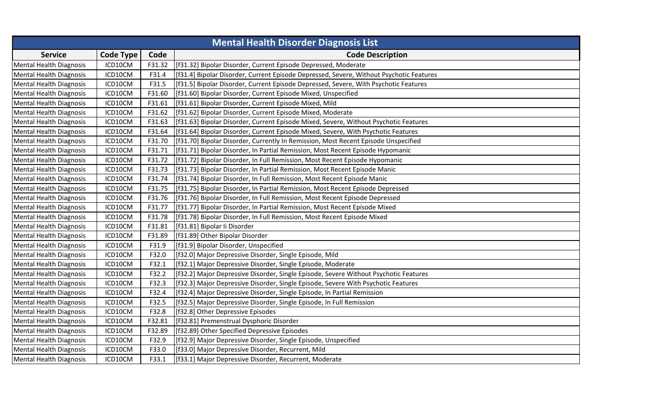|                                | <b>Mental Health Disorder Diagnosis List</b> |        |                                                                                         |  |  |
|--------------------------------|----------------------------------------------|--------|-----------------------------------------------------------------------------------------|--|--|
| <b>Service</b>                 | <b>Code Type</b>                             | Code   | <b>Code Description</b>                                                                 |  |  |
| <b>Mental Health Diagnosis</b> | ICD10CM                                      | F31.32 | [f31.32] Bipolar Disorder, Current Episode Depressed, Moderate                          |  |  |
| <b>Mental Health Diagnosis</b> | ICD10CM                                      | F31.4  | [f31.4] Bipolar Disorder, Current Episode Depressed, Severe, Without Psychotic Features |  |  |
| <b>Mental Health Diagnosis</b> | ICD10CM                                      | F31.5  | [f31.5] Bipolar Disorder, Current Episode Depressed, Severe, With Psychotic Features    |  |  |
| <b>Mental Health Diagnosis</b> | ICD10CM                                      | F31.60 | [f31.60] Bipolar Disorder, Current Episode Mixed, Unspecified                           |  |  |
| <b>Mental Health Diagnosis</b> | ICD10CM                                      | F31.61 | [f31.61] Bipolar Disorder, Current Episode Mixed, Mild                                  |  |  |
| <b>Mental Health Diagnosis</b> | ICD10CM                                      | F31.62 | [f31.62] Bipolar Disorder, Current Episode Mixed, Moderate                              |  |  |
| <b>Mental Health Diagnosis</b> | ICD10CM                                      | F31.63 | [f31.63] Bipolar Disorder, Current Episode Mixed, Severe, Without Psychotic Features    |  |  |
| <b>Mental Health Diagnosis</b> | ICD10CM                                      | F31.64 | [f31.64] Bipolar Disorder, Current Episode Mixed, Severe, With Psychotic Features       |  |  |
| <b>Mental Health Diagnosis</b> | ICD10CM                                      | F31.70 | [f31.70] Bipolar Disorder, Currently In Remission, Most Recent Episode Unspecified      |  |  |
| <b>Mental Health Diagnosis</b> | ICD10CM                                      | F31.71 | [f31.71] Bipolar Disorder, In Partial Remission, Most Recent Episode Hypomanic          |  |  |
| <b>Mental Health Diagnosis</b> | ICD10CM                                      | F31.72 | [f31.72] Bipolar Disorder, In Full Remission, Most Recent Episode Hypomanic             |  |  |
| <b>Mental Health Diagnosis</b> | ICD10CM                                      | F31.73 | [f31.73] Bipolar Disorder, In Partial Remission, Most Recent Episode Manic              |  |  |
| <b>Mental Health Diagnosis</b> | ICD10CM                                      | F31.74 | [f31.74] Bipolar Disorder, In Full Remission, Most Recent Episode Manic                 |  |  |
| <b>Mental Health Diagnosis</b> | ICD10CM                                      | F31.75 | [f31.75] Bipolar Disorder, In Partial Remission, Most Recent Episode Depressed          |  |  |
| <b>Mental Health Diagnosis</b> | ICD10CM                                      | F31.76 | [f31.76] Bipolar Disorder, In Full Remission, Most Recent Episode Depressed             |  |  |
| <b>Mental Health Diagnosis</b> | ICD10CM                                      | F31.77 | [f31.77] Bipolar Disorder, In Partial Remission, Most Recent Episode Mixed              |  |  |
| <b>Mental Health Diagnosis</b> | ICD10CM                                      | F31.78 | [f31.78] Bipolar Disorder, In Full Remission, Most Recent Episode Mixed                 |  |  |
| <b>Mental Health Diagnosis</b> | ICD10CM                                      | F31.81 | [f31.81] Bipolar li Disorder                                                            |  |  |
| <b>Mental Health Diagnosis</b> | ICD10CM                                      | F31.89 | [f31.89] Other Bipolar Disorder                                                         |  |  |
| <b>Mental Health Diagnosis</b> | ICD10CM                                      | F31.9  | [f31.9] Bipolar Disorder, Unspecified                                                   |  |  |
| <b>Mental Health Diagnosis</b> | ICD10CM                                      | F32.0  | [f32.0] Major Depressive Disorder, Single Episode, Mild                                 |  |  |
| <b>Mental Health Diagnosis</b> | ICD10CM                                      | F32.1  | [f32.1] Major Depressive Disorder, Single Episode, Moderate                             |  |  |
| <b>Mental Health Diagnosis</b> | ICD10CM                                      | F32.2  | [f32.2] Major Depressive Disorder, Single Episode, Severe Without Psychotic Features    |  |  |
| <b>Mental Health Diagnosis</b> | ICD10CM                                      | F32.3  | [f32.3] Major Depressive Disorder, Single Episode, Severe With Psychotic Features       |  |  |
| <b>Mental Health Diagnosis</b> | ICD10CM                                      | F32.4  | [f32.4] Major Depressive Disorder, Single Episode, In Partial Remission                 |  |  |
| <b>Mental Health Diagnosis</b> | ICD10CM                                      | F32.5  | [f32.5] Major Depressive Disorder, Single Episode, In Full Remission                    |  |  |
| <b>Mental Health Diagnosis</b> | ICD10CM                                      | F32.8  | [f32.8] Other Depressive Episodes                                                       |  |  |
| <b>Mental Health Diagnosis</b> | ICD10CM                                      | F32.81 | [f32.81] Premenstrual Dysphoric Disorder                                                |  |  |
| <b>Mental Health Diagnosis</b> | ICD10CM                                      | F32.89 | [f32.89] Other Specified Depressive Episodes                                            |  |  |
| <b>Mental Health Diagnosis</b> | ICD10CM                                      | F32.9  | [f32.9] Major Depressive Disorder, Single Episode, Unspecified                          |  |  |
| <b>Mental Health Diagnosis</b> | ICD10CM                                      | F33.0  | [f33.0] Major Depressive Disorder, Recurrent, Mild                                      |  |  |
| Mental Health Diagnosis        | ICD10CM                                      | F33.1  | [f33.1] Major Depressive Disorder, Recurrent, Moderate                                  |  |  |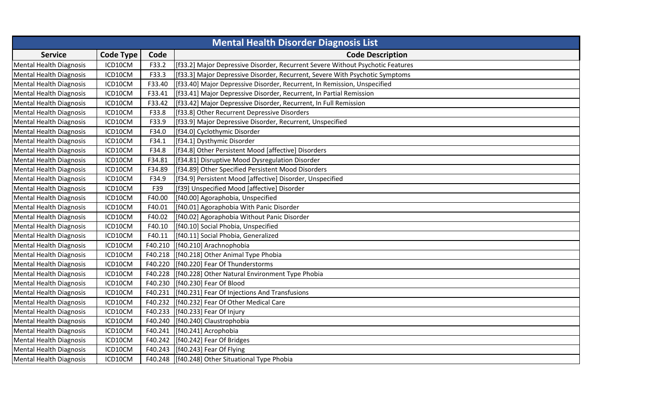|                                | <b>Mental Health Disorder Diagnosis List</b> |         |                                                                                |  |  |
|--------------------------------|----------------------------------------------|---------|--------------------------------------------------------------------------------|--|--|
| <b>Service</b>                 | <b>Code Type</b>                             | Code    | <b>Code Description</b>                                                        |  |  |
| <b>Mental Health Diagnosis</b> | ICD10CM                                      | F33.2   | [f33.2] Major Depressive Disorder, Recurrent Severe Without Psychotic Features |  |  |
| <b>Mental Health Diagnosis</b> | ICD10CM                                      | F33.3   | [f33.3] Major Depressive Disorder, Recurrent, Severe With Psychotic Symptoms   |  |  |
| <b>Mental Health Diagnosis</b> | ICD10CM                                      | F33.40  | [[f33.40] Major Depressive Disorder, Recurrent, In Remission, Unspecified      |  |  |
| <b>Mental Health Diagnosis</b> | ICD10CM                                      | F33.41  | [f33.41] Major Depressive Disorder, Recurrent, In Partial Remission            |  |  |
| <b>Mental Health Diagnosis</b> | ICD10CM                                      | F33.42  | [f33.42] Major Depressive Disorder, Recurrent, In Full Remission               |  |  |
| <b>Mental Health Diagnosis</b> | ICD10CM                                      | F33.8   | [f33.8] Other Recurrent Depressive Disorders                                   |  |  |
| <b>Mental Health Diagnosis</b> | ICD10CM                                      | F33.9   | [f33.9] Major Depressive Disorder, Recurrent, Unspecified                      |  |  |
| <b>Mental Health Diagnosis</b> | ICD10CM                                      | F34.0   | [f34.0] Cyclothymic Disorder                                                   |  |  |
| <b>Mental Health Diagnosis</b> | ICD10CM                                      | F34.1   | [f34.1] Dysthymic Disorder                                                     |  |  |
| <b>Mental Health Diagnosis</b> | ICD10CM                                      | F34.8   | [f34.8] Other Persistent Mood [affective] Disorders                            |  |  |
| <b>Mental Health Diagnosis</b> | ICD10CM                                      | F34.81  | [f34.81] Disruptive Mood Dysregulation Disorder                                |  |  |
| <b>Mental Health Diagnosis</b> | ICD10CM                                      | F34.89  | [f34.89] Other Specified Persistent Mood Disorders                             |  |  |
| <b>Mental Health Diagnosis</b> | ICD10CM                                      | F34.9   | [f34.9] Persistent Mood [affective] Disorder, Unspecified                      |  |  |
| <b>Mental Health Diagnosis</b> | ICD10CM                                      | F39     | [f39] Unspecified Mood [affective] Disorder                                    |  |  |
| <b>Mental Health Diagnosis</b> | ICD10CM                                      | F40.00  | [f40.00] Agoraphobia, Unspecified                                              |  |  |
| <b>Mental Health Diagnosis</b> | ICD10CM                                      | F40.01  | [f40.01] Agoraphobia With Panic Disorder                                       |  |  |
| <b>Mental Health Diagnosis</b> | ICD10CM                                      | F40.02  | [f40.02] Agoraphobia Without Panic Disorder                                    |  |  |
| <b>Mental Health Diagnosis</b> | ICD10CM                                      | F40.10  | [f40.10] Social Phobia, Unspecified                                            |  |  |
| <b>Mental Health Diagnosis</b> | ICD10CM                                      | F40.11  | [f40.11] Social Phobia, Generalized                                            |  |  |
| <b>Mental Health Diagnosis</b> | ICD10CM                                      | F40.210 | [f40.210] Arachnophobia                                                        |  |  |
| <b>Mental Health Diagnosis</b> | ICD10CM                                      | F40.218 | [f40.218] Other Animal Type Phobia                                             |  |  |
| <b>Mental Health Diagnosis</b> | ICD10CM                                      | F40.220 | [f40.220] Fear Of Thunderstorms                                                |  |  |
| <b>Mental Health Diagnosis</b> | ICD10CM                                      | F40.228 | [f40.228] Other Natural Environment Type Phobia                                |  |  |
| <b>Mental Health Diagnosis</b> | ICD10CM                                      | F40.230 | [f40.230] Fear Of Blood                                                        |  |  |
| <b>Mental Health Diagnosis</b> | ICD10CM                                      | F40.231 | [f40.231] Fear Of Injections And Transfusions                                  |  |  |
| <b>Mental Health Diagnosis</b> | ICD10CM                                      | F40.232 | [f40.232] Fear Of Other Medical Care                                           |  |  |
| <b>Mental Health Diagnosis</b> | ICD10CM                                      | F40.233 | [f40.233] Fear Of Injury                                                       |  |  |
| <b>Mental Health Diagnosis</b> | ICD10CM                                      | F40.240 | [f40.240] Claustrophobia                                                       |  |  |
| <b>Mental Health Diagnosis</b> | ICD10CM                                      | F40.241 | [f40.241] Acrophobia                                                           |  |  |
| <b>Mental Health Diagnosis</b> | ICD10CM                                      | F40.242 | [[f40.242] Fear Of Bridges                                                     |  |  |
| <b>Mental Health Diagnosis</b> | ICD10CM                                      | F40.243 | [f40.243] Fear Of Flying                                                       |  |  |
| <b>Mental Health Diagnosis</b> | ICD10CM                                      |         | F40.248   [f40.248] Other Situational Type Phobia                              |  |  |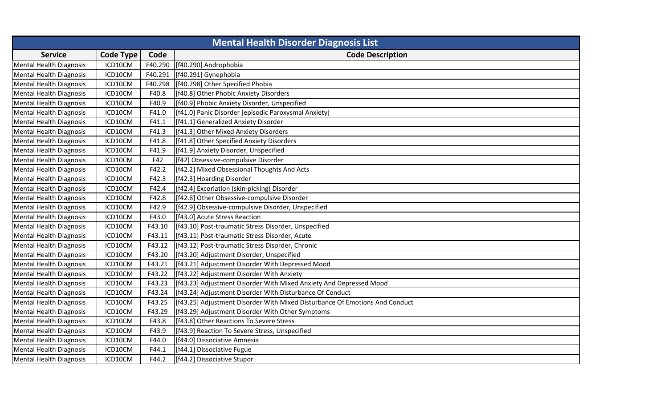| <b>Mental Health Disorder Diagnosis List</b> |                  |         |                                                                              |
|----------------------------------------------|------------------|---------|------------------------------------------------------------------------------|
| <b>Service</b>                               | <b>Code Type</b> | Code    | <b>Code Description</b>                                                      |
| Mental Health Diagnosis                      | ICD10CM          | F40.290 | [f40.290] Androphobia                                                        |
| <b>Mental Health Diagnosis</b>               | ICD10CM          |         | F40.291 [[f40.291] Gynephobia                                                |
| <b>Mental Health Diagnosis</b>               | ICD10CM          | F40.298 | [f40.298] Other Specified Phobia                                             |
| <b>Mental Health Diagnosis</b>               | ICD10CM          | F40.8   | [f40.8] Other Phobic Anxiety Disorders                                       |
| <b>Mental Health Diagnosis</b>               | ICD10CM          | F40.9   | [f40.9] Phobic Anxiety Disorder, Unspecified                                 |
| <b>Mental Health Diagnosis</b>               | ICD10CM          | F41.0   | [f41.0] Panic Disorder [episodic Paroxysmal Anxiety]                         |
| <b>Mental Health Diagnosis</b>               | ICD10CM          | F41.1   | [f41.1] Generalized Anxiety Disorder                                         |
| <b>Mental Health Diagnosis</b>               | ICD10CM          | F41.3   | [f41.3] Other Mixed Anxiety Disorders                                        |
| <b>Mental Health Diagnosis</b>               | ICD10CM          | F41.8   | [f41.8] Other Specified Anxiety Disorders                                    |
| <b>Mental Health Diagnosis</b>               | ICD10CM          | F41.9   | [f41.9] Anxiety Disorder, Unspecified                                        |
| <b>Mental Health Diagnosis</b>               | ICD10CM          | F42     | [f42] Obsessive-compulsive Disorder                                          |
| <b>Mental Health Diagnosis</b>               | ICD10CM          | F42.2   | [f42.2] Mixed Obsessional Thoughts And Acts                                  |
| <b>Mental Health Diagnosis</b>               | ICD10CM          | F42.3   | [f42.3] Hoarding Disorder                                                    |
| <b>Mental Health Diagnosis</b>               | ICD10CM          | F42.4   | [f42.4] Excoriation (skin-picking) Disorder                                  |
| <b>Mental Health Diagnosis</b>               | ICD10CM          | F42.8   | [f42.8] Other Obsessive-compulsive Disorder                                  |
| <b>Mental Health Diagnosis</b>               | ICD10CM          | F42.9   | [f42.9] Obsessive-compulsive Disorder, Unspecified                           |
| <b>Mental Health Diagnosis</b>               | ICD10CM          | F43.0   | [f43.0] Acute Stress Reaction                                                |
| Mental Health Diagnosis                      | ICD10CM          | F43.10  | [[f43.10] Post-traumatic Stress Disorder, Unspecified                        |
| <b>Mental Health Diagnosis</b>               | ICD10CM          | F43.11  | [[f43.11] Post-traumatic Stress Disorder, Acute                              |
| <b>Mental Health Diagnosis</b>               | ICD10CM          | F43.12  | [[f43.12] Post-traumatic Stress Disorder, Chronic                            |
| <b>Mental Health Diagnosis</b>               | ICD10CM          | F43.20  | [f43.20] Adjustment Disorder, Unspecified                                    |
| <b>Mental Health Diagnosis</b>               | ICD10CM          | F43.21  | [f43.21] Adjustment Disorder With Depressed Mood                             |
| <b>Mental Health Diagnosis</b>               | ICD10CM          | F43.22  | [f43.22] Adjustment Disorder With Anxiety                                    |
| <b>Mental Health Diagnosis</b>               | ICD10CM          | F43.23  | [[f43.23] Adjustment Disorder With Mixed Anxiety And Depressed Mood          |
| <b>Mental Health Diagnosis</b>               | ICD10CM          | F43.24  | [f43.24] Adjustment Disorder With Disturbance Of Conduct                     |
| <b>Mental Health Diagnosis</b>               | ICD10CM          | F43.25  | [[f43.25] Adjustment Disorder With Mixed Disturbance Of Emotions And Conduct |
| <b>Mental Health Diagnosis</b>               | ICD10CM          | F43.29  | [f43.29] Adjustment Disorder With Other Symptoms                             |
| <b>Mental Health Diagnosis</b>               | ICD10CM          | F43.8   | [f43.8] Other Reactions To Severe Stress                                     |
| <b>Mental Health Diagnosis</b>               | ICD10CM          | F43.9   | [f43.9] Reaction To Severe Stress, Unspecified                               |
| <b>Mental Health Diagnosis</b>               | ICD10CM          | F44.0   | [f44.0] Dissociative Amnesia                                                 |
| <b>Mental Health Diagnosis</b>               | ICD10CM          | F44.1   | [f44.1] Dissociative Fugue                                                   |
| <b>Mental Health Diagnosis</b>               | ICD10CM          | F44.2   | [f44.2] Dissociative Stupor                                                  |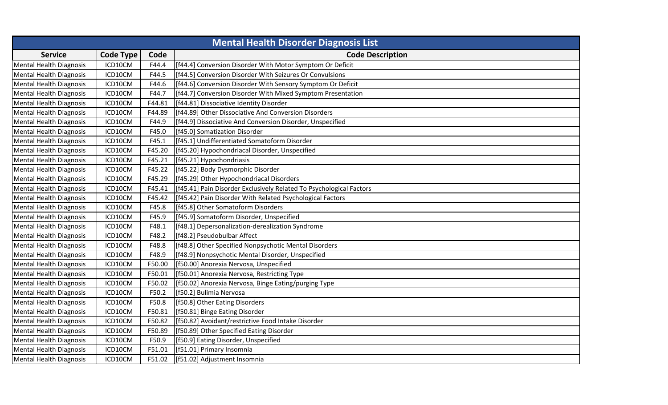| <b>Mental Health Disorder Diagnosis List</b> |                  |        |                                                                      |
|----------------------------------------------|------------------|--------|----------------------------------------------------------------------|
| <b>Service</b>                               | <b>Code Type</b> | Code   | <b>Code Description</b>                                              |
| <b>Mental Health Diagnosis</b>               | ICD10CM          | F44.4  | [f44.4] Conversion Disorder With Motor Symptom Or Deficit            |
| <b>Mental Health Diagnosis</b>               | ICD10CM          | F44.5  | [f44.5] Conversion Disorder With Seizures Or Convulsions             |
| <b>Mental Health Diagnosis</b>               | ICD10CM          | F44.6  | [f44.6] Conversion Disorder With Sensory Symptom Or Deficit          |
| <b>Mental Health Diagnosis</b>               | ICD10CM          | F44.7  | [f44.7] Conversion Disorder With Mixed Symptom Presentation          |
| <b>Mental Health Diagnosis</b>               | ICD10CM          | F44.81 | [f44.81] Dissociative Identity Disorder                              |
| <b>Mental Health Diagnosis</b>               | ICD10CM          | F44.89 | [f44.89] Other Dissociative And Conversion Disorders                 |
| <b>Mental Health Diagnosis</b>               | ICD10CM          | F44.9  | [f44.9] Dissociative And Conversion Disorder, Unspecified            |
| <b>Mental Health Diagnosis</b>               | ICD10CM          | F45.0  | [f45.0] Somatization Disorder                                        |
| <b>Mental Health Diagnosis</b>               | ICD10CM          | F45.1  | [f45.1] Undifferentiated Somatoform Disorder                         |
| <b>Mental Health Diagnosis</b>               | ICD10CM          | F45.20 | [f45.20] Hypochondriacal Disorder, Unspecified                       |
| <b>Mental Health Diagnosis</b>               | ICD10CM          | F45.21 | [f45.21] Hypochondriasis                                             |
| <b>Mental Health Diagnosis</b>               | ICD10CM          | F45.22 | [f45.22] Body Dysmorphic Disorder                                    |
| <b>Mental Health Diagnosis</b>               | ICD10CM          | F45.29 | [f45.29] Other Hypochondriacal Disorders                             |
| <b>Mental Health Diagnosis</b>               | ICD10CM          | F45.41 | [[f45.41] Pain Disorder Exclusively Related To Psychological Factors |
| <b>Mental Health Diagnosis</b>               | ICD10CM          | F45.42 | [f45.42] Pain Disorder With Related Psychological Factors            |
| Mental Health Diagnosis                      | ICD10CM          | F45.8  | [f45.8] Other Somatoform Disorders                                   |
| <b>Mental Health Diagnosis</b>               | ICD10CM          | F45.9  | [f45.9] Somatoform Disorder, Unspecified                             |
| <b>Mental Health Diagnosis</b>               | ICD10CM          | F48.1  | [f48.1] Depersonalization-derealization Syndrome                     |
| <b>Mental Health Diagnosis</b>               | ICD10CM          | F48.2  | [f48.2] Pseudobulbar Affect                                          |
| <b>Mental Health Diagnosis</b>               | ICD10CM          | F48.8  | [f48.8] Other Specified Nonpsychotic Mental Disorders                |
| <b>Mental Health Diagnosis</b>               | ICD10CM          | F48.9  | [[f48.9] Nonpsychotic Mental Disorder, Unspecified                   |
| <b>Mental Health Diagnosis</b>               | ICD10CM          | F50.00 | [f50.00] Anorexia Nervosa, Unspecified                               |
| <b>Mental Health Diagnosis</b>               | ICD10CM          | F50.01 | [f50.01] Anorexia Nervosa, Restricting Type                          |
| <b>Mental Health Diagnosis</b>               | ICD10CM          | F50.02 | [f50.02] Anorexia Nervosa, Binge Eating/purging Type                 |
| <b>Mental Health Diagnosis</b>               | ICD10CM          | F50.2  | [f50.2] Bulimia Nervosa                                              |
| <b>Mental Health Diagnosis</b>               | ICD10CM          | F50.8  | [f50.8] Other Eating Disorders                                       |
| <b>Mental Health Diagnosis</b>               | ICD10CM          | F50.81 | [f50.81] Binge Eating Disorder                                       |
| <b>Mental Health Diagnosis</b>               | ICD10CM          | F50.82 | [f50.82] Avoidant/restrictive Food Intake Disorder                   |
| <b>Mental Health Diagnosis</b>               | ICD10CM          | F50.89 | [f50.89] Other Specified Eating Disorder                             |
| <b>Mental Health Diagnosis</b>               | ICD10CM          | F50.9  | [f50.9] Eating Disorder, Unspecified                                 |
| <b>Mental Health Diagnosis</b>               | ICD10CM          | F51.01 | [f51.01] Primary Insomnia                                            |
| <b>Mental Health Diagnosis</b>               | ICD10CM          | F51.02 | [f51.02] Adjustment Insomnia                                         |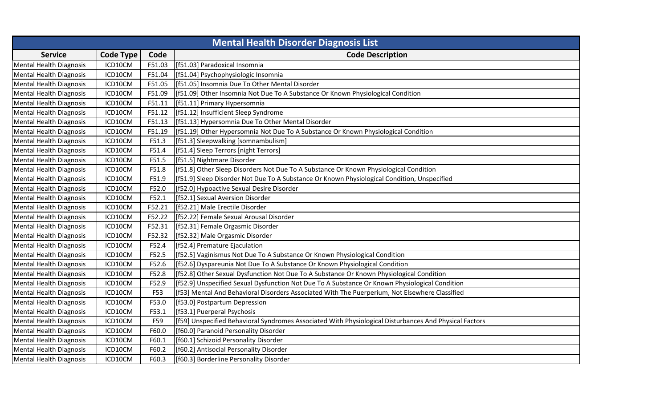| <b>Mental Health Disorder Diagnosis List</b> |                  |        |                                                                                                        |
|----------------------------------------------|------------------|--------|--------------------------------------------------------------------------------------------------------|
| <b>Service</b>                               | <b>Code Type</b> | Code   | <b>Code Description</b>                                                                                |
| <b>Mental Health Diagnosis</b>               | ICD10CM          | F51.03 | [f51.03] Paradoxical Insomnia                                                                          |
| <b>Mental Health Diagnosis</b>               | ICD10CM          | F51.04 | [f51.04] Psychophysiologic Insomnia                                                                    |
| <b>Mental Health Diagnosis</b>               | ICD10CM          | F51.05 | [f51.05] Insomnia Due To Other Mental Disorder                                                         |
| <b>Mental Health Diagnosis</b>               | ICD10CM          | F51.09 | [f51.09] Other Insomnia Not Due To A Substance Or Known Physiological Condition                        |
| <b>Mental Health Diagnosis</b>               | ICD10CM          | F51.11 | [f51.11] Primary Hypersomnia                                                                           |
| <b>Mental Health Diagnosis</b>               | ICD10CM          | F51.12 | [f51.12] Insufficient Sleep Syndrome                                                                   |
| <b>Mental Health Diagnosis</b>               | ICD10CM          | F51.13 | [f51.13] Hypersomnia Due To Other Mental Disorder                                                      |
| <b>Mental Health Diagnosis</b>               | ICD10CM          | F51.19 | [f51.19] Other Hypersomnia Not Due To A Substance Or Known Physiological Condition                     |
| <b>Mental Health Diagnosis</b>               | ICD10CM          | F51.3  | [f51.3] Sleepwalking [somnambulism]                                                                    |
| Mental Health Diagnosis                      | ICD10CM          | F51.4  | [f51.4] Sleep Terrors [night Terrors]                                                                  |
| <b>Mental Health Diagnosis</b>               | ICD10CM          | F51.5  | [f51.5] Nightmare Disorder                                                                             |
| <b>Mental Health Diagnosis</b>               | ICD10CM          | F51.8  | [f51.8] Other Sleep Disorders Not Due To A Substance Or Known Physiological Condition                  |
| <b>Mental Health Diagnosis</b>               | ICD10CM          | F51.9  | [f51.9] Sleep Disorder Not Due To A Substance Or Known Physiological Condition, Unspecified            |
| <b>Mental Health Diagnosis</b>               | ICD10CM          | F52.0  | [f52.0] Hypoactive Sexual Desire Disorder                                                              |
| <b>Mental Health Diagnosis</b>               | ICD10CM          | F52.1  | [f52.1] Sexual Aversion Disorder                                                                       |
| <b>Mental Health Diagnosis</b>               | ICD10CM          | F52.21 | [f52.21] Male Erectile Disorder                                                                        |
| Mental Health Diagnosis                      | ICD10CM          | F52.22 | [f52.22] Female Sexual Arousal Disorder                                                                |
| <b>Mental Health Diagnosis</b>               | ICD10CM          | F52.31 | [f52.31] Female Orgasmic Disorder                                                                      |
| <b>Mental Health Diagnosis</b>               | ICD10CM          | F52.32 | [f52.32] Male Orgasmic Disorder                                                                        |
| <b>Mental Health Diagnosis</b>               | ICD10CM          | F52.4  | [f52.4] Premature Ejaculation                                                                          |
| <b>Mental Health Diagnosis</b>               | ICD10CM          | F52.5  | [f52.5] Vaginismus Not Due To A Substance Or Known Physiological Condition                             |
| <b>Mental Health Diagnosis</b>               | ICD10CM          | F52.6  | [f52.6] Dyspareunia Not Due To A Substance Or Known Physiological Condition                            |
| <b>Mental Health Diagnosis</b>               | ICD10CM          | F52.8  | [f52.8] Other Sexual Dysfunction Not Due To A Substance Or Known Physiological Condition               |
| <b>Mental Health Diagnosis</b>               | ICD10CM          | F52.9  | [f52.9] Unspecified Sexual Dysfunction Not Due To A Substance Or Known Physiological Condition         |
| <b>Mental Health Diagnosis</b>               | ICD10CM          | F53    | [f53] Mental And Behavioral Disorders Associated With The Puerperium, Not Elsewhere Classified         |
| <b>Mental Health Diagnosis</b>               | ICD10CM          | F53.0  | [f53.0] Postpartum Depression                                                                          |
| <b>Mental Health Diagnosis</b>               | ICD10CM          | F53.1  | [f53.1] Puerperal Psychosis                                                                            |
| <b>Mental Health Diagnosis</b>               | ICD10CM          | F59    | [f59] Unspecified Behavioral Syndromes Associated With Physiological Disturbances And Physical Factors |
| <b>Mental Health Diagnosis</b>               | ICD10CM          | F60.0  | [f60.0] Paranoid Personality Disorder                                                                  |
| <b>Mental Health Diagnosis</b>               | ICD10CM          | F60.1  | [f60.1] Schizoid Personality Disorder                                                                  |
| <b>Mental Health Diagnosis</b>               | ICD10CM          | F60.2  | [f60.2] Antisocial Personality Disorder                                                                |
| <b>Mental Health Diagnosis</b>               | ICD10CM          | F60.3  | [f60.3] Borderline Personality Disorder                                                                |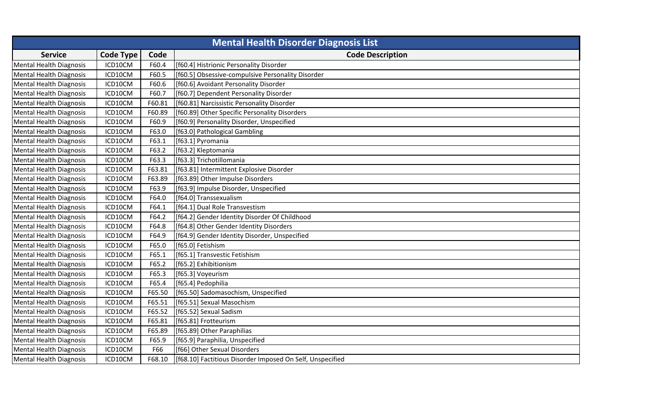| <b>Mental Health Disorder Diagnosis List</b> |                  |        |                                                           |
|----------------------------------------------|------------------|--------|-----------------------------------------------------------|
| <b>Service</b>                               | <b>Code Type</b> | Code   | <b>Code Description</b>                                   |
| <b>Mental Health Diagnosis</b>               | ICD10CM          | F60.4  | [f60.4] Histrionic Personality Disorder                   |
| <b>Mental Health Diagnosis</b>               | ICD10CM          | F60.5  | [f60.5] Obsessive-compulsive Personality Disorder         |
| <b>Mental Health Diagnosis</b>               | ICD10CM          | F60.6  | [f60.6] Avoidant Personality Disorder                     |
| <b>Mental Health Diagnosis</b>               | ICD10CM          | F60.7  | [f60.7] Dependent Personality Disorder                    |
| <b>Mental Health Diagnosis</b>               | ICD10CM          | F60.81 | [f60.81] Narcissistic Personality Disorder                |
| <b>Mental Health Diagnosis</b>               | ICD10CM          | F60.89 | [f60.89] Other Specific Personality Disorders             |
| <b>Mental Health Diagnosis</b>               | ICD10CM          | F60.9  | [f60.9] Personality Disorder, Unspecified                 |
| <b>Mental Health Diagnosis</b>               | ICD10CM          | F63.0  | [f63.0] Pathological Gambling                             |
| <b>Mental Health Diagnosis</b>               | ICD10CM          | F63.1  | [f63.1] Pyromania                                         |
| <b>Mental Health Diagnosis</b>               | ICD10CM          | F63.2  | [f63.2] Kleptomania                                       |
| <b>Mental Health Diagnosis</b>               | ICD10CM          | F63.3  | [f63.3] Trichotillomania                                  |
| <b>Mental Health Diagnosis</b>               | ICD10CM          | F63.81 | [f63.81] Intermittent Explosive Disorder                  |
| <b>Mental Health Diagnosis</b>               | ICD10CM          | F63.89 | [f63.89] Other Impulse Disorders                          |
| Mental Health Diagnosis                      | ICD10CM          | F63.9  | [f63.9] Impulse Disorder, Unspecified                     |
| <b>Mental Health Diagnosis</b>               | ICD10CM          | F64.0  | [f64.0] Transsexualism                                    |
| <b>Mental Health Diagnosis</b>               | ICD10CM          | F64.1  | [f64.1] Dual Role Transvestism                            |
| <b>Mental Health Diagnosis</b>               | ICD10CM          | F64.2  | [f64.2] Gender Identity Disorder Of Childhood             |
| <b>Mental Health Diagnosis</b>               | ICD10CM          | F64.8  | [f64.8] Other Gender Identity Disorders                   |
| <b>Mental Health Diagnosis</b>               | ICD10CM          | F64.9  | [f64.9] Gender Identity Disorder, Unspecified             |
| <b>Mental Health Diagnosis</b>               | ICD10CM          | F65.0  | [f65.0] Fetishism                                         |
| <b>Mental Health Diagnosis</b>               | ICD10CM          | F65.1  | [f65.1] Transvestic Fetishism                             |
| Mental Health Diagnosis                      | ICD10CM          | F65.2  | [f65.2] Exhibitionism                                     |
| <b>Mental Health Diagnosis</b>               | ICD10CM          | F65.3  | [f65.3] Voyeurism                                         |
| <b>Mental Health Diagnosis</b>               | ICD10CM          | F65.4  | [f65.4] Pedophilia                                        |
| <b>Mental Health Diagnosis</b>               | ICD10CM          | F65.50 | [f65.50] Sadomasochism, Unspecified                       |
| <b>Mental Health Diagnosis</b>               | ICD10CM          | F65.51 | [f65.51] Sexual Masochism                                 |
| <b>Mental Health Diagnosis</b>               | ICD10CM          | F65.52 | [f65.52] Sexual Sadism                                    |
| Mental Health Diagnosis                      | ICD10CM          | F65.81 | [f65.81] Frotteurism                                      |
| <b>Mental Health Diagnosis</b>               | ICD10CM          | F65.89 | [f65.89] Other Paraphilias                                |
| <b>Mental Health Diagnosis</b>               | ICD10CM          | F65.9  | [f65.9] Paraphilia, Unspecified                           |
| <b>Mental Health Diagnosis</b>               | ICD10CM          | F66    | [f66] Other Sexual Disorders                              |
| <b>Mental Health Diagnosis</b>               | ICD10CM          | F68.10 | [f68.10] Factitious Disorder Imposed On Self, Unspecified |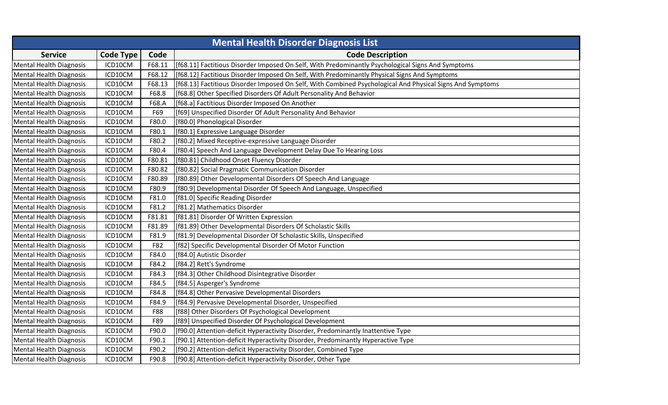| <b>Mental Health Disorder Diagnosis List</b> |                  |        |                                                                                                           |
|----------------------------------------------|------------------|--------|-----------------------------------------------------------------------------------------------------------|
| <b>Service</b>                               | <b>Code Type</b> | Code   | <b>Code Description</b>                                                                                   |
| Mental Health Diagnosis                      | ICD10CM          | F68.11 | [f68.11] Factitious Disorder Imposed On Self, With Predominantly Psychological Signs And Symptoms         |
| <b>Mental Health Diagnosis</b>               | ICD10CM          | F68.12 | [f68.12] Factitious Disorder Imposed On Self, With Predominantly Physical Signs And Symptoms              |
| <b>Mental Health Diagnosis</b>               | ICD10CM          | F68.13 | [f68.13] Factitious Disorder Imposed On Self, With Combined Psychological And Physical Signs And Symptoms |
| <b>Mental Health Diagnosis</b>               | ICD10CM          | F68.8  | [f68.8] Other Specified Disorders Of Adult Personality And Behavior                                       |
| <b>Mental Health Diagnosis</b>               | ICD10CM          | F68.A  | [f68.a] Factitious Disorder Imposed On Another                                                            |
| <b>Mental Health Diagnosis</b>               | ICD10CM          | F69    | [f69] Unspecified Disorder Of Adult Personality And Behavior                                              |
| <b>Mental Health Diagnosis</b>               | ICD10CM          | F80.0  | [f80.0] Phonological Disorder                                                                             |
| <b>Mental Health Diagnosis</b>               | ICD10CM          | F80.1  | [f80.1] Expressive Language Disorder                                                                      |
| <b>Mental Health Diagnosis</b>               | ICD10CM          | F80.2  | [f80.2] Mixed Receptive-expressive Language Disorder                                                      |
| <b>Mental Health Diagnosis</b>               | ICD10CM          | F80.4  | [f80.4] Speech And Language Development Delay Due To Hearing Loss                                         |
| <b>Mental Health Diagnosis</b>               | ICD10CM          | F80.81 | [f80.81] Childhood Onset Fluency Disorder                                                                 |
| <b>Mental Health Diagnosis</b>               | ICD10CM          | F80.82 | [f80.82] Social Pragmatic Communication Disorder                                                          |
| <b>Mental Health Diagnosis</b>               | ICD10CM          | F80.89 | [f80.89] Other Developmental Disorders Of Speech And Language                                             |
| <b>Mental Health Diagnosis</b>               | ICD10CM          | F80.9  | [f80.9] Developmental Disorder Of Speech And Language, Unspecified                                        |
| <b>Mental Health Diagnosis</b>               | ICD10CM          | F81.0  | [f81.0] Specific Reading Disorder                                                                         |
| <b>Mental Health Diagnosis</b>               | ICD10CM          | F81.2  | [f81.2] Mathematics Disorder                                                                              |
| <b>Mental Health Diagnosis</b>               | ICD10CM          | F81.81 | [f81.81] Disorder Of Written Expression                                                                   |
| <b>Mental Health Diagnosis</b>               | ICD10CM          | F81.89 | [f81.89] Other Developmental Disorders Of Scholastic Skills                                               |
| Mental Health Diagnosis                      | ICD10CM          | F81.9  | [f81.9] Developmental Disorder Of Scholastic Skills, Unspecified                                          |
| <b>Mental Health Diagnosis</b>               | ICD10CM          | F82    | [f82] Specific Developmental Disorder Of Motor Function                                                   |
| <b>Mental Health Diagnosis</b>               | ICD10CM          | F84.0  | [f84.0] Autistic Disorder                                                                                 |
| <b>Mental Health Diagnosis</b>               | ICD10CM          | F84.2  | [f84.2] Rett's Syndrome                                                                                   |
| <b>Mental Health Diagnosis</b>               | ICD10CM          | F84.3  | [f84.3] Other Childhood Disintegrative Disorder                                                           |
| <b>Mental Health Diagnosis</b>               | ICD10CM          | F84.5  | [f84.5] Asperger's Syndrome                                                                               |
| <b>Mental Health Diagnosis</b>               | ICD10CM          | F84.8  | [f84.8] Other Pervasive Developmental Disorders                                                           |
| <b>Mental Health Diagnosis</b>               | ICD10CM          | F84.9  | [f84.9] Pervasive Developmental Disorder, Unspecified                                                     |
| <b>Mental Health Diagnosis</b>               | ICD10CM          | F88    | [f88] Other Disorders Of Psychological Development                                                        |
| <b>Mental Health Diagnosis</b>               | ICD10CM          | F89    | [f89] Unspecified Disorder Of Psychological Development                                                   |
| <b>Mental Health Diagnosis</b>               | ICD10CM          | F90.0  | [f90.0] Attention-deficit Hyperactivity Disorder, Predominantly Inattentive Type                          |
| <b>Mental Health Diagnosis</b>               | ICD10CM          | F90.1  | [f90.1] Attention-deficit Hyperactivity Disorder, Predominantly Hyperactive Type                          |
| <b>Mental Health Diagnosis</b>               | ICD10CM          | F90.2  | [f90.2] Attention-deficit Hyperactivity Disorder, Combined Type                                           |
| Mental Health Diagnosis                      | ICD10CM          | F90.8  | [f90.8] Attention-deficit Hyperactivity Disorder, Other Type                                              |